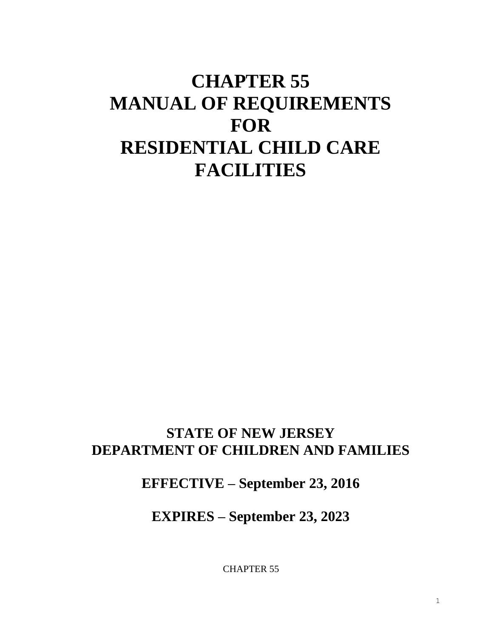# **CHAPTER 55 MANUAL OF REQUIREMENTS FOR RESIDENTIAL CHILD CARE FACILITIES**

# **STATE OF NEW JERSEY DEPARTMENT OF CHILDREN AND FAMILIES**

# **EFFECTIVE – September 23, 2016**

# **EXPIRES – September 23, 2023**

CHAPTER 55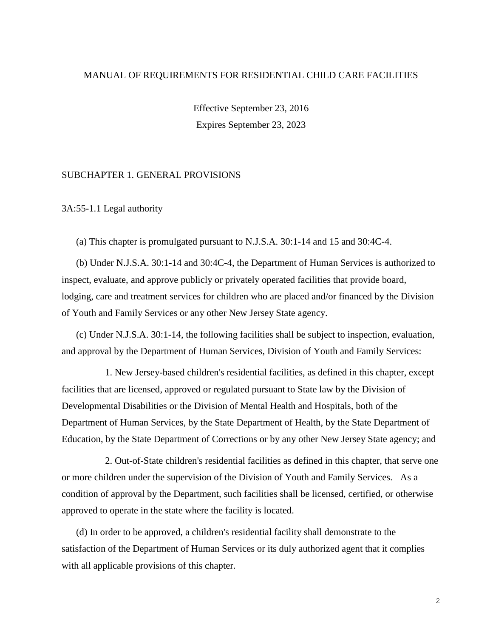# MANUAL OF REQUIREMENTS FOR RESIDENTIAL CHILD CARE FACILITIES

Effective September 23, 2016 Expires September 23, 2023

# SUBCHAPTER 1. GENERAL PROVISIONS

3A:55-1.1 Legal authority

(a) This chapter is promulgated pursuant to N.J.S.A. 30:1-14 and 15 and 30:4C-4.

(b) Under N.J.S.A. 30:1-14 and 30:4C-4, the Department of Human Services is authorized to inspect, evaluate, and approve publicly or privately operated facilities that provide board, lodging, care and treatment services for children who are placed and/or financed by the Division of Youth and Family Services or any other New Jersey State agency.

(c) Under N.J.S.A. 30:1-14, the following facilities shall be subject to inspection, evaluation, and approval by the Department of Human Services, Division of Youth and Family Services:

1. New Jersey-based children's residential facilities, as defined in this chapter, except facilities that are licensed, approved or regulated pursuant to State law by the Division of Developmental Disabilities or the Division of Mental Health and Hospitals, both of the Department of Human Services, by the State Department of Health, by the State Department of Education, by the State Department of Corrections or by any other New Jersey State agency; and

2. Out-of-State children's residential facilities as defined in this chapter, that serve one or more children under the supervision of the Division of Youth and Family Services. As a condition of approval by the Department, such facilities shall be licensed, certified, or otherwise approved to operate in the state where the facility is located.

(d) In order to be approved, a children's residential facility shall demonstrate to the satisfaction of the Department of Human Services or its duly authorized agent that it complies with all applicable provisions of this chapter.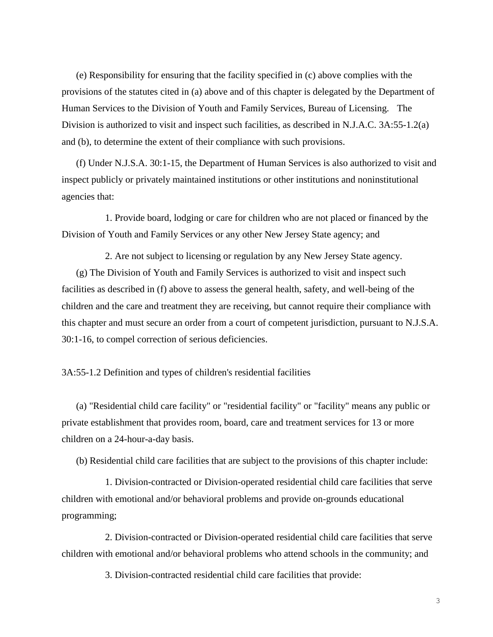(e) Responsibility for ensuring that the facility specified in (c) above complies with the provisions of the statutes cited in (a) above and of this chapter is delegated by the Department of Human Services to the Division of Youth and Family Services, Bureau of Licensing. The Division is authorized to visit and inspect such facilities, as described in N.J.A.C. 3A:55-1.2(a) and (b), to determine the extent of their compliance with such provisions.

(f) Under N.J.S.A. 30:1-15, the Department of Human Services is also authorized to visit and inspect publicly or privately maintained institutions or other institutions and noninstitutional agencies that:

1. Provide board, lodging or care for children who are not placed or financed by the Division of Youth and Family Services or any other New Jersey State agency; and

2. Are not subject to licensing or regulation by any New Jersey State agency.

(g) The Division of Youth and Family Services is authorized to visit and inspect such facilities as described in (f) above to assess the general health, safety, and well-being of the children and the care and treatment they are receiving, but cannot require their compliance with this chapter and must secure an order from a court of competent jurisdiction, pursuant to N.J.S.A. 30:1-16, to compel correction of serious deficiencies.

3A:55-1.2 Definition and types of children's residential facilities

(a) "Residential child care facility" or "residential facility" or "facility" means any public or private establishment that provides room, board, care and treatment services for 13 or more children on a 24-hour-a-day basis.

(b) Residential child care facilities that are subject to the provisions of this chapter include:

1. Division-contracted or Division-operated residential child care facilities that serve children with emotional and/or behavioral problems and provide on-grounds educational programming;

2. Division-contracted or Division-operated residential child care facilities that serve children with emotional and/or behavioral problems who attend schools in the community; and

3. Division-contracted residential child care facilities that provide: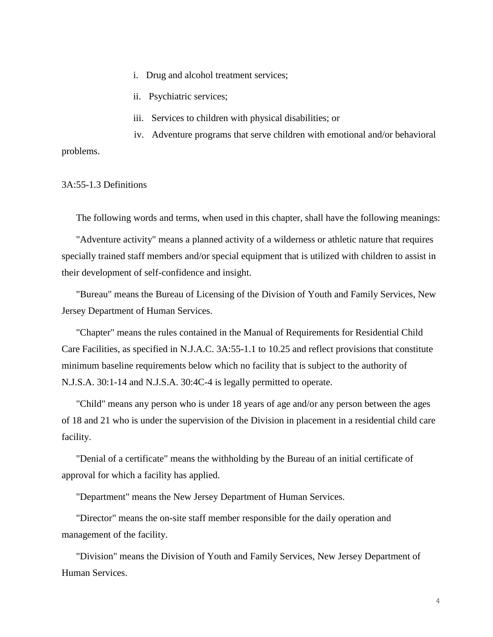- i. Drug and alcohol treatment services;
- ii. Psychiatric services;
- iii. Services to children with physical disabilities; or

iv. Adventure programs that serve children with emotional and/or behavioral problems.

3A:55-1.3 Definitions

The following words and terms, when used in this chapter, shall have the following meanings:

"Adventure activity" means a planned activity of a wilderness or athletic nature that requires specially trained staff members and/or special equipment that is utilized with children to assist in their development of self-confidence and insight.

"Bureau" means the Bureau of Licensing of the Division of Youth and Family Services, New Jersey Department of Human Services.

"Chapter" means the rules contained in the Manual of Requirements for Residential Child Care Facilities, as specified in N.J.A.C. 3A:55-1.1 to 10.25 and reflect provisions that constitute minimum baseline requirements below which no facility that is subject to the authority of N.J.S.A. 30:1-14 and N.J.S.A. 30:4C-4 is legally permitted to operate.

"Child" means any person who is under 18 years of age and/or any person between the ages of 18 and 21 who is under the supervision of the Division in placement in a residential child care facility.

"Denial of a certificate" means the withholding by the Bureau of an initial certificate of approval for which a facility has applied.

"Department" means the New Jersey Department of Human Services.

"Director" means the on-site staff member responsible for the daily operation and management of the facility.

"Division" means the Division of Youth and Family Services, New Jersey Department of Human Services.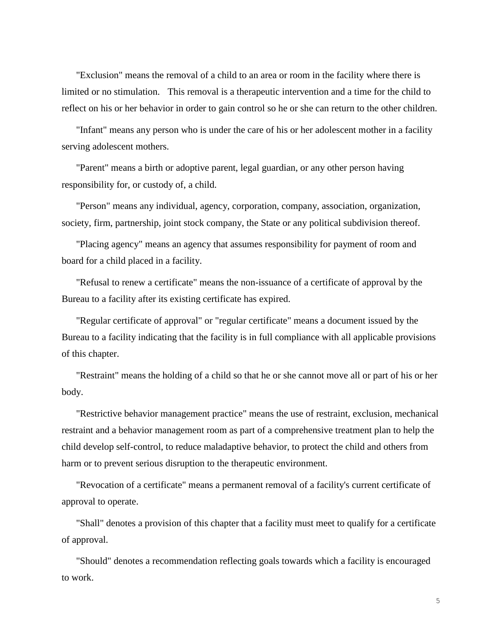"Exclusion" means the removal of a child to an area or room in the facility where there is limited or no stimulation. This removal is a therapeutic intervention and a time for the child to reflect on his or her behavior in order to gain control so he or she can return to the other children.

"Infant" means any person who is under the care of his or her adolescent mother in a facility serving adolescent mothers.

"Parent" means a birth or adoptive parent, legal guardian, or any other person having responsibility for, or custody of, a child.

"Person" means any individual, agency, corporation, company, association, organization, society, firm, partnership, joint stock company, the State or any political subdivision thereof.

"Placing agency" means an agency that assumes responsibility for payment of room and board for a child placed in a facility.

"Refusal to renew a certificate" means the non-issuance of a certificate of approval by the Bureau to a facility after its existing certificate has expired.

"Regular certificate of approval" or "regular certificate" means a document issued by the Bureau to a facility indicating that the facility is in full compliance with all applicable provisions of this chapter.

"Restraint" means the holding of a child so that he or she cannot move all or part of his or her body.

"Restrictive behavior management practice" means the use of restraint, exclusion, mechanical restraint and a behavior management room as part of a comprehensive treatment plan to help the child develop self-control, to reduce maladaptive behavior, to protect the child and others from harm or to prevent serious disruption to the therapeutic environment.

"Revocation of a certificate" means a permanent removal of a facility's current certificate of approval to operate.

"Shall" denotes a provision of this chapter that a facility must meet to qualify for a certificate of approval.

"Should" denotes a recommendation reflecting goals towards which a facility is encouraged to work.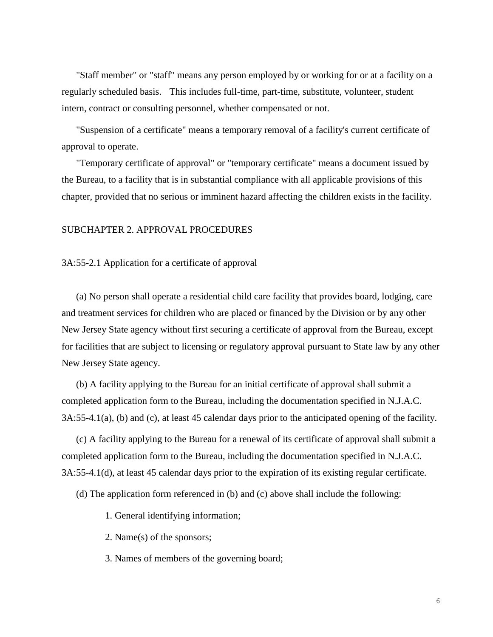"Staff member" or "staff" means any person employed by or working for or at a facility on a regularly scheduled basis. This includes full-time, part-time, substitute, volunteer, student intern, contract or consulting personnel, whether compensated or not.

"Suspension of a certificate" means a temporary removal of a facility's current certificate of approval to operate.

"Temporary certificate of approval" or "temporary certificate" means a document issued by the Bureau, to a facility that is in substantial compliance with all applicable provisions of this chapter, provided that no serious or imminent hazard affecting the children exists in the facility.

# SUBCHAPTER 2. APPROVAL PROCEDURES

3A:55-2.1 Application for a certificate of approval

(a) No person shall operate a residential child care facility that provides board, lodging, care and treatment services for children who are placed or financed by the Division or by any other New Jersey State agency without first securing a certificate of approval from the Bureau, except for facilities that are subject to licensing or regulatory approval pursuant to State law by any other New Jersey State agency.

(b) A facility applying to the Bureau for an initial certificate of approval shall submit a completed application form to the Bureau, including the documentation specified in N.J.A.C. 3A:55-4.1(a), (b) and (c), at least 45 calendar days prior to the anticipated opening of the facility.

(c) A facility applying to the Bureau for a renewal of its certificate of approval shall submit a completed application form to the Bureau, including the documentation specified in N.J.A.C. 3A:55-4.1(d), at least 45 calendar days prior to the expiration of its existing regular certificate.

(d) The application form referenced in (b) and (c) above shall include the following:

- 1. General identifying information;
- 2. Name(s) of the sponsors;
- 3. Names of members of the governing board;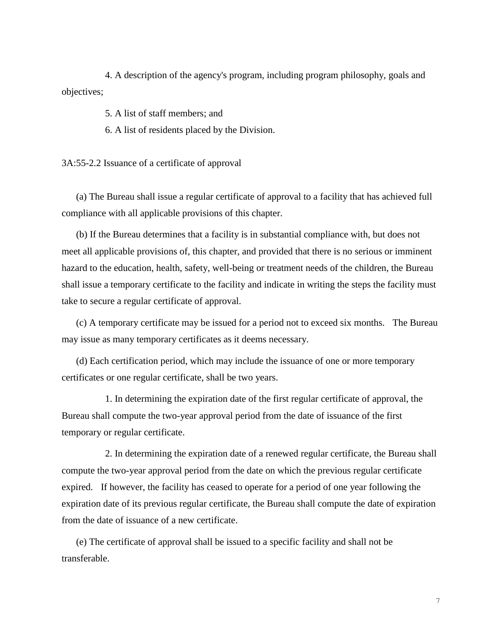4. A description of the agency's program, including program philosophy, goals and objectives;

5. A list of staff members; and

6. A list of residents placed by the Division.

3A:55-2.2 Issuance of a certificate of approval

(a) The Bureau shall issue a regular certificate of approval to a facility that has achieved full compliance with all applicable provisions of this chapter.

(b) If the Bureau determines that a facility is in substantial compliance with, but does not meet all applicable provisions of, this chapter, and provided that there is no serious or imminent hazard to the education, health, safety, well-being or treatment needs of the children, the Bureau shall issue a temporary certificate to the facility and indicate in writing the steps the facility must take to secure a regular certificate of approval.

(c) A temporary certificate may be issued for a period not to exceed six months. The Bureau may issue as many temporary certificates as it deems necessary.

(d) Each certification period, which may include the issuance of one or more temporary certificates or one regular certificate, shall be two years.

1. In determining the expiration date of the first regular certificate of approval, the Bureau shall compute the two-year approval period from the date of issuance of the first temporary or regular certificate.

2. In determining the expiration date of a renewed regular certificate, the Bureau shall compute the two-year approval period from the date on which the previous regular certificate expired. If however, the facility has ceased to operate for a period of one year following the expiration date of its previous regular certificate, the Bureau shall compute the date of expiration from the date of issuance of a new certificate.

(e) The certificate of approval shall be issued to a specific facility and shall not be transferable.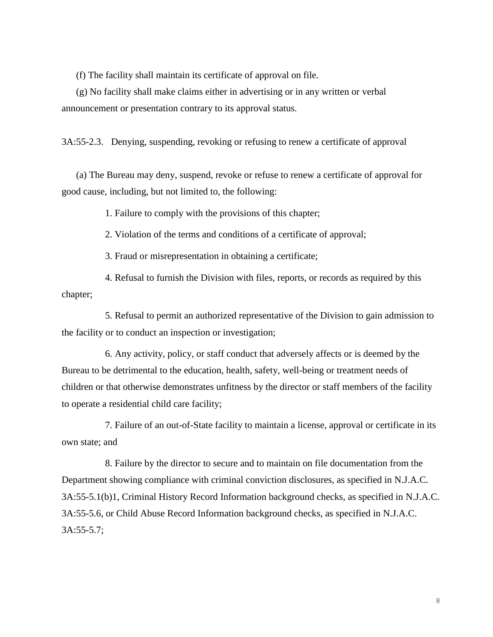(f) The facility shall maintain its certificate of approval on file.

(g) No facility shall make claims either in advertising or in any written or verbal announcement or presentation contrary to its approval status.

3A:55-2.3. Denying, suspending, revoking or refusing to renew a certificate of approval

(a) The Bureau may deny, suspend, revoke or refuse to renew a certificate of approval for good cause, including, but not limited to, the following:

1. Failure to comply with the provisions of this chapter;

2. Violation of the terms and conditions of a certificate of approval;

3. Fraud or misrepresentation in obtaining a certificate;

4. Refusal to furnish the Division with files, reports, or records as required by this chapter;

5. Refusal to permit an authorized representative of the Division to gain admission to the facility or to conduct an inspection or investigation;

6. Any activity, policy, or staff conduct that adversely affects or is deemed by the Bureau to be detrimental to the education, health, safety, well-being or treatment needs of children or that otherwise demonstrates unfitness by the director or staff members of the facility to operate a residential child care facility;

7. Failure of an out-of-State facility to maintain a license, approval or certificate in its own state; and

8. Failure by the director to secure and to maintain on file documentation from the Department showing compliance with criminal conviction disclosures, as specified in N.J.A.C. 3A:55-5.1(b)1, Criminal History Record Information background checks, as specified in N.J.A.C. 3A:55-5.6, or Child Abuse Record Information background checks, as specified in N.J.A.C. 3A:55-5.7;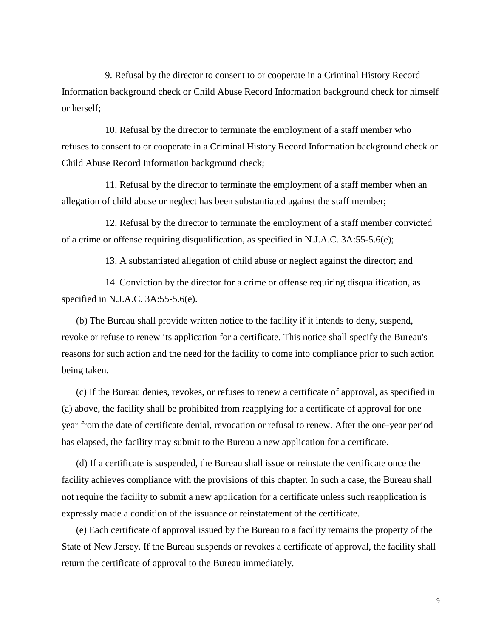9. Refusal by the director to consent to or cooperate in a Criminal History Record Information background check or Child Abuse Record Information background check for himself or herself;

10. Refusal by the director to terminate the employment of a staff member who refuses to consent to or cooperate in a Criminal History Record Information background check or Child Abuse Record Information background check;

11. Refusal by the director to terminate the employment of a staff member when an allegation of child abuse or neglect has been substantiated against the staff member;

12. Refusal by the director to terminate the employment of a staff member convicted of a crime or offense requiring disqualification, as specified in N.J.A.C. 3A:55-5.6(e);

13. A substantiated allegation of child abuse or neglect against the director; and

14. Conviction by the director for a crime or offense requiring disqualification, as specified in N.J.A.C. 3A:55-5.6(e).

(b) The Bureau shall provide written notice to the facility if it intends to deny, suspend, revoke or refuse to renew its application for a certificate. This notice shall specify the Bureau's reasons for such action and the need for the facility to come into compliance prior to such action being taken.

(c) If the Bureau denies, revokes, or refuses to renew a certificate of approval, as specified in (a) above, the facility shall be prohibited from reapplying for a certificate of approval for one year from the date of certificate denial, revocation or refusal to renew. After the one-year period has elapsed, the facility may submit to the Bureau a new application for a certificate.

(d) If a certificate is suspended, the Bureau shall issue or reinstate the certificate once the facility achieves compliance with the provisions of this chapter. In such a case, the Bureau shall not require the facility to submit a new application for a certificate unless such reapplication is expressly made a condition of the issuance or reinstatement of the certificate.

(e) Each certificate of approval issued by the Bureau to a facility remains the property of the State of New Jersey. If the Bureau suspends or revokes a certificate of approval, the facility shall return the certificate of approval to the Bureau immediately.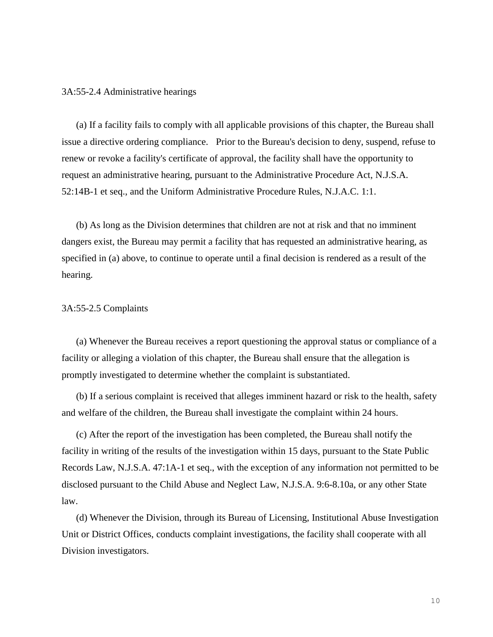3A:55-2.4 Administrative hearings

(a) If a facility fails to comply with all applicable provisions of this chapter, the Bureau shall issue a directive ordering compliance. Prior to the Bureau's decision to deny, suspend, refuse to renew or revoke a facility's certificate of approval, the facility shall have the opportunity to request an administrative hearing, pursuant to the Administrative Procedure Act, N.J.S.A. 52:14B-1 et seq., and the Uniform Administrative Procedure Rules, N.J.A.C. 1:1.

(b) As long as the Division determines that children are not at risk and that no imminent dangers exist, the Bureau may permit a facility that has requested an administrative hearing, as specified in (a) above, to continue to operate until a final decision is rendered as a result of the hearing.

#### 3A:55-2.5 Complaints

(a) Whenever the Bureau receives a report questioning the approval status or compliance of a facility or alleging a violation of this chapter, the Bureau shall ensure that the allegation is promptly investigated to determine whether the complaint is substantiated.

(b) If a serious complaint is received that alleges imminent hazard or risk to the health, safety and welfare of the children, the Bureau shall investigate the complaint within 24 hours.

(c) After the report of the investigation has been completed, the Bureau shall notify the facility in writing of the results of the investigation within 15 days, pursuant to the State Public Records Law, N.J.S.A. 47:1A-1 et seq., with the exception of any information not permitted to be disclosed pursuant to the Child Abuse and Neglect Law, N.J.S.A. 9:6-8.10a, or any other State law.

(d) Whenever the Division, through its Bureau of Licensing, Institutional Abuse Investigation Unit or District Offices, conducts complaint investigations, the facility shall cooperate with all Division investigators.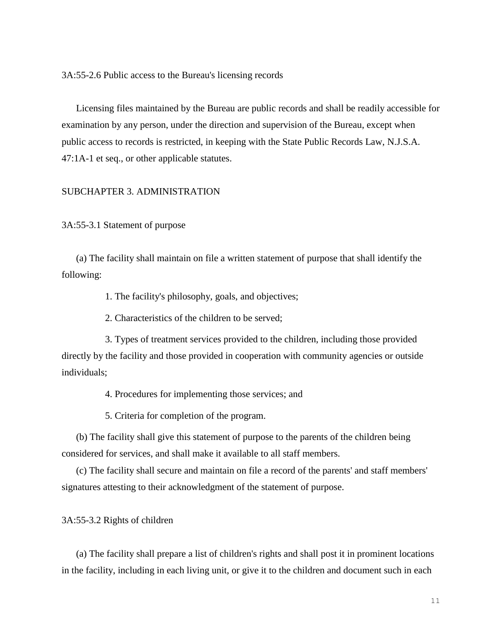3A:55-2.6 Public access to the Bureau's licensing records

Licensing files maintained by the Bureau are public records and shall be readily accessible for examination by any person, under the direction and supervision of the Bureau, except when public access to records is restricted, in keeping with the State Public Records Law, N.J.S.A. 47:1A-1 et seq., or other applicable statutes.

# SUBCHAPTER 3. ADMINISTRATION

3A:55-3.1 Statement of purpose

(a) The facility shall maintain on file a written statement of purpose that shall identify the following:

1. The facility's philosophy, goals, and objectives;

2. Characteristics of the children to be served;

3. Types of treatment services provided to the children, including those provided directly by the facility and those provided in cooperation with community agencies or outside individuals;

4. Procedures for implementing those services; and

5. Criteria for completion of the program.

(b) The facility shall give this statement of purpose to the parents of the children being considered for services, and shall make it available to all staff members.

(c) The facility shall secure and maintain on file a record of the parents' and staff members' signatures attesting to their acknowledgment of the statement of purpose.

3A:55-3.2 Rights of children

(a) The facility shall prepare a list of children's rights and shall post it in prominent locations in the facility, including in each living unit, or give it to the children and document such in each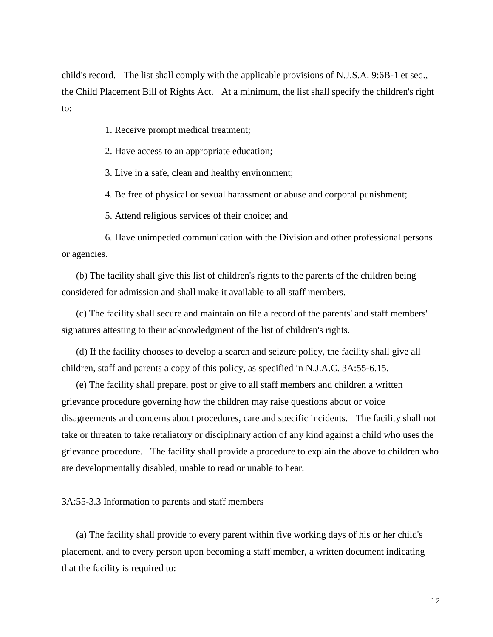child's record. The list shall comply with the applicable provisions of N.J.S.A. 9:6B-1 et seq., the Child Placement Bill of Rights Act. At a minimum, the list shall specify the children's right to:

1. Receive prompt medical treatment;

2. Have access to an appropriate education;

3. Live in a safe, clean and healthy environment;

4. Be free of physical or sexual harassment or abuse and corporal punishment;

5. Attend religious services of their choice; and

6. Have unimpeded communication with the Division and other professional persons or agencies.

(b) The facility shall give this list of children's rights to the parents of the children being considered for admission and shall make it available to all staff members.

(c) The facility shall secure and maintain on file a record of the parents' and staff members' signatures attesting to their acknowledgment of the list of children's rights.

(d) If the facility chooses to develop a search and seizure policy, the facility shall give all children, staff and parents a copy of this policy, as specified in N.J.A.C. 3A:55-6.15.

(e) The facility shall prepare, post or give to all staff members and children a written grievance procedure governing how the children may raise questions about or voice disagreements and concerns about procedures, care and specific incidents. The facility shall not take or threaten to take retaliatory or disciplinary action of any kind against a child who uses the grievance procedure. The facility shall provide a procedure to explain the above to children who are developmentally disabled, unable to read or unable to hear.

3A:55-3.3 Information to parents and staff members

(a) The facility shall provide to every parent within five working days of his or her child's placement, and to every person upon becoming a staff member, a written document indicating that the facility is required to: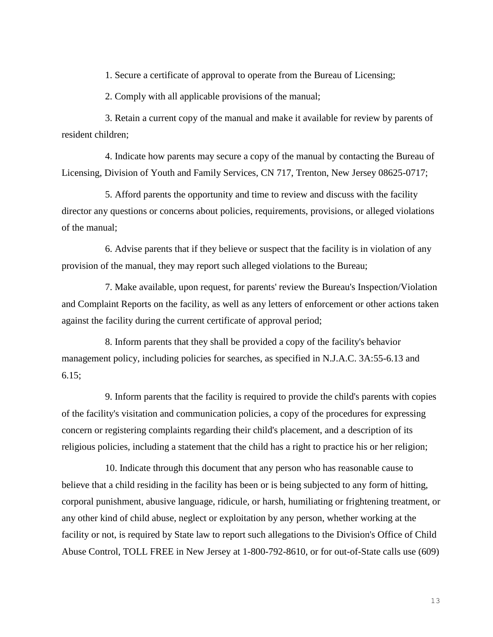1. Secure a certificate of approval to operate from the Bureau of Licensing;

2. Comply with all applicable provisions of the manual;

3. Retain a current copy of the manual and make it available for review by parents of resident children;

4. Indicate how parents may secure a copy of the manual by contacting the Bureau of Licensing, Division of Youth and Family Services, CN 717, Trenton, New Jersey 08625-0717;

5. Afford parents the opportunity and time to review and discuss with the facility director any questions or concerns about policies, requirements, provisions, or alleged violations of the manual;

6. Advise parents that if they believe or suspect that the facility is in violation of any provision of the manual, they may report such alleged violations to the Bureau;

7. Make available, upon request, for parents' review the Bureau's Inspection/Violation and Complaint Reports on the facility, as well as any letters of enforcement or other actions taken against the facility during the current certificate of approval period;

8. Inform parents that they shall be provided a copy of the facility's behavior management policy, including policies for searches, as specified in N.J.A.C. 3A:55-6.13 and 6.15;

9. Inform parents that the facility is required to provide the child's parents with copies of the facility's visitation and communication policies, a copy of the procedures for expressing concern or registering complaints regarding their child's placement, and a description of its religious policies, including a statement that the child has a right to practice his or her religion;

10. Indicate through this document that any person who has reasonable cause to believe that a child residing in the facility has been or is being subjected to any form of hitting, corporal punishment, abusive language, ridicule, or harsh, humiliating or frightening treatment, or any other kind of child abuse, neglect or exploitation by any person, whether working at the facility or not, is required by State law to report such allegations to the Division's Office of Child Abuse Control, TOLL FREE in New Jersey at 1-800-792-8610, or for out-of-State calls use (609)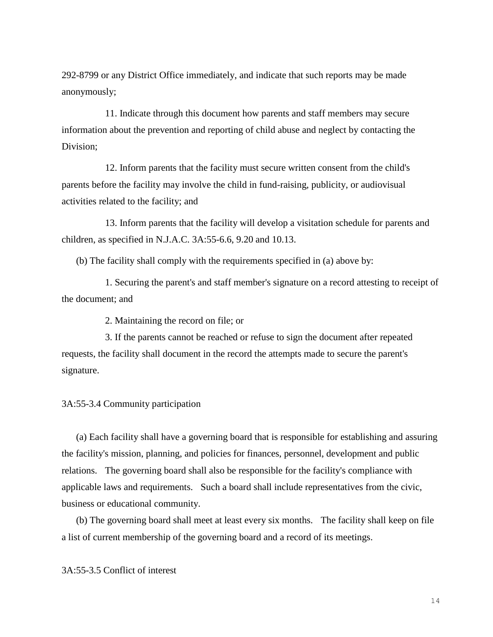292-8799 or any District Office immediately, and indicate that such reports may be made anonymously;

11. Indicate through this document how parents and staff members may secure information about the prevention and reporting of child abuse and neglect by contacting the Division;

12. Inform parents that the facility must secure written consent from the child's parents before the facility may involve the child in fund-raising, publicity, or audiovisual activities related to the facility; and

13. Inform parents that the facility will develop a visitation schedule for parents and children, as specified in N.J.A.C. 3A:55-6.6, 9.20 and 10.13.

(b) The facility shall comply with the requirements specified in (a) above by:

1. Securing the parent's and staff member's signature on a record attesting to receipt of the document; and

2. Maintaining the record on file; or

3. If the parents cannot be reached or refuse to sign the document after repeated requests, the facility shall document in the record the attempts made to secure the parent's signature.

3A:55-3.4 Community participation

(a) Each facility shall have a governing board that is responsible for establishing and assuring the facility's mission, planning, and policies for finances, personnel, development and public relations. The governing board shall also be responsible for the facility's compliance with applicable laws and requirements. Such a board shall include representatives from the civic, business or educational community.

(b) The governing board shall meet at least every six months. The facility shall keep on file a list of current membership of the governing board and a record of its meetings.

3A:55-3.5 Conflict of interest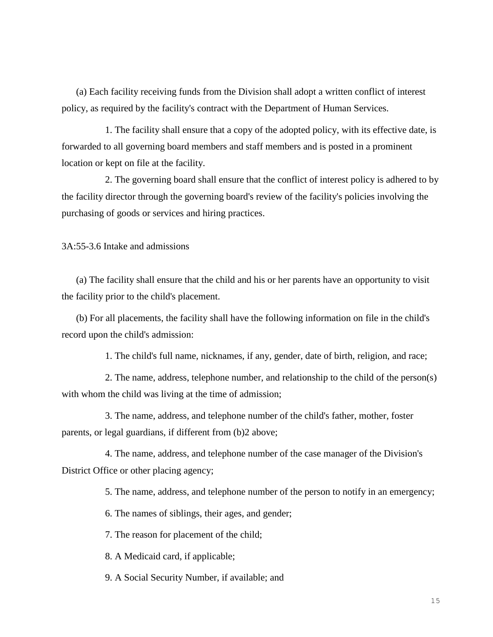(a) Each facility receiving funds from the Division shall adopt a written conflict of interest policy, as required by the facility's contract with the Department of Human Services.

1. The facility shall ensure that a copy of the adopted policy, with its effective date, is forwarded to all governing board members and staff members and is posted in a prominent location or kept on file at the facility.

2. The governing board shall ensure that the conflict of interest policy is adhered to by the facility director through the governing board's review of the facility's policies involving the purchasing of goods or services and hiring practices.

3A:55-3.6 Intake and admissions

(a) The facility shall ensure that the child and his or her parents have an opportunity to visit the facility prior to the child's placement.

(b) For all placements, the facility shall have the following information on file in the child's record upon the child's admission:

1. The child's full name, nicknames, if any, gender, date of birth, religion, and race;

2. The name, address, telephone number, and relationship to the child of the person(s) with whom the child was living at the time of admission;

3. The name, address, and telephone number of the child's father, mother, foster parents, or legal guardians, if different from (b)2 above;

4. The name, address, and telephone number of the case manager of the Division's District Office or other placing agency;

5. The name, address, and telephone number of the person to notify in an emergency;

6. The names of siblings, their ages, and gender;

7. The reason for placement of the child;

8. A Medicaid card, if applicable;

9. A Social Security Number, if available; and

15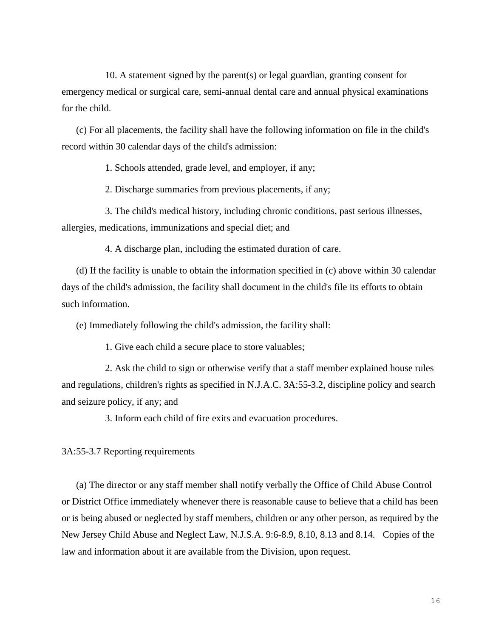10. A statement signed by the parent(s) or legal guardian, granting consent for emergency medical or surgical care, semi-annual dental care and annual physical examinations for the child.

(c) For all placements, the facility shall have the following information on file in the child's record within 30 calendar days of the child's admission:

1. Schools attended, grade level, and employer, if any;

2. Discharge summaries from previous placements, if any;

3. The child's medical history, including chronic conditions, past serious illnesses, allergies, medications, immunizations and special diet; and

4. A discharge plan, including the estimated duration of care.

(d) If the facility is unable to obtain the information specified in (c) above within 30 calendar days of the child's admission, the facility shall document in the child's file its efforts to obtain such information.

(e) Immediately following the child's admission, the facility shall:

1. Give each child a secure place to store valuables;

2. Ask the child to sign or otherwise verify that a staff member explained house rules and regulations, children's rights as specified in N.J.A.C. 3A:55-3.2, discipline policy and search and seizure policy, if any; and

3. Inform each child of fire exits and evacuation procedures.

3A:55-3.7 Reporting requirements

(a) The director or any staff member shall notify verbally the Office of Child Abuse Control or District Office immediately whenever there is reasonable cause to believe that a child has been or is being abused or neglected by staff members, children or any other person, as required by the New Jersey Child Abuse and Neglect Law, N.J.S.A. 9:6-8.9, 8.10, 8.13 and 8.14. Copies of the law and information about it are available from the Division, upon request.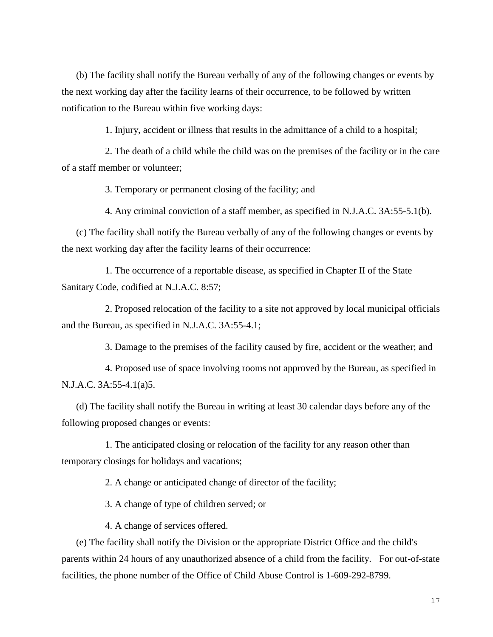(b) The facility shall notify the Bureau verbally of any of the following changes or events by the next working day after the facility learns of their occurrence, to be followed by written notification to the Bureau within five working days:

1. Injury, accident or illness that results in the admittance of a child to a hospital;

2. The death of a child while the child was on the premises of the facility or in the care of a staff member or volunteer;

3. Temporary or permanent closing of the facility; and

4. Any criminal conviction of a staff member, as specified in N.J.A.C. 3A:55-5.1(b).

(c) The facility shall notify the Bureau verbally of any of the following changes or events by the next working day after the facility learns of their occurrence:

1. The occurrence of a reportable disease, as specified in Chapter II of the State Sanitary Code, codified at N.J.A.C. 8:57;

2. Proposed relocation of the facility to a site not approved by local municipal officials and the Bureau, as specified in N.J.A.C. 3A:55-4.1;

3. Damage to the premises of the facility caused by fire, accident or the weather; and

4. Proposed use of space involving rooms not approved by the Bureau, as specified in N.J.A.C. 3A:55-4.1(a)5.

(d) The facility shall notify the Bureau in writing at least 30 calendar days before any of the following proposed changes or events:

1. The anticipated closing or relocation of the facility for any reason other than temporary closings for holidays and vacations;

2. A change or anticipated change of director of the facility;

3. A change of type of children served; or

4. A change of services offered.

(e) The facility shall notify the Division or the appropriate District Office and the child's parents within 24 hours of any unauthorized absence of a child from the facility. For out-of-state facilities, the phone number of the Office of Child Abuse Control is 1-609-292-8799.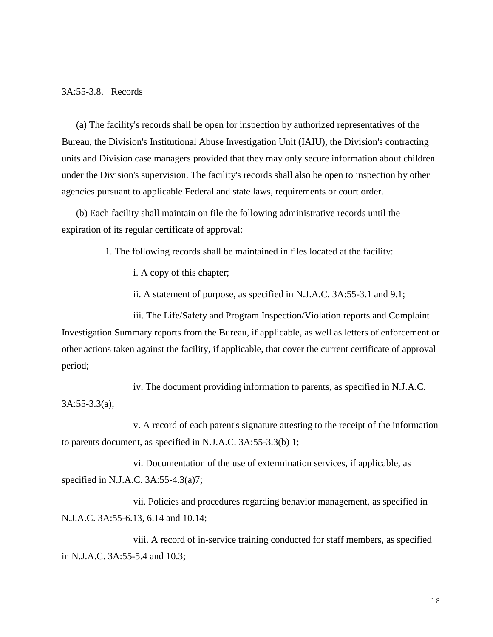#### 3A:55-3.8. Records

(a) The facility's records shall be open for inspection by authorized representatives of the Bureau, the Division's Institutional Abuse Investigation Unit (IAIU), the Division's contracting units and Division case managers provided that they may only secure information about children under the Division's supervision. The facility's records shall also be open to inspection by other agencies pursuant to applicable Federal and state laws, requirements or court order.

(b) Each facility shall maintain on file the following administrative records until the expiration of its regular certificate of approval:

1. The following records shall be maintained in files located at the facility:

i. A copy of this chapter;

ii. A statement of purpose, as specified in N.J.A.C. 3A:55-3.1 and 9.1;

iii. The Life/Safety and Program Inspection/Violation reports and Complaint Investigation Summary reports from the Bureau, if applicable, as well as letters of enforcement or other actions taken against the facility, if applicable, that cover the current certificate of approval period;

iv. The document providing information to parents, as specified in N.J.A.C. 3A:55-3.3(a);

v. A record of each parent's signature attesting to the receipt of the information to parents document, as specified in N.J.A.C. 3A:55-3.3(b) 1;

vi. Documentation of the use of extermination services, if applicable, as specified in N.J.A.C. 3A:55-4.3(a)7;

vii. Policies and procedures regarding behavior management, as specified in N.J.A.C. 3A:55-6.13, 6.14 and 10.14;

viii. A record of in-service training conducted for staff members, as specified in N.J.A.C. 3A:55-5.4 and 10.3;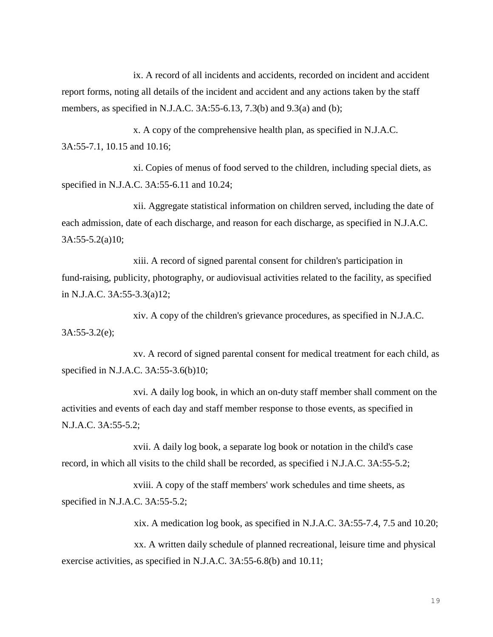ix. A record of all incidents and accidents, recorded on incident and accident report forms, noting all details of the incident and accident and any actions taken by the staff members, as specified in N.J.A.C. 3A:55-6.13, 7.3(b) and 9.3(a) and (b);

x. A copy of the comprehensive health plan, as specified in N.J.A.C. 3A:55-7.1, 10.15 and 10.16;

xi. Copies of menus of food served to the children, including special diets, as specified in N.J.A.C. 3A:55-6.11 and 10.24;

xii. Aggregate statistical information on children served, including the date of each admission, date of each discharge, and reason for each discharge, as specified in N.J.A.C. 3A:55-5.2(a)10;

xiii. A record of signed parental consent for children's participation in fund-raising, publicity, photography, or audiovisual activities related to the facility, as specified in N.J.A.C. 3A:55-3.3(a)12;

xiv. A copy of the children's grievance procedures, as specified in N.J.A.C. 3A:55-3.2(e);

xv. A record of signed parental consent for medical treatment for each child, as specified in N.J.A.C. 3A:55-3.6(b)10;

xvi. A daily log book, in which an on-duty staff member shall comment on the activities and events of each day and staff member response to those events, as specified in N.J.A.C. 3A:55-5.2;

xvii. A daily log book, a separate log book or notation in the child's case record, in which all visits to the child shall be recorded, as specified i N.J.A.C. 3A:55-5.2;

xviii. A copy of the staff members' work schedules and time sheets, as specified in N.J.A.C. 3A:55-5.2;

xix. A medication log book, as specified in N.J.A.C. 3A:55-7.4, 7.5 and 10.20;

xx. A written daily schedule of planned recreational, leisure time and physical exercise activities, as specified in N.J.A.C. 3A:55-6.8(b) and 10.11;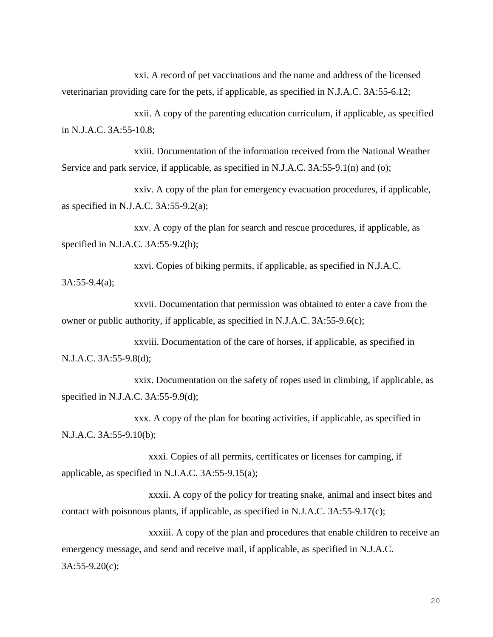xxi. A record of pet vaccinations and the name and address of the licensed veterinarian providing care for the pets, if applicable, as specified in N.J.A.C. 3A:55-6.12;

xxii. A copy of the parenting education curriculum, if applicable, as specified in N.J.A.C. 3A:55-10.8;

xxiii. Documentation of the information received from the National Weather Service and park service, if applicable, as specified in N.J.A.C. 3A:55-9.1(n) and (o);

xxiv. A copy of the plan for emergency evacuation procedures, if applicable, as specified in N.J.A.C. 3A:55-9.2(a);

xxv. A copy of the plan for search and rescue procedures, if applicable, as specified in N.J.A.C. 3A:55-9.2(b);

xxvi. Copies of biking permits, if applicable, as specified in N.J.A.C. 3A:55-9.4(a);

xxvii. Documentation that permission was obtained to enter a cave from the owner or public authority, if applicable, as specified in N.J.A.C. 3A:55-9.6(c);

xxviii. Documentation of the care of horses, if applicable, as specified in N.J.A.C. 3A:55-9.8(d);

xxix. Documentation on the safety of ropes used in climbing, if applicable, as specified in N.J.A.C. 3A:55-9.9(d);

xxx. A copy of the plan for boating activities, if applicable, as specified in N.J.A.C. 3A:55-9.10(b);

xxxi. Copies of all permits, certificates or licenses for camping, if applicable, as specified in N.J.A.C. 3A:55-9.15(a);

xxxii. A copy of the policy for treating snake, animal and insect bites and contact with poisonous plants, if applicable, as specified in N.J.A.C. 3A:55-9.17(c);

xxxiii. A copy of the plan and procedures that enable children to receive an emergency message, and send and receive mail, if applicable, as specified in N.J.A.C. 3A:55-9.20(c);

20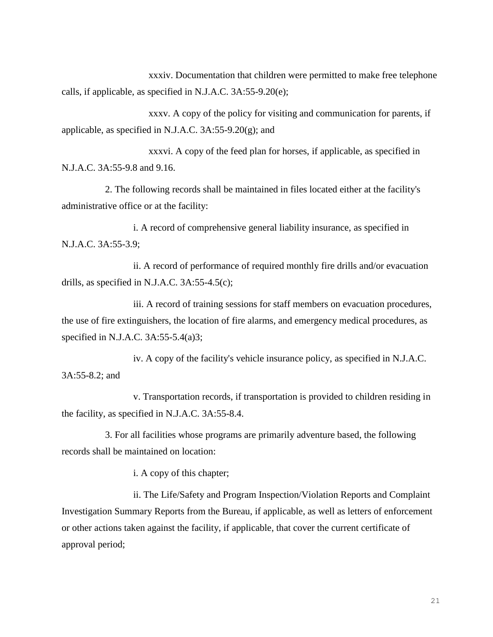xxxiv. Documentation that children were permitted to make free telephone calls, if applicable, as specified in N.J.A.C. 3A:55-9.20(e);

xxxv. A copy of the policy for visiting and communication for parents, if applicable, as specified in N.J.A.C. 3A:55-9.20(g); and

xxxvi. A copy of the feed plan for horses, if applicable, as specified in N.J.A.C. 3A:55-9.8 and 9.16.

2. The following records shall be maintained in files located either at the facility's administrative office or at the facility:

i. A record of comprehensive general liability insurance, as specified in N.J.A.C. 3A:55-3.9;

ii. A record of performance of required monthly fire drills and/or evacuation drills, as specified in N.J.A.C. 3A:55-4.5(c);

iii. A record of training sessions for staff members on evacuation procedures, the use of fire extinguishers, the location of fire alarms, and emergency medical procedures, as specified in N.J.A.C. 3A:55-5.4(a)3;

iv. A copy of the facility's vehicle insurance policy, as specified in N.J.A.C. 3A:55-8.2; and

v. Transportation records, if transportation is provided to children residing in the facility, as specified in N.J.A.C. 3A:55-8.4.

3. For all facilities whose programs are primarily adventure based, the following records shall be maintained on location:

i. A copy of this chapter;

ii. The Life/Safety and Program Inspection/Violation Reports and Complaint Investigation Summary Reports from the Bureau, if applicable, as well as letters of enforcement or other actions taken against the facility, if applicable, that cover the current certificate of approval period;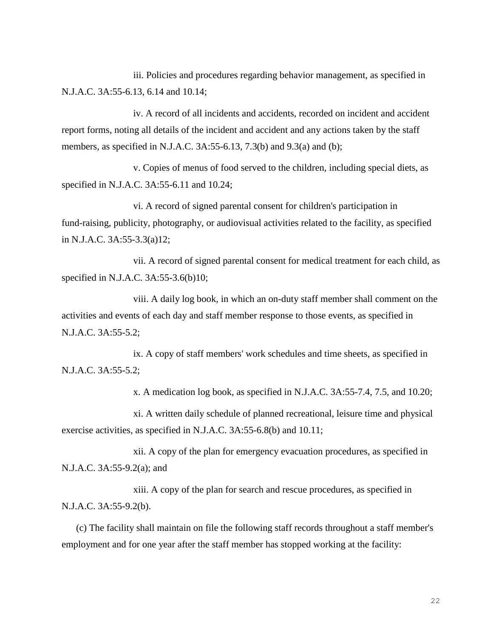iii. Policies and procedures regarding behavior management, as specified in N.J.A.C. 3A:55-6.13, 6.14 and 10.14;

iv. A record of all incidents and accidents, recorded on incident and accident report forms, noting all details of the incident and accident and any actions taken by the staff members, as specified in N.J.A.C. 3A:55-6.13, 7.3(b) and 9.3(a) and (b);

v. Copies of menus of food served to the children, including special diets, as specified in N.J.A.C. 3A:55-6.11 and 10.24;

vi. A record of signed parental consent for children's participation in fund-raising, publicity, photography, or audiovisual activities related to the facility, as specified in N.J.A.C. 3A:55-3.3(a)12;

vii. A record of signed parental consent for medical treatment for each child, as specified in N.J.A.C. 3A:55-3.6(b)10;

viii. A daily log book, in which an on-duty staff member shall comment on the activities and events of each day and staff member response to those events, as specified in N.J.A.C. 3A:55-5.2;

ix. A copy of staff members' work schedules and time sheets, as specified in N.J.A.C. 3A:55-5.2;

x. A medication log book, as specified in N.J.A.C. 3A:55-7.4, 7.5, and 10.20;

xi. A written daily schedule of planned recreational, leisure time and physical exercise activities, as specified in N.J.A.C. 3A:55-6.8(b) and 10.11;

xii. A copy of the plan for emergency evacuation procedures, as specified in N.J.A.C. 3A:55-9.2(a); and

xiii. A copy of the plan for search and rescue procedures, as specified in N.J.A.C. 3A:55-9.2(b).

(c) The facility shall maintain on file the following staff records throughout a staff member's employment and for one year after the staff member has stopped working at the facility: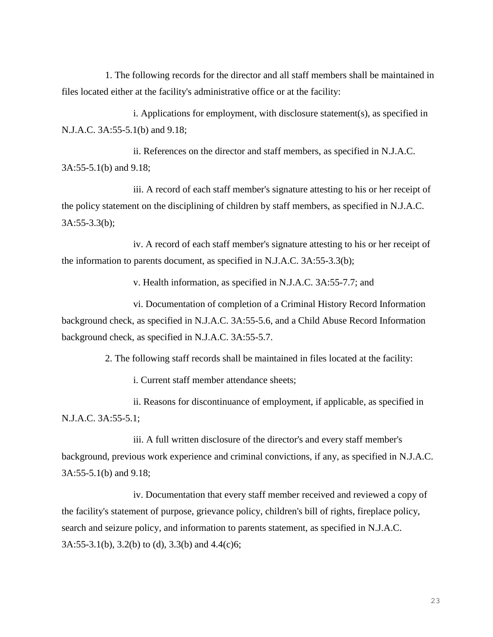1. The following records for the director and all staff members shall be maintained in files located either at the facility's administrative office or at the facility:

i. Applications for employment, with disclosure statement(s), as specified in N.J.A.C. 3A:55-5.1(b) and 9.18;

ii. References on the director and staff members, as specified in N.J.A.C. 3A:55-5.1(b) and 9.18;

iii. A record of each staff member's signature attesting to his or her receipt of the policy statement on the disciplining of children by staff members, as specified in N.J.A.C. 3A:55-3.3(b);

iv. A record of each staff member's signature attesting to his or her receipt of the information to parents document, as specified in N.J.A.C. 3A:55-3.3(b);

v. Health information, as specified in N.J.A.C. 3A:55-7.7; and

vi. Documentation of completion of a Criminal History Record Information background check, as specified in N.J.A.C. 3A:55-5.6, and a Child Abuse Record Information background check, as specified in N.J.A.C. 3A:55-5.7.

2. The following staff records shall be maintained in files located at the facility:

i. Current staff member attendance sheets;

ii. Reasons for discontinuance of employment, if applicable, as specified in N.J.A.C. 3A:55-5.1;

iii. A full written disclosure of the director's and every staff member's background, previous work experience and criminal convictions, if any, as specified in N.J.A.C. 3A:55-5.1(b) and 9.18;

iv. Documentation that every staff member received and reviewed a copy of the facility's statement of purpose, grievance policy, children's bill of rights, fireplace policy, search and seizure policy, and information to parents statement, as specified in N.J.A.C. 3A:55-3.1(b), 3.2(b) to (d), 3.3(b) and 4.4(c)6;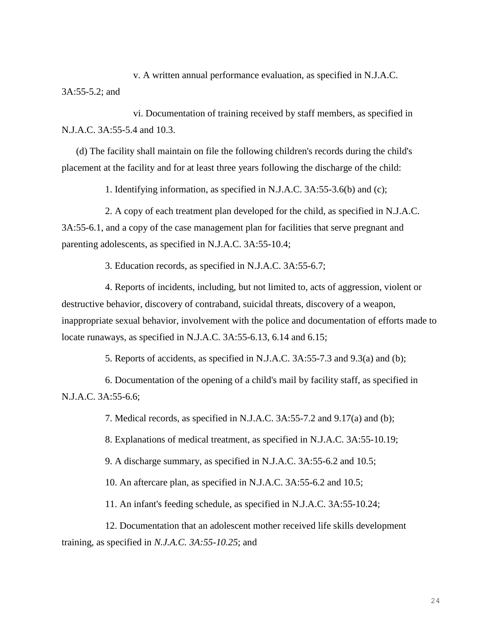v. A written annual performance evaluation, as specified in N.J.A.C. 3A:55-5.2; and

vi. Documentation of training received by staff members, as specified in N.J.A.C. 3A:55-5.4 and 10.3.

(d) The facility shall maintain on file the following children's records during the child's placement at the facility and for at least three years following the discharge of the child:

1. Identifying information, as specified in N.J.A.C. 3A:55-3.6(b) and (c);

2. A copy of each treatment plan developed for the child, as specified in N.J.A.C. 3A:55-6.1, and a copy of the case management plan for facilities that serve pregnant and parenting adolescents, as specified in N.J.A.C. 3A:55-10.4;

3. Education records, as specified in N.J.A.C. 3A:55-6.7;

4. Reports of incidents, including, but not limited to, acts of aggression, violent or destructive behavior, discovery of contraband, suicidal threats, discovery of a weapon, inappropriate sexual behavior, involvement with the police and documentation of efforts made to locate runaways, as specified in N.J.A.C. 3A:55-6.13, 6.14 and 6.15;

5. Reports of accidents, as specified in N.J.A.C. 3A:55-7.3 and 9.3(a) and (b);

6. Documentation of the opening of a child's mail by facility staff, as specified in N.J.A.C. 3A:55-6.6;

7. Medical records, as specified in N.J.A.C. 3A:55-7.2 and 9.17(a) and (b);

8. Explanations of medical treatment, as specified in N.J.A.C. 3A:55-10.19;

9. A discharge summary, as specified in N.J.A.C. 3A:55-6.2 and 10.5;

10. An aftercare plan, as specified in N.J.A.C. 3A:55-6.2 and 10.5;

11. An infant's feeding schedule, as specified in N.J.A.C. 3A:55-10.24;

12. Documentation that an adolescent mother received life skills development training, as specified in *N.J.A.C. 3A:55-10.25*; and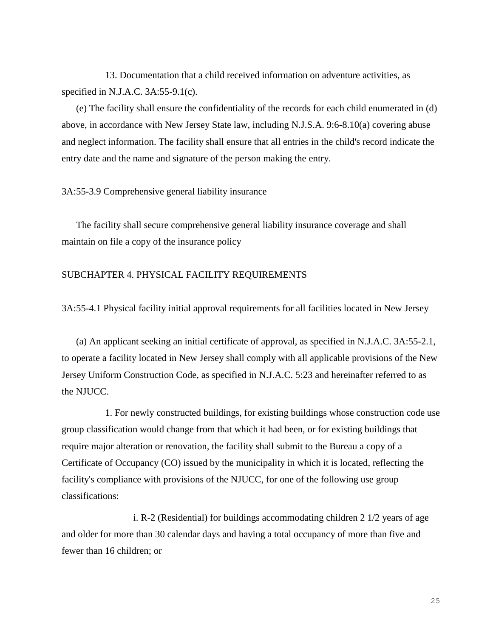13. Documentation that a child received information on adventure activities, as specified in N.J.A.C. 3A:55-9.1(c).

(e) The facility shall ensure the confidentiality of the records for each child enumerated in (d) above, in accordance with New Jersey State law, including N.J.S.A. 9:6-8.10(a) covering abuse and neglect information. The facility shall ensure that all entries in the child's record indicate the entry date and the name and signature of the person making the entry.

# 3A:55-3.9 Comprehensive general liability insurance

The facility shall secure comprehensive general liability insurance coverage and shall maintain on file a copy of the insurance policy

# SUBCHAPTER 4. PHYSICAL FACILITY REQUIREMENTS

3A:55-4.1 Physical facility initial approval requirements for all facilities located in New Jersey

(a) An applicant seeking an initial certificate of approval, as specified in N.J.A.C. 3A:55-2.1, to operate a facility located in New Jersey shall comply with all applicable provisions of the New Jersey Uniform Construction Code, as specified in N.J.A.C. 5:23 and hereinafter referred to as the NJUCC.

1. For newly constructed buildings, for existing buildings whose construction code use group classification would change from that which it had been, or for existing buildings that require major alteration or renovation, the facility shall submit to the Bureau a copy of a Certificate of Occupancy (CO) issued by the municipality in which it is located, reflecting the facility's compliance with provisions of the NJUCC, for one of the following use group classifications:

i. R-2 (Residential) for buildings accommodating children 2 1/2 years of age and older for more than 30 calendar days and having a total occupancy of more than five and fewer than 16 children; or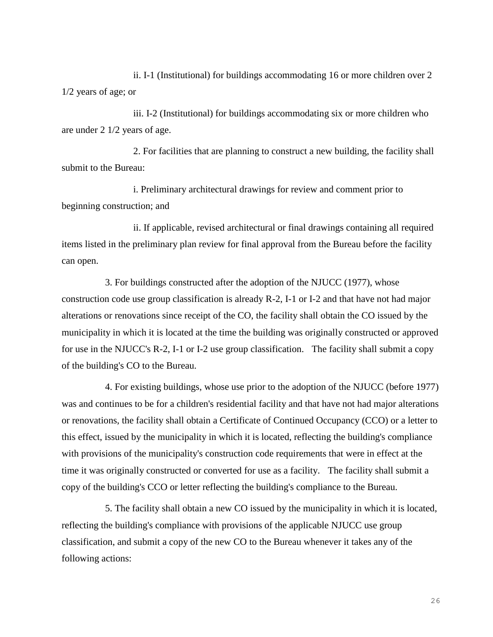ii. I-1 (Institutional) for buildings accommodating 16 or more children over 2 1/2 years of age; or

iii. I-2 (Institutional) for buildings accommodating six or more children who are under 2 1/2 years of age.

2. For facilities that are planning to construct a new building, the facility shall submit to the Bureau:

i. Preliminary architectural drawings for review and comment prior to beginning construction; and

ii. If applicable, revised architectural or final drawings containing all required items listed in the preliminary plan review for final approval from the Bureau before the facility can open.

3. For buildings constructed after the adoption of the NJUCC (1977), whose construction code use group classification is already R-2, I-1 or I-2 and that have not had major alterations or renovations since receipt of the CO, the facility shall obtain the CO issued by the municipality in which it is located at the time the building was originally constructed or approved for use in the NJUCC's R-2, I-1 or I-2 use group classification. The facility shall submit a copy of the building's CO to the Bureau.

4. For existing buildings, whose use prior to the adoption of the NJUCC (before 1977) was and continues to be for a children's residential facility and that have not had major alterations or renovations, the facility shall obtain a Certificate of Continued Occupancy (CCO) or a letter to this effect, issued by the municipality in which it is located, reflecting the building's compliance with provisions of the municipality's construction code requirements that were in effect at the time it was originally constructed or converted for use as a facility. The facility shall submit a copy of the building's CCO or letter reflecting the building's compliance to the Bureau.

5. The facility shall obtain a new CO issued by the municipality in which it is located, reflecting the building's compliance with provisions of the applicable NJUCC use group classification, and submit a copy of the new CO to the Bureau whenever it takes any of the following actions: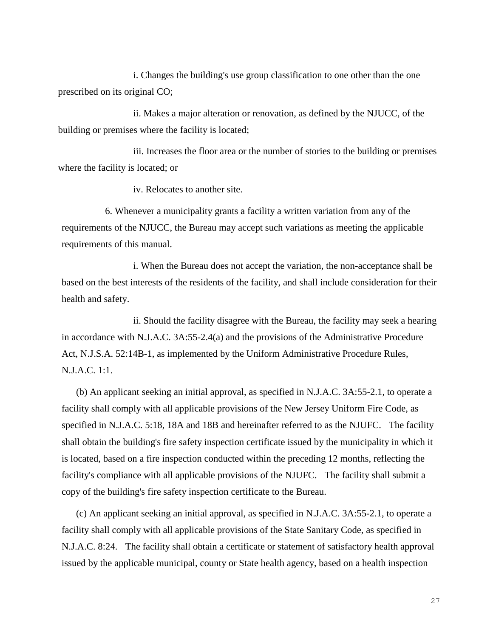i. Changes the building's use group classification to one other than the one prescribed on its original CO;

ii. Makes a major alteration or renovation, as defined by the NJUCC, of the building or premises where the facility is located;

iii. Increases the floor area or the number of stories to the building or premises where the facility is located; or

iv. Relocates to another site.

6. Whenever a municipality grants a facility a written variation from any of the requirements of the NJUCC, the Bureau may accept such variations as meeting the applicable requirements of this manual.

i. When the Bureau does not accept the variation, the non-acceptance shall be based on the best interests of the residents of the facility, and shall include consideration for their health and safety.

ii. Should the facility disagree with the Bureau, the facility may seek a hearing in accordance with N.J.A.C. 3A:55-2.4(a) and the provisions of the Administrative Procedure Act, N.J.S.A. 52:14B-1, as implemented by the Uniform Administrative Procedure Rules, N.J.A.C. 1:1.

(b) An applicant seeking an initial approval, as specified in N.J.A.C. 3A:55-2.1, to operate a facility shall comply with all applicable provisions of the New Jersey Uniform Fire Code, as specified in N.J.A.C. 5:18, 18A and 18B and hereinafter referred to as the NJUFC. The facility shall obtain the building's fire safety inspection certificate issued by the municipality in which it is located, based on a fire inspection conducted within the preceding 12 months, reflecting the facility's compliance with all applicable provisions of the NJUFC. The facility shall submit a copy of the building's fire safety inspection certificate to the Bureau.

(c) An applicant seeking an initial approval, as specified in N.J.A.C. 3A:55-2.1, to operate a facility shall comply with all applicable provisions of the State Sanitary Code, as specified in N.J.A.C. 8:24. The facility shall obtain a certificate or statement of satisfactory health approval issued by the applicable municipal, county or State health agency, based on a health inspection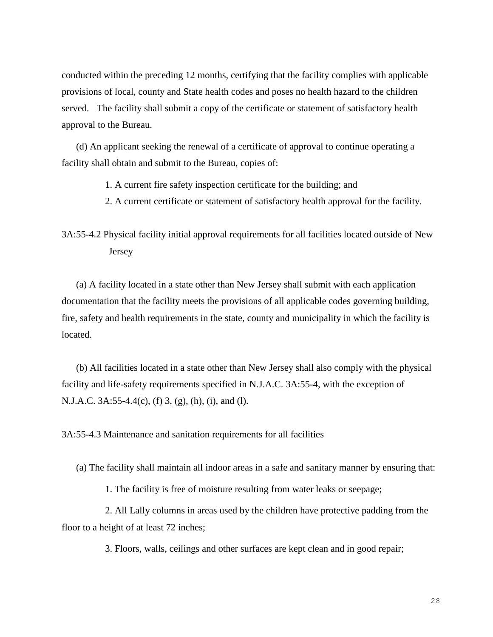conducted within the preceding 12 months, certifying that the facility complies with applicable provisions of local, county and State health codes and poses no health hazard to the children served. The facility shall submit a copy of the certificate or statement of satisfactory health approval to the Bureau.

(d) An applicant seeking the renewal of a certificate of approval to continue operating a facility shall obtain and submit to the Bureau, copies of:

1. A current fire safety inspection certificate for the building; and

2. A current certificate or statement of satisfactory health approval for the facility.

3A:55-4.2 Physical facility initial approval requirements for all facilities located outside of New Jersey

(a) A facility located in a state other than New Jersey shall submit with each application documentation that the facility meets the provisions of all applicable codes governing building, fire, safety and health requirements in the state, county and municipality in which the facility is located.

(b) All facilities located in a state other than New Jersey shall also comply with the physical facility and life-safety requirements specified in N.J.A.C. 3A:55-4, with the exception of N.J.A.C. 3A:55-4.4(c), (f) 3, (g), (h), (i), and (l).

3A:55-4.3 Maintenance and sanitation requirements for all facilities

(a) The facility shall maintain all indoor areas in a safe and sanitary manner by ensuring that:

1. The facility is free of moisture resulting from water leaks or seepage;

2. All Lally columns in areas used by the children have protective padding from the floor to a height of at least 72 inches;

3. Floors, walls, ceilings and other surfaces are kept clean and in good repair;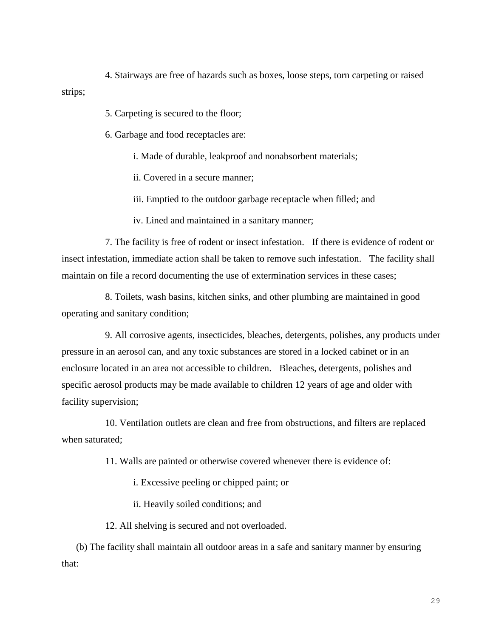4. Stairways are free of hazards such as boxes, loose steps, torn carpeting or raised strips;

5. Carpeting is secured to the floor;

6. Garbage and food receptacles are:

i. Made of durable, leakproof and nonabsorbent materials;

ii. Covered in a secure manner;

iii. Emptied to the outdoor garbage receptacle when filled; and

iv. Lined and maintained in a sanitary manner;

7. The facility is free of rodent or insect infestation. If there is evidence of rodent or insect infestation, immediate action shall be taken to remove such infestation. The facility shall maintain on file a record documenting the use of extermination services in these cases;

8. Toilets, wash basins, kitchen sinks, and other plumbing are maintained in good operating and sanitary condition;

9. All corrosive agents, insecticides, bleaches, detergents, polishes, any products under pressure in an aerosol can, and any toxic substances are stored in a locked cabinet or in an enclosure located in an area not accessible to children. Bleaches, detergents, polishes and specific aerosol products may be made available to children 12 years of age and older with facility supervision;

10. Ventilation outlets are clean and free from obstructions, and filters are replaced when saturated;

11. Walls are painted or otherwise covered whenever there is evidence of:

i. Excessive peeling or chipped paint; or

ii. Heavily soiled conditions; and

12. All shelving is secured and not overloaded.

(b) The facility shall maintain all outdoor areas in a safe and sanitary manner by ensuring that: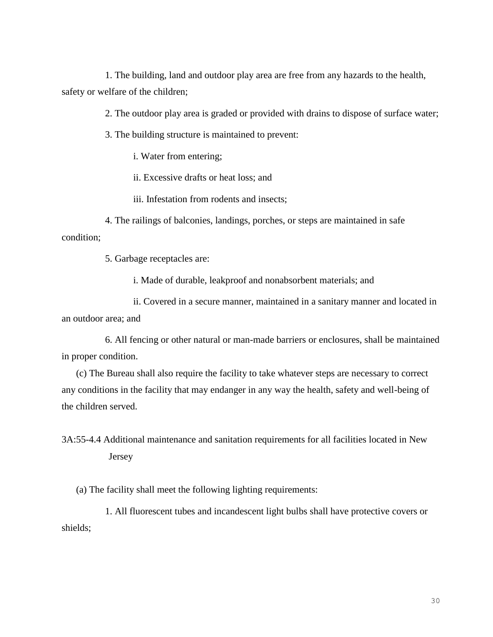1. The building, land and outdoor play area are free from any hazards to the health, safety or welfare of the children;

2. The outdoor play area is graded or provided with drains to dispose of surface water;

3. The building structure is maintained to prevent:

i. Water from entering;

ii. Excessive drafts or heat loss; and

iii. Infestation from rodents and insects;

4. The railings of balconies, landings, porches, or steps are maintained in safe condition;

5. Garbage receptacles are:

i. Made of durable, leakproof and nonabsorbent materials; and

ii. Covered in a secure manner, maintained in a sanitary manner and located in an outdoor area; and

6. All fencing or other natural or man-made barriers or enclosures, shall be maintained in proper condition.

(c) The Bureau shall also require the facility to take whatever steps are necessary to correct any conditions in the facility that may endanger in any way the health, safety and well-being of the children served.

3A:55-4.4 Additional maintenance and sanitation requirements for all facilities located in New Jersey

(a) The facility shall meet the following lighting requirements:

1. All fluorescent tubes and incandescent light bulbs shall have protective covers or shields;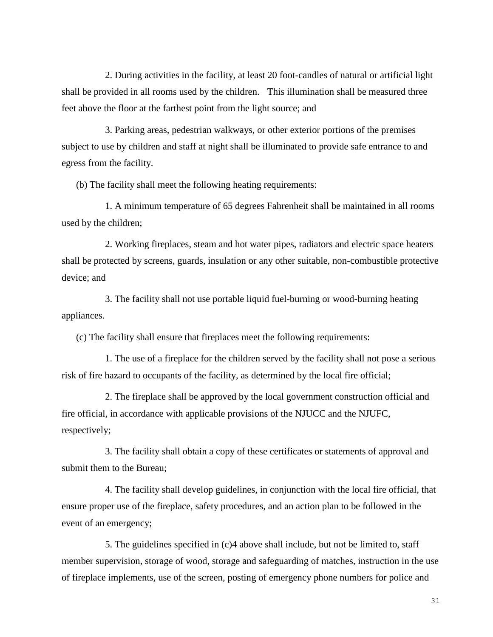2. During activities in the facility, at least 20 foot-candles of natural or artificial light shall be provided in all rooms used by the children. This illumination shall be measured three feet above the floor at the farthest point from the light source; and

3. Parking areas, pedestrian walkways, or other exterior portions of the premises subject to use by children and staff at night shall be illuminated to provide safe entrance to and egress from the facility.

(b) The facility shall meet the following heating requirements:

1. A minimum temperature of 65 degrees Fahrenheit shall be maintained in all rooms used by the children;

2. Working fireplaces, steam and hot water pipes, radiators and electric space heaters shall be protected by screens, guards, insulation or any other suitable, non-combustible protective device; and

3. The facility shall not use portable liquid fuel-burning or wood-burning heating appliances.

(c) The facility shall ensure that fireplaces meet the following requirements:

1. The use of a fireplace for the children served by the facility shall not pose a serious risk of fire hazard to occupants of the facility, as determined by the local fire official;

2. The fireplace shall be approved by the local government construction official and fire official, in accordance with applicable provisions of the NJUCC and the NJUFC, respectively;

3. The facility shall obtain a copy of these certificates or statements of approval and submit them to the Bureau;

4. The facility shall develop guidelines, in conjunction with the local fire official, that ensure proper use of the fireplace, safety procedures, and an action plan to be followed in the event of an emergency;

5. The guidelines specified in (c)4 above shall include, but not be limited to, staff member supervision, storage of wood, storage and safeguarding of matches, instruction in the use of fireplace implements, use of the screen, posting of emergency phone numbers for police and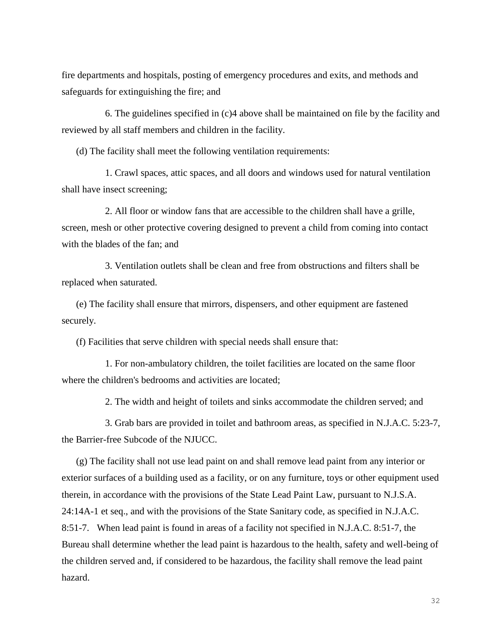fire departments and hospitals, posting of emergency procedures and exits, and methods and safeguards for extinguishing the fire; and

6. The guidelines specified in (c)4 above shall be maintained on file by the facility and reviewed by all staff members and children in the facility.

(d) The facility shall meet the following ventilation requirements:

1. Crawl spaces, attic spaces, and all doors and windows used for natural ventilation shall have insect screening;

2. All floor or window fans that are accessible to the children shall have a grille, screen, mesh or other protective covering designed to prevent a child from coming into contact with the blades of the fan; and

3. Ventilation outlets shall be clean and free from obstructions and filters shall be replaced when saturated.

(e) The facility shall ensure that mirrors, dispensers, and other equipment are fastened securely.

(f) Facilities that serve children with special needs shall ensure that:

1. For non-ambulatory children, the toilet facilities are located on the same floor where the children's bedrooms and activities are located;

2. The width and height of toilets and sinks accommodate the children served; and

3. Grab bars are provided in toilet and bathroom areas, as specified in N.J.A.C. 5:23-7, the Barrier-free Subcode of the NJUCC.

(g) The facility shall not use lead paint on and shall remove lead paint from any interior or exterior surfaces of a building used as a facility, or on any furniture, toys or other equipment used therein, in accordance with the provisions of the State Lead Paint Law, pursuant to N.J.S.A. 24:14A-1 et seq., and with the provisions of the State Sanitary code, as specified in N.J.A.C. 8:51-7. When lead paint is found in areas of a facility not specified in N.J.A.C. 8:51-7, the Bureau shall determine whether the lead paint is hazardous to the health, safety and well-being of the children served and, if considered to be hazardous, the facility shall remove the lead paint hazard.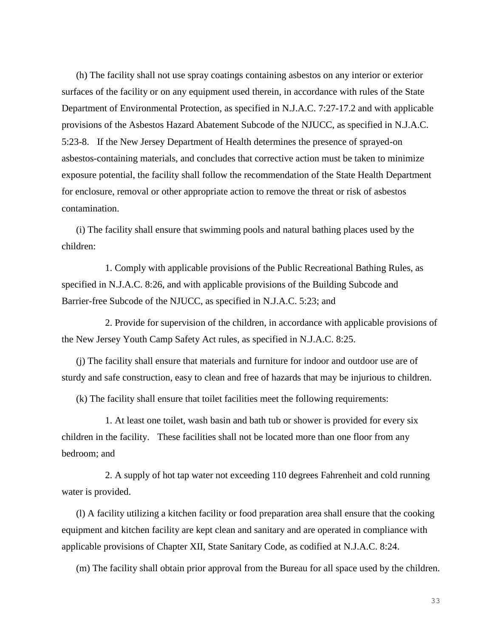(h) The facility shall not use spray coatings containing asbestos on any interior or exterior surfaces of the facility or on any equipment used therein, in accordance with rules of the State Department of Environmental Protection, as specified in N.J.A.C. 7:27-17.2 and with applicable provisions of the Asbestos Hazard Abatement Subcode of the NJUCC, as specified in N.J.A.C. 5:23-8. If the New Jersey Department of Health determines the presence of sprayed-on asbestos-containing materials, and concludes that corrective action must be taken to minimize exposure potential, the facility shall follow the recommendation of the State Health Department for enclosure, removal or other appropriate action to remove the threat or risk of asbestos contamination.

(i) The facility shall ensure that swimming pools and natural bathing places used by the children:

1. Comply with applicable provisions of the Public Recreational Bathing Rules, as specified in N.J.A.C. 8:26, and with applicable provisions of the Building Subcode and Barrier-free Subcode of the NJUCC, as specified in N.J.A.C. 5:23; and

2. Provide for supervision of the children, in accordance with applicable provisions of the New Jersey Youth Camp Safety Act rules, as specified in N.J.A.C. 8:25.

(j) The facility shall ensure that materials and furniture for indoor and outdoor use are of sturdy and safe construction, easy to clean and free of hazards that may be injurious to children.

(k) The facility shall ensure that toilet facilities meet the following requirements:

1. At least one toilet, wash basin and bath tub or shower is provided for every six children in the facility. These facilities shall not be located more than one floor from any bedroom; and

2. A supply of hot tap water not exceeding 110 degrees Fahrenheit and cold running water is provided.

(l) A facility utilizing a kitchen facility or food preparation area shall ensure that the cooking equipment and kitchen facility are kept clean and sanitary and are operated in compliance with applicable provisions of Chapter XII, State Sanitary Code, as codified at N.J.A.C. 8:24.

(m) The facility shall obtain prior approval from the Bureau for all space used by the children.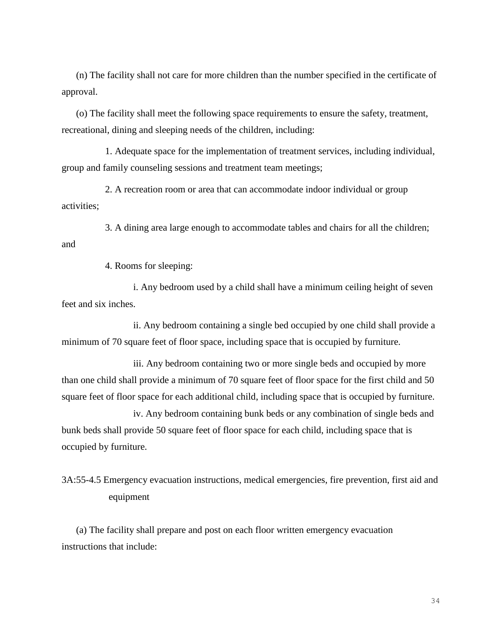(n) The facility shall not care for more children than the number specified in the certificate of approval.

(o) The facility shall meet the following space requirements to ensure the safety, treatment, recreational, dining and sleeping needs of the children, including:

1. Adequate space for the implementation of treatment services, including individual, group and family counseling sessions and treatment team meetings;

2. A recreation room or area that can accommodate indoor individual or group activities;

3. A dining area large enough to accommodate tables and chairs for all the children; and

4. Rooms for sleeping:

i. Any bedroom used by a child shall have a minimum ceiling height of seven feet and six inches.

ii. Any bedroom containing a single bed occupied by one child shall provide a minimum of 70 square feet of floor space, including space that is occupied by furniture.

iii. Any bedroom containing two or more single beds and occupied by more than one child shall provide a minimum of 70 square feet of floor space for the first child and 50 square feet of floor space for each additional child, including space that is occupied by furniture.

iv. Any bedroom containing bunk beds or any combination of single beds and bunk beds shall provide 50 square feet of floor space for each child, including space that is occupied by furniture.

3A:55-4.5 Emergency evacuation instructions, medical emergencies, fire prevention, first aid and equipment

(a) The facility shall prepare and post on each floor written emergency evacuation instructions that include: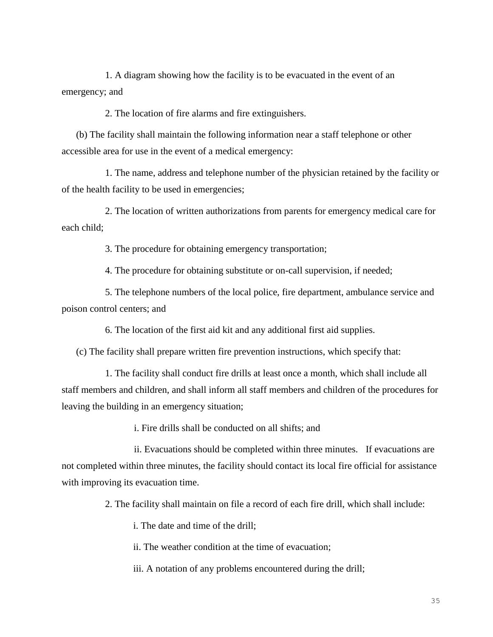1. A diagram showing how the facility is to be evacuated in the event of an emergency; and

2. The location of fire alarms and fire extinguishers.

(b) The facility shall maintain the following information near a staff telephone or other accessible area for use in the event of a medical emergency:

1. The name, address and telephone number of the physician retained by the facility or of the health facility to be used in emergencies;

2. The location of written authorizations from parents for emergency medical care for each child;

3. The procedure for obtaining emergency transportation;

4. The procedure for obtaining substitute or on-call supervision, if needed;

5. The telephone numbers of the local police, fire department, ambulance service and poison control centers; and

6. The location of the first aid kit and any additional first aid supplies.

(c) The facility shall prepare written fire prevention instructions, which specify that:

1. The facility shall conduct fire drills at least once a month, which shall include all staff members and children, and shall inform all staff members and children of the procedures for leaving the building in an emergency situation;

i. Fire drills shall be conducted on all shifts; and

ii. Evacuations should be completed within three minutes. If evacuations are not completed within three minutes, the facility should contact its local fire official for assistance with improving its evacuation time.

2. The facility shall maintain on file a record of each fire drill, which shall include:

i. The date and time of the drill;

ii. The weather condition at the time of evacuation;

iii. A notation of any problems encountered during the drill;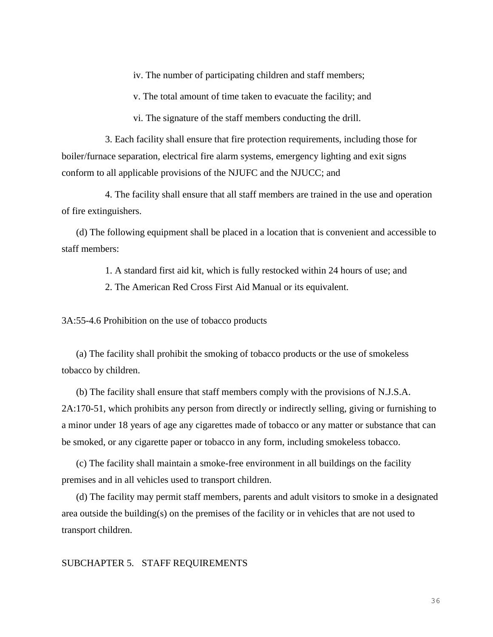iv. The number of participating children and staff members;

v. The total amount of time taken to evacuate the facility; and

vi. The signature of the staff members conducting the drill.

3. Each facility shall ensure that fire protection requirements, including those for boiler/furnace separation, electrical fire alarm systems, emergency lighting and exit signs conform to all applicable provisions of the NJUFC and the NJUCC; and

4. The facility shall ensure that all staff members are trained in the use and operation of fire extinguishers.

(d) The following equipment shall be placed in a location that is convenient and accessible to staff members:

1. A standard first aid kit, which is fully restocked within 24 hours of use; and

2. The American Red Cross First Aid Manual or its equivalent.

3A:55-4.6 Prohibition on the use of tobacco products

(a) The facility shall prohibit the smoking of tobacco products or the use of smokeless tobacco by children.

(b) The facility shall ensure that staff members comply with the provisions of N.J.S.A. 2A:170-51, which prohibits any person from directly or indirectly selling, giving or furnishing to a minor under 18 years of age any cigarettes made of tobacco or any matter or substance that can be smoked, or any cigarette paper or tobacco in any form, including smokeless tobacco.

(c) The facility shall maintain a smoke-free environment in all buildings on the facility premises and in all vehicles used to transport children.

(d) The facility may permit staff members, parents and adult visitors to smoke in a designated area outside the building(s) on the premises of the facility or in vehicles that are not used to transport children.

### SUBCHAPTER 5. STAFF REQUIREMENTS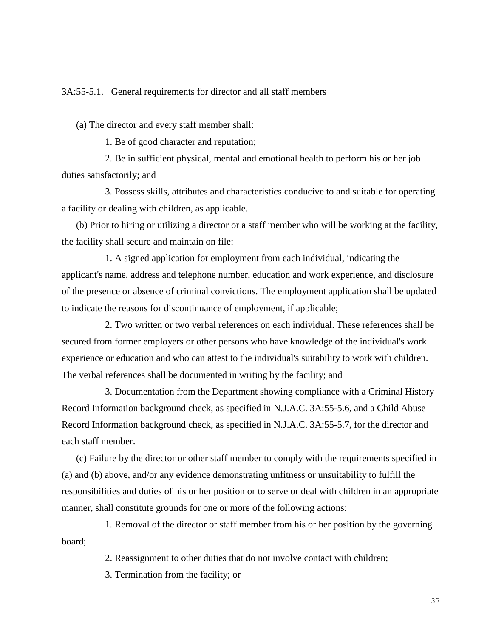3A:55-5.1. General requirements for director and all staff members

(a) The director and every staff member shall:

1. Be of good character and reputation;

2. Be in sufficient physical, mental and emotional health to perform his or her job duties satisfactorily; and

3. Possess skills, attributes and characteristics conducive to and suitable for operating a facility or dealing with children, as applicable.

(b) Prior to hiring or utilizing a director or a staff member who will be working at the facility, the facility shall secure and maintain on file:

1. A signed application for employment from each individual, indicating the applicant's name, address and telephone number, education and work experience, and disclosure of the presence or absence of criminal convictions. The employment application shall be updated to indicate the reasons for discontinuance of employment, if applicable;

2. Two written or two verbal references on each individual. These references shall be secured from former employers or other persons who have knowledge of the individual's work experience or education and who can attest to the individual's suitability to work with children. The verbal references shall be documented in writing by the facility; and

3. Documentation from the Department showing compliance with a Criminal History Record Information background check, as specified in N.J.A.C. 3A:55-5.6, and a Child Abuse Record Information background check, as specified in N.J.A.C. 3A:55-5.7, for the director and each staff member.

(c) Failure by the director or other staff member to comply with the requirements specified in (a) and (b) above, and/or any evidence demonstrating unfitness or unsuitability to fulfill the responsibilities and duties of his or her position or to serve or deal with children in an appropriate manner, shall constitute grounds for one or more of the following actions:

1. Removal of the director or staff member from his or her position by the governing board;

2. Reassignment to other duties that do not involve contact with children;

3. Termination from the facility; or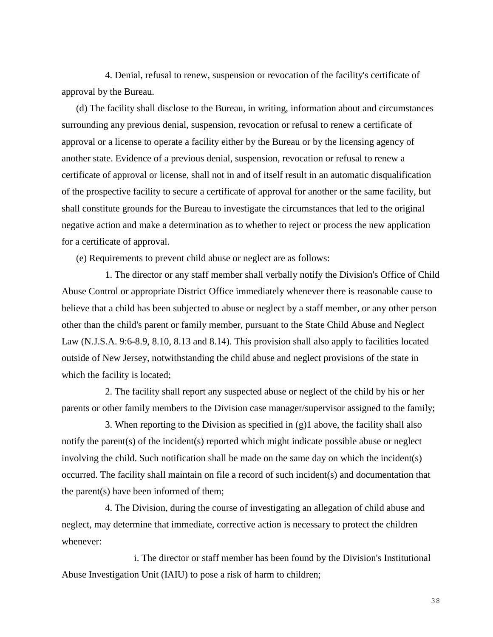4. Denial, refusal to renew, suspension or revocation of the facility's certificate of approval by the Bureau.

(d) The facility shall disclose to the Bureau, in writing, information about and circumstances surrounding any previous denial, suspension, revocation or refusal to renew a certificate of approval or a license to operate a facility either by the Bureau or by the licensing agency of another state. Evidence of a previous denial, suspension, revocation or refusal to renew a certificate of approval or license, shall not in and of itself result in an automatic disqualification of the prospective facility to secure a certificate of approval for another or the same facility, but shall constitute grounds for the Bureau to investigate the circumstances that led to the original negative action and make a determination as to whether to reject or process the new application for a certificate of approval.

(e) Requirements to prevent child abuse or neglect are as follows:

1. The director or any staff member shall verbally notify the Division's Office of Child Abuse Control or appropriate District Office immediately whenever there is reasonable cause to believe that a child has been subjected to abuse or neglect by a staff member, or any other person other than the child's parent or family member, pursuant to the State Child Abuse and Neglect Law (N.J.S.A. 9:6-8.9, 8.10, 8.13 and 8.14). This provision shall also apply to facilities located outside of New Jersey, notwithstanding the child abuse and neglect provisions of the state in which the facility is located;

2. The facility shall report any suspected abuse or neglect of the child by his or her parents or other family members to the Division case manager/supervisor assigned to the family;

3. When reporting to the Division as specified in (g)1 above, the facility shall also notify the parent(s) of the incident(s) reported which might indicate possible abuse or neglect involving the child. Such notification shall be made on the same day on which the incident(s) occurred. The facility shall maintain on file a record of such incident(s) and documentation that the parent(s) have been informed of them;

4. The Division, during the course of investigating an allegation of child abuse and neglect, may determine that immediate, corrective action is necessary to protect the children whenever:

i. The director or staff member has been found by the Division's Institutional Abuse Investigation Unit (IAIU) to pose a risk of harm to children;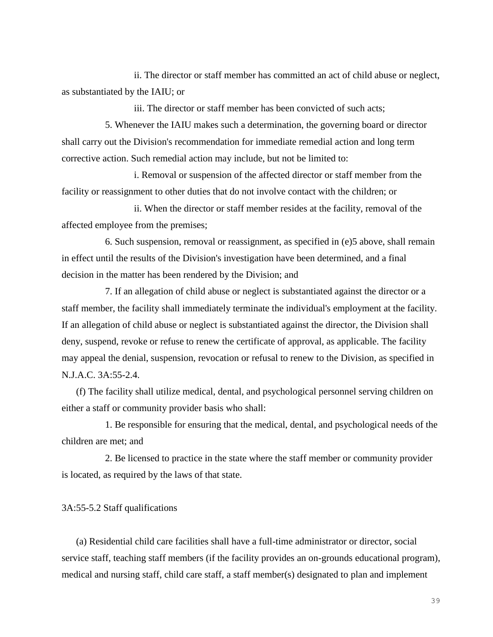ii. The director or staff member has committed an act of child abuse or neglect, as substantiated by the IAIU; or

iii. The director or staff member has been convicted of such acts;

5. Whenever the IAIU makes such a determination, the governing board or director shall carry out the Division's recommendation for immediate remedial action and long term corrective action. Such remedial action may include, but not be limited to:

i. Removal or suspension of the affected director or staff member from the facility or reassignment to other duties that do not involve contact with the children; or

ii. When the director or staff member resides at the facility, removal of the affected employee from the premises;

6. Such suspension, removal or reassignment, as specified in (e)5 above, shall remain in effect until the results of the Division's investigation have been determined, and a final decision in the matter has been rendered by the Division; and

7. If an allegation of child abuse or neglect is substantiated against the director or a staff member, the facility shall immediately terminate the individual's employment at the facility. If an allegation of child abuse or neglect is substantiated against the director, the Division shall deny, suspend, revoke or refuse to renew the certificate of approval, as applicable. The facility may appeal the denial, suspension, revocation or refusal to renew to the Division, as specified in N.J.A.C. 3A:55-2.4.

(f) The facility shall utilize medical, dental, and psychological personnel serving children on either a staff or community provider basis who shall:

1. Be responsible for ensuring that the medical, dental, and psychological needs of the children are met; and

2. Be licensed to practice in the state where the staff member or community provider is located, as required by the laws of that state.

#### 3A:55-5.2 Staff qualifications

(a) Residential child care facilities shall have a full-time administrator or director, social service staff, teaching staff members (if the facility provides an on-grounds educational program), medical and nursing staff, child care staff, a staff member(s) designated to plan and implement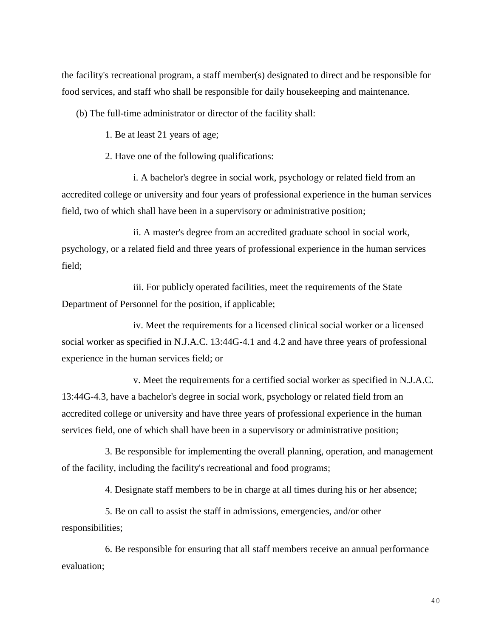the facility's recreational program, a staff member(s) designated to direct and be responsible for food services, and staff who shall be responsible for daily housekeeping and maintenance.

(b) The full-time administrator or director of the facility shall:

1. Be at least 21 years of age;

2. Have one of the following qualifications:

i. A bachelor's degree in social work, psychology or related field from an accredited college or university and four years of professional experience in the human services field, two of which shall have been in a supervisory or administrative position;

ii. A master's degree from an accredited graduate school in social work, psychology, or a related field and three years of professional experience in the human services field;

iii. For publicly operated facilities, meet the requirements of the State Department of Personnel for the position, if applicable;

iv. Meet the requirements for a licensed clinical social worker or a licensed social worker as specified in N.J.A.C. 13:44G-4.1 and 4.2 and have three years of professional experience in the human services field; or

v. Meet the requirements for a certified social worker as specified in N.J.A.C. 13:44G-4.3, have a bachelor's degree in social work, psychology or related field from an accredited college or university and have three years of professional experience in the human services field, one of which shall have been in a supervisory or administrative position;

3. Be responsible for implementing the overall planning, operation, and management of the facility, including the facility's recreational and food programs;

4. Designate staff members to be in charge at all times during his or her absence;

5. Be on call to assist the staff in admissions, emergencies, and/or other responsibilities;

6. Be responsible for ensuring that all staff members receive an annual performance evaluation;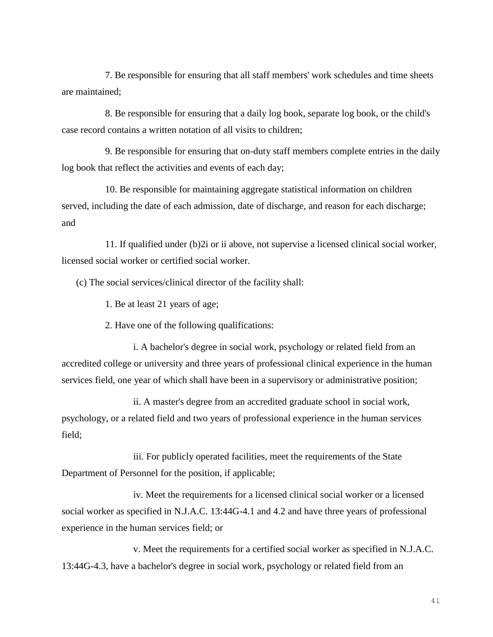7. Be responsible for ensuring that all staff members' work schedules and time sheets are maintained;

8. Be responsible for ensuring that a daily log book, separate log book, or the child's case record contains a written notation of all visits to children;

9. Be responsible for ensuring that on-duty staff members complete entries in the daily log book that reflect the activities and events of each day;

10. Be responsible for maintaining aggregate statistical information on children served, including the date of each admission, date of discharge, and reason for each discharge; and

11. If qualified under (b)2i or ii above, not supervise a licensed clinical social worker, licensed social worker or certified social worker.

(c) The social services/clinical director of the facility shall:

1. Be at least 21 years of age;

2. Have one of the following qualifications:

i. A bachelor's degree in social work, psychology or related field from an accredited college or university and three years of professional clinical experience in the human services field, one year of which shall have been in a supervisory or administrative position;

ii. A master's degree from an accredited graduate school in social work, psychology, or a related field and two years of professional experience in the human services field;

iii. For publicly operated facilities, meet the requirements of the State Department of Personnel for the position, if applicable;

iv. Meet the requirements for a licensed clinical social worker or a licensed social worker as specified in N.J.A.C. 13:44G-4.1 and 4.2 and have three years of professional experience in the human services field; or

v. Meet the requirements for a certified social worker as specified in N.J.A.C. 13:44G-4.3, have a bachelor's degree in social work, psychology or related field from an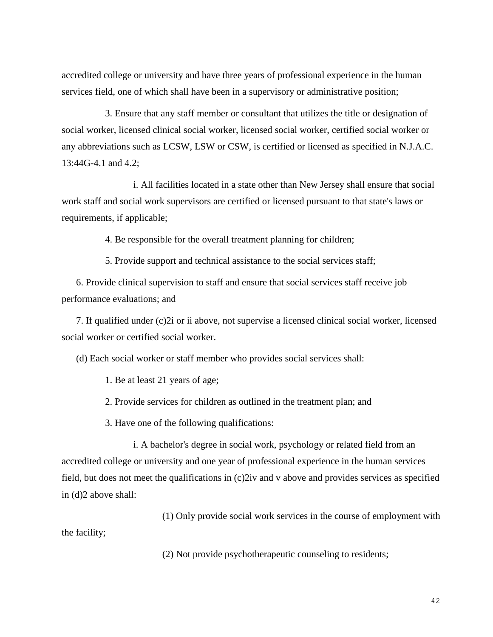accredited college or university and have three years of professional experience in the human services field, one of which shall have been in a supervisory or administrative position;

3. Ensure that any staff member or consultant that utilizes the title or designation of social worker, licensed clinical social worker, licensed social worker, certified social worker or any abbreviations such as LCSW, LSW or CSW, is certified or licensed as specified in N.J.A.C. 13:44G-4.1 and 4.2;

i. All facilities located in a state other than New Jersey shall ensure that social work staff and social work supervisors are certified or licensed pursuant to that state's laws or requirements, if applicable;

4. Be responsible for the overall treatment planning for children;

5. Provide support and technical assistance to the social services staff;

6. Provide clinical supervision to staff and ensure that social services staff receive job performance evaluations; and

7. If qualified under (c)2i or ii above, not supervise a licensed clinical social worker, licensed social worker or certified social worker.

(d) Each social worker or staff member who provides social services shall:

1. Be at least 21 years of age;

2. Provide services for children as outlined in the treatment plan; and

3. Have one of the following qualifications:

i. A bachelor's degree in social work, psychology or related field from an accredited college or university and one year of professional experience in the human services field, but does not meet the qualifications in (c)2iv and v above and provides services as specified in (d)2 above shall:

(1) Only provide social work services in the course of employment with the facility;

(2) Not provide psychotherapeutic counseling to residents;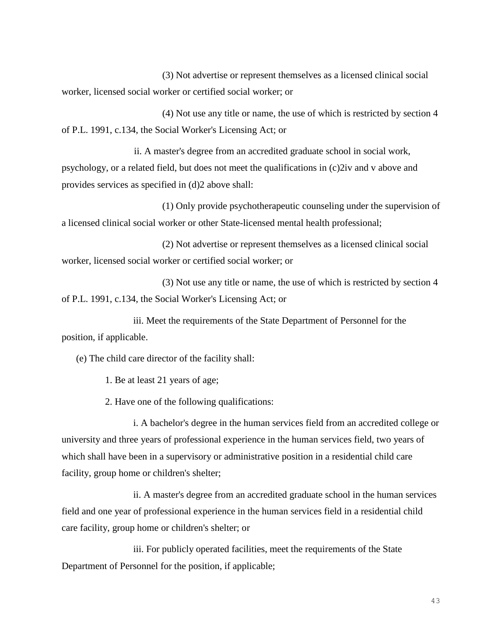(3) Not advertise or represent themselves as a licensed clinical social worker, licensed social worker or certified social worker; or

(4) Not use any title or name, the use of which is restricted by section 4 of P.L. 1991, c.134, the Social Worker's Licensing Act; or

ii. A master's degree from an accredited graduate school in social work, psychology, or a related field, but does not meet the qualifications in (c)2iv and v above and provides services as specified in (d)2 above shall:

(1) Only provide psychotherapeutic counseling under the supervision of a licensed clinical social worker or other State-licensed mental health professional;

(2) Not advertise or represent themselves as a licensed clinical social worker, licensed social worker or certified social worker; or

(3) Not use any title or name, the use of which is restricted by section 4 of P.L. 1991, c.134, the Social Worker's Licensing Act; or

iii. Meet the requirements of the State Department of Personnel for the position, if applicable.

(e) The child care director of the facility shall:

1. Be at least 21 years of age;

2. Have one of the following qualifications:

i. A bachelor's degree in the human services field from an accredited college or university and three years of professional experience in the human services field, two years of which shall have been in a supervisory or administrative position in a residential child care facility, group home or children's shelter;

ii. A master's degree from an accredited graduate school in the human services field and one year of professional experience in the human services field in a residential child care facility, group home or children's shelter; or

iii. For publicly operated facilities, meet the requirements of the State Department of Personnel for the position, if applicable;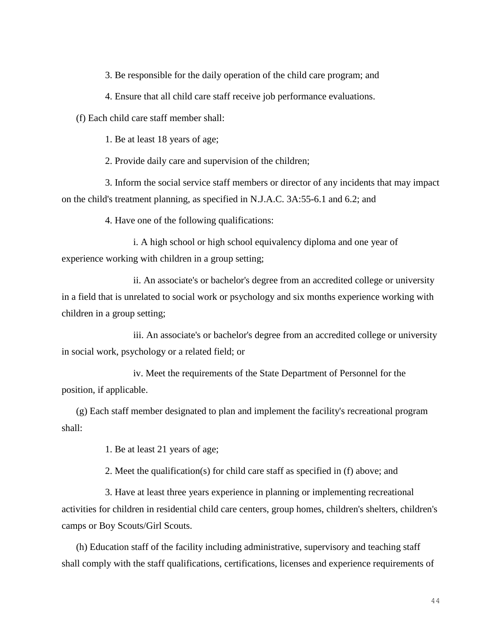3. Be responsible for the daily operation of the child care program; and

4. Ensure that all child care staff receive job performance evaluations.

(f) Each child care staff member shall:

1. Be at least 18 years of age;

2. Provide daily care and supervision of the children;

3. Inform the social service staff members or director of any incidents that may impact on the child's treatment planning, as specified in N.J.A.C. 3A:55-6.1 and 6.2; and

4. Have one of the following qualifications:

i. A high school or high school equivalency diploma and one year of experience working with children in a group setting;

ii. An associate's or bachelor's degree from an accredited college or university in a field that is unrelated to social work or psychology and six months experience working with children in a group setting;

iii. An associate's or bachelor's degree from an accredited college or university in social work, psychology or a related field; or

iv. Meet the requirements of the State Department of Personnel for the position, if applicable.

(g) Each staff member designated to plan and implement the facility's recreational program shall:

1. Be at least 21 years of age;

2. Meet the qualification(s) for child care staff as specified in (f) above; and

3. Have at least three years experience in planning or implementing recreational activities for children in residential child care centers, group homes, children's shelters, children's camps or Boy Scouts/Girl Scouts.

(h) Education staff of the facility including administrative, supervisory and teaching staff shall comply with the staff qualifications, certifications, licenses and experience requirements of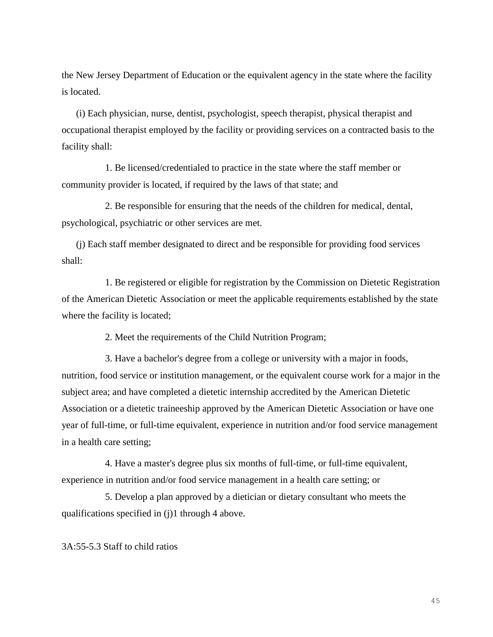the New Jersey Department of Education or the equivalent agency in the state where the facility is located.

(i) Each physician, nurse, dentist, psychologist, speech therapist, physical therapist and occupational therapist employed by the facility or providing services on a contracted basis to the facility shall:

1. Be licensed/credentialed to practice in the state where the staff member or community provider is located, if required by the laws of that state; and

2. Be responsible for ensuring that the needs of the children for medical, dental, psychological, psychiatric or other services are met.

(j) Each staff member designated to direct and be responsible for providing food services shall:

1. Be registered or eligible for registration by the Commission on Dietetic Registration of the American Dietetic Association or meet the applicable requirements established by the state where the facility is located;

2. Meet the requirements of the Child Nutrition Program;

3. Have a bachelor's degree from a college or university with a major in foods, nutrition, food service or institution management, or the equivalent course work for a major in the subject area; and have completed a dietetic internship accredited by the American Dietetic Association or a dietetic traineeship approved by the American Dietetic Association or have one year of full-time, or full-time equivalent, experience in nutrition and/or food service management in a health care setting;

4. Have a master's degree plus six months of full-time, or full-time equivalent, experience in nutrition and/or food service management in a health care setting; or

5. Develop a plan approved by a dietician or dietary consultant who meets the qualifications specified in (j)1 through 4 above.

3A:55-5.3 Staff to child ratios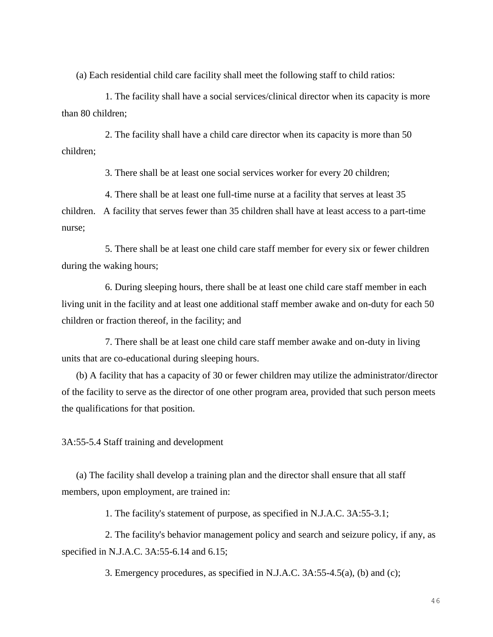(a) Each residential child care facility shall meet the following staff to child ratios:

1. The facility shall have a social services/clinical director when its capacity is more than 80 children;

2. The facility shall have a child care director when its capacity is more than 50 children;

3. There shall be at least one social services worker for every 20 children;

4. There shall be at least one full-time nurse at a facility that serves at least 35 children. A facility that serves fewer than 35 children shall have at least access to a part-time nurse;

5. There shall be at least one child care staff member for every six or fewer children during the waking hours;

6. During sleeping hours, there shall be at least one child care staff member in each living unit in the facility and at least one additional staff member awake and on-duty for each 50 children or fraction thereof, in the facility; and

7. There shall be at least one child care staff member awake and on-duty in living units that are co-educational during sleeping hours.

(b) A facility that has a capacity of 30 or fewer children may utilize the administrator/director of the facility to serve as the director of one other program area, provided that such person meets the qualifications for that position.

3A:55-5.4 Staff training and development

(a) The facility shall develop a training plan and the director shall ensure that all staff members, upon employment, are trained in:

1. The facility's statement of purpose, as specified in N.J.A.C. 3A:55-3.1;

2. The facility's behavior management policy and search and seizure policy, if any, as specified in N.J.A.C. 3A:55-6.14 and 6.15;

3. Emergency procedures, as specified in N.J.A.C. 3A:55-4.5(a), (b) and (c);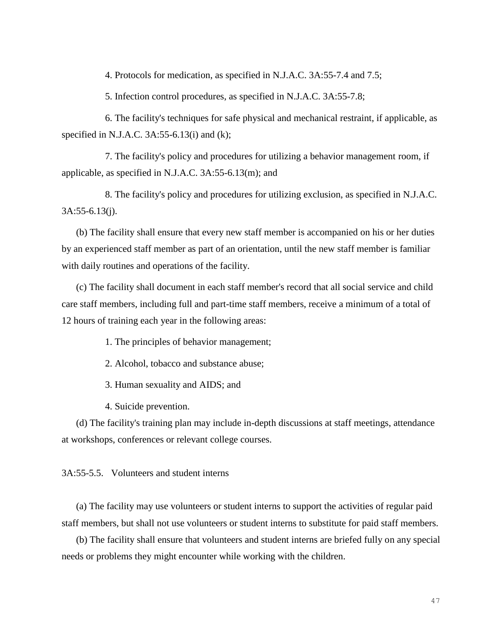4. Protocols for medication, as specified in N.J.A.C. 3A:55-7.4 and 7.5;

5. Infection control procedures, as specified in N.J.A.C. 3A:55-7.8;

6. The facility's techniques for safe physical and mechanical restraint, if applicable, as specified in N.J.A.C. 3A:55-6.13(i) and (k);

7. The facility's policy and procedures for utilizing a behavior management room, if applicable, as specified in N.J.A.C. 3A:55-6.13(m); and

8. The facility's policy and procedures for utilizing exclusion, as specified in N.J.A.C. 3A:55-6.13(j).

(b) The facility shall ensure that every new staff member is accompanied on his or her duties by an experienced staff member as part of an orientation, until the new staff member is familiar with daily routines and operations of the facility.

(c) The facility shall document in each staff member's record that all social service and child care staff members, including full and part-time staff members, receive a minimum of a total of 12 hours of training each year in the following areas:

- 1. The principles of behavior management;
- 2. Alcohol, tobacco and substance abuse;
- 3. Human sexuality and AIDS; and
- 4. Suicide prevention.

(d) The facility's training plan may include in-depth discussions at staff meetings, attendance at workshops, conferences or relevant college courses.

3A:55-5.5. Volunteers and student interns

(a) The facility may use volunteers or student interns to support the activities of regular paid staff members, but shall not use volunteers or student interns to substitute for paid staff members.

(b) The facility shall ensure that volunteers and student interns are briefed fully on any special needs or problems they might encounter while working with the children.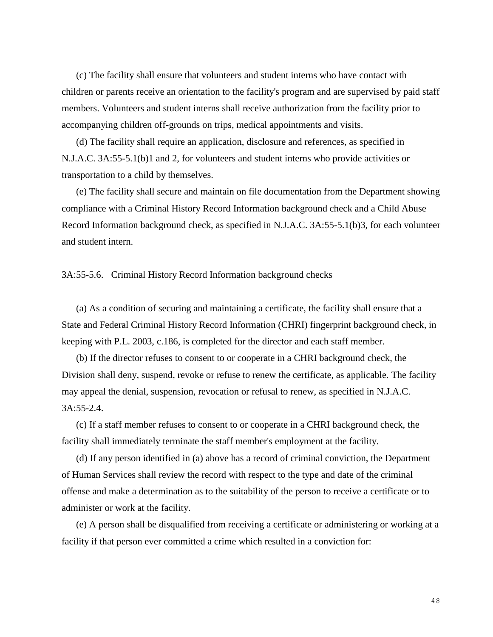(c) The facility shall ensure that volunteers and student interns who have contact with children or parents receive an orientation to the facility's program and are supervised by paid staff members. Volunteers and student interns shall receive authorization from the facility prior to accompanying children off-grounds on trips, medical appointments and visits.

(d) The facility shall require an application, disclosure and references, as specified in N.J.A.C. 3A:55-5.1(b)1 and 2, for volunteers and student interns who provide activities or transportation to a child by themselves.

(e) The facility shall secure and maintain on file documentation from the Department showing compliance with a Criminal History Record Information background check and a Child Abuse Record Information background check, as specified in N.J.A.C. 3A:55-5.1(b)3, for each volunteer and student intern.

### 3A:55-5.6. Criminal History Record Information background checks

(a) As a condition of securing and maintaining a certificate, the facility shall ensure that a State and Federal Criminal History Record Information (CHRI) fingerprint background check, in keeping with P.L. 2003, c.186, is completed for the director and each staff member.

(b) If the director refuses to consent to or cooperate in a CHRI background check, the Division shall deny, suspend, revoke or refuse to renew the certificate, as applicable. The facility may appeal the denial, suspension, revocation or refusal to renew, as specified in N.J.A.C. 3A:55-2.4.

(c) If a staff member refuses to consent to or cooperate in a CHRI background check, the facility shall immediately terminate the staff member's employment at the facility.

(d) If any person identified in (a) above has a record of criminal conviction, the Department of Human Services shall review the record with respect to the type and date of the criminal offense and make a determination as to the suitability of the person to receive a certificate or to administer or work at the facility.

(e) A person shall be disqualified from receiving a certificate or administering or working at a facility if that person ever committed a crime which resulted in a conviction for: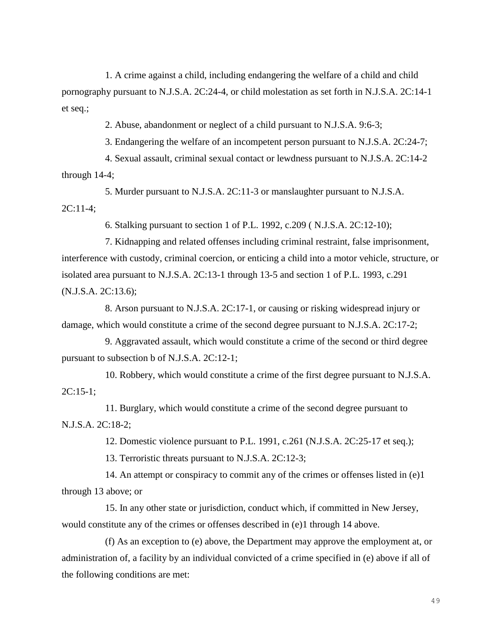1. A crime against a child, including endangering the welfare of a child and child pornography pursuant to N.J.S.A. 2C:24-4, or child molestation as set forth in N.J.S.A. 2C:14-1 et seq.;

2. Abuse, abandonment or neglect of a child pursuant to N.J.S.A. 9:6-3;

3. Endangering the welfare of an incompetent person pursuant to N.J.S.A. 2C:24-7;

4. Sexual assault, criminal sexual contact or lewdness pursuant to N.J.S.A. 2C:14-2 through 14-4;

5. Murder pursuant to N.J.S.A. 2C:11-3 or manslaughter pursuant to N.J.S.A. 2C:11-4;

6. Stalking pursuant to section 1 of P.L. 1992, c.209 ( N.J.S.A. 2C:12-10);

7. Kidnapping and related offenses including criminal restraint, false imprisonment, interference with custody, criminal coercion, or enticing a child into a motor vehicle, structure, or isolated area pursuant to N.J.S.A. 2C:13-1 through 13-5 and section 1 of P.L. 1993, c.291 (N.J.S.A. 2C:13.6);

8. Arson pursuant to N.J.S.A. 2C:17-1, or causing or risking widespread injury or damage, which would constitute a crime of the second degree pursuant to N.J.S.A. 2C:17-2;

9. Aggravated assault, which would constitute a crime of the second or third degree pursuant to subsection b of N.J.S.A. 2C:12-1;

10. Robbery, which would constitute a crime of the first degree pursuant to N.J.S.A.  $2C:15-1$ ;

11. Burglary, which would constitute a crime of the second degree pursuant to N.J.S.A. 2C:18-2;

12. Domestic violence pursuant to P.L. 1991, c.261 (N.J.S.A. 2C:25-17 et seq.);

13. Terroristic threats pursuant to N.J.S.A. 2C:12-3;

14. An attempt or conspiracy to commit any of the crimes or offenses listed in (e)1 through 13 above; or

15. In any other state or jurisdiction, conduct which, if committed in New Jersey, would constitute any of the crimes or offenses described in (e)1 through 14 above.

(f) As an exception to (e) above, the Department may approve the employment at, or administration of, a facility by an individual convicted of a crime specified in (e) above if all of the following conditions are met: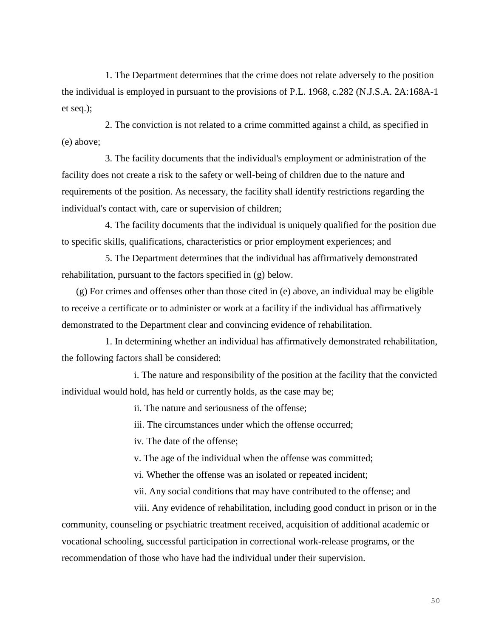1. The Department determines that the crime does not relate adversely to the position the individual is employed in pursuant to the provisions of P.L. 1968, c.282 (N.J.S.A. 2A:168A-1 et seq.);

2. The conviction is not related to a crime committed against a child, as specified in (e) above;

3. The facility documents that the individual's employment or administration of the facility does not create a risk to the safety or well-being of children due to the nature and requirements of the position. As necessary, the facility shall identify restrictions regarding the individual's contact with, care or supervision of children;

4. The facility documents that the individual is uniquely qualified for the position due to specific skills, qualifications, characteristics or prior employment experiences; and

5. The Department determines that the individual has affirmatively demonstrated rehabilitation, pursuant to the factors specified in (g) below.

(g) For crimes and offenses other than those cited in (e) above, an individual may be eligible to receive a certificate or to administer or work at a facility if the individual has affirmatively demonstrated to the Department clear and convincing evidence of rehabilitation.

1. In determining whether an individual has affirmatively demonstrated rehabilitation, the following factors shall be considered:

i. The nature and responsibility of the position at the facility that the convicted individual would hold, has held or currently holds, as the case may be;

ii. The nature and seriousness of the offense;

iii. The circumstances under which the offense occurred;

iv. The date of the offense;

v. The age of the individual when the offense was committed;

vi. Whether the offense was an isolated or repeated incident;

vii. Any social conditions that may have contributed to the offense; and

viii. Any evidence of rehabilitation, including good conduct in prison or in the community, counseling or psychiatric treatment received, acquisition of additional academic or vocational schooling, successful participation in correctional work-release programs, or the recommendation of those who have had the individual under their supervision.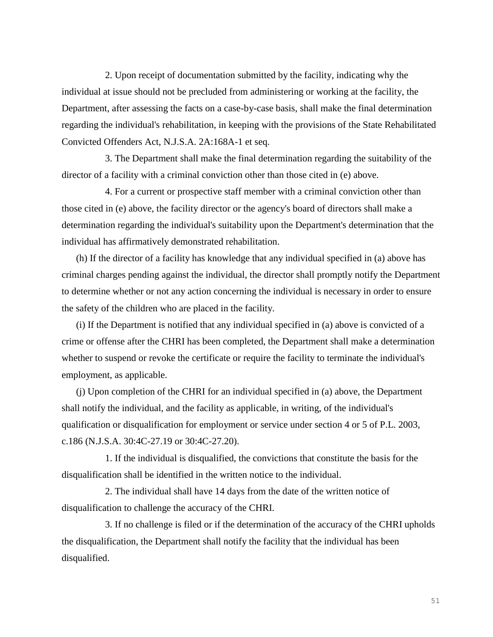2. Upon receipt of documentation submitted by the facility, indicating why the individual at issue should not be precluded from administering or working at the facility, the Department, after assessing the facts on a case-by-case basis, shall make the final determination regarding the individual's rehabilitation, in keeping with the provisions of the State Rehabilitated Convicted Offenders Act, N.J.S.A. 2A:168A-1 et seq.

3. The Department shall make the final determination regarding the suitability of the director of a facility with a criminal conviction other than those cited in (e) above.

4. For a current or prospective staff member with a criminal conviction other than those cited in (e) above, the facility director or the agency's board of directors shall make a determination regarding the individual's suitability upon the Department's determination that the individual has affirmatively demonstrated rehabilitation.

(h) If the director of a facility has knowledge that any individual specified in (a) above has criminal charges pending against the individual, the director shall promptly notify the Department to determine whether or not any action concerning the individual is necessary in order to ensure the safety of the children who are placed in the facility.

(i) If the Department is notified that any individual specified in (a) above is convicted of a crime or offense after the CHRI has been completed, the Department shall make a determination whether to suspend or revoke the certificate or require the facility to terminate the individual's employment, as applicable.

(j) Upon completion of the CHRI for an individual specified in (a) above, the Department shall notify the individual, and the facility as applicable, in writing, of the individual's qualification or disqualification for employment or service under section 4 or 5 of P.L. 2003, c.186 (N.J.S.A. 30:4C-27.19 or 30:4C-27.20).

1. If the individual is disqualified, the convictions that constitute the basis for the disqualification shall be identified in the written notice to the individual.

2. The individual shall have 14 days from the date of the written notice of disqualification to challenge the accuracy of the CHRI.

3. If no challenge is filed or if the determination of the accuracy of the CHRI upholds the disqualification, the Department shall notify the facility that the individual has been disqualified.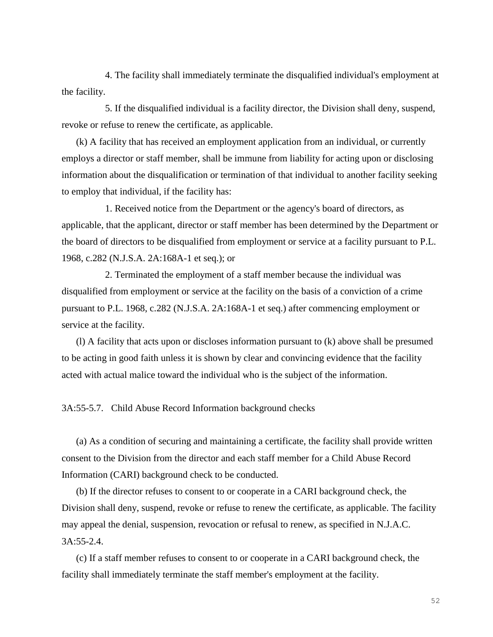4. The facility shall immediately terminate the disqualified individual's employment at the facility.

5. If the disqualified individual is a facility director, the Division shall deny, suspend, revoke or refuse to renew the certificate, as applicable.

(k) A facility that has received an employment application from an individual, or currently employs a director or staff member, shall be immune from liability for acting upon or disclosing information about the disqualification or termination of that individual to another facility seeking to employ that individual, if the facility has:

1. Received notice from the Department or the agency's board of directors, as applicable, that the applicant, director or staff member has been determined by the Department or the board of directors to be disqualified from employment or service at a facility pursuant to P.L. 1968, c.282 (N.J.S.A. 2A:168A-1 et seq.); or

2. Terminated the employment of a staff member because the individual was disqualified from employment or service at the facility on the basis of a conviction of a crime pursuant to P.L. 1968, c.282 (N.J.S.A. 2A:168A-1 et seq.) after commencing employment or service at the facility.

(l) A facility that acts upon or discloses information pursuant to (k) above shall be presumed to be acting in good faith unless it is shown by clear and convincing evidence that the facility acted with actual malice toward the individual who is the subject of the information.

3A:55-5.7. Child Abuse Record Information background checks

(a) As a condition of securing and maintaining a certificate, the facility shall provide written consent to the Division from the director and each staff member for a Child Abuse Record Information (CARI) background check to be conducted.

(b) If the director refuses to consent to or cooperate in a CARI background check, the Division shall deny, suspend, revoke or refuse to renew the certificate, as applicable. The facility may appeal the denial, suspension, revocation or refusal to renew, as specified in N.J.A.C. 3A:55-2.4.

(c) If a staff member refuses to consent to or cooperate in a CARI background check, the facility shall immediately terminate the staff member's employment at the facility.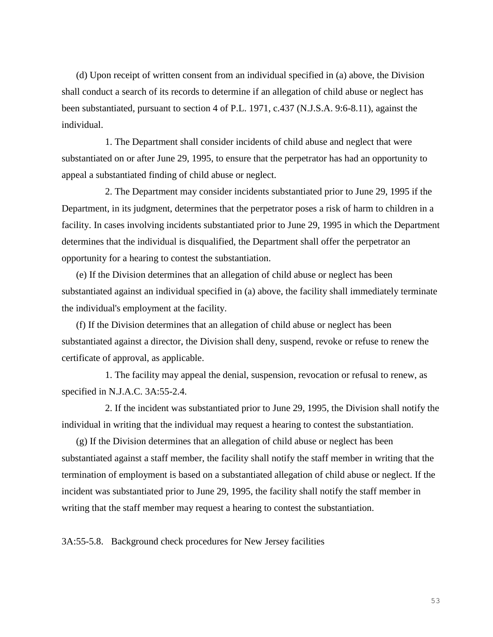(d) Upon receipt of written consent from an individual specified in (a) above, the Division shall conduct a search of its records to determine if an allegation of child abuse or neglect has been substantiated, pursuant to section 4 of P.L. 1971, c.437 (N.J.S.A. 9:6-8.11), against the individual.

1. The Department shall consider incidents of child abuse and neglect that were substantiated on or after June 29, 1995, to ensure that the perpetrator has had an opportunity to appeal a substantiated finding of child abuse or neglect.

2. The Department may consider incidents substantiated prior to June 29, 1995 if the Department, in its judgment, determines that the perpetrator poses a risk of harm to children in a facility. In cases involving incidents substantiated prior to June 29, 1995 in which the Department determines that the individual is disqualified, the Department shall offer the perpetrator an opportunity for a hearing to contest the substantiation.

(e) If the Division determines that an allegation of child abuse or neglect has been substantiated against an individual specified in (a) above, the facility shall immediately terminate the individual's employment at the facility.

(f) If the Division determines that an allegation of child abuse or neglect has been substantiated against a director, the Division shall deny, suspend, revoke or refuse to renew the certificate of approval, as applicable.

1. The facility may appeal the denial, suspension, revocation or refusal to renew, as specified in N.J.A.C. 3A:55-2.4.

2. If the incident was substantiated prior to June 29, 1995, the Division shall notify the individual in writing that the individual may request a hearing to contest the substantiation.

(g) If the Division determines that an allegation of child abuse or neglect has been substantiated against a staff member, the facility shall notify the staff member in writing that the termination of employment is based on a substantiated allegation of child abuse or neglect. If the incident was substantiated prior to June 29, 1995, the facility shall notify the staff member in writing that the staff member may request a hearing to contest the substantiation.

3A:55-5.8. Background check procedures for New Jersey facilities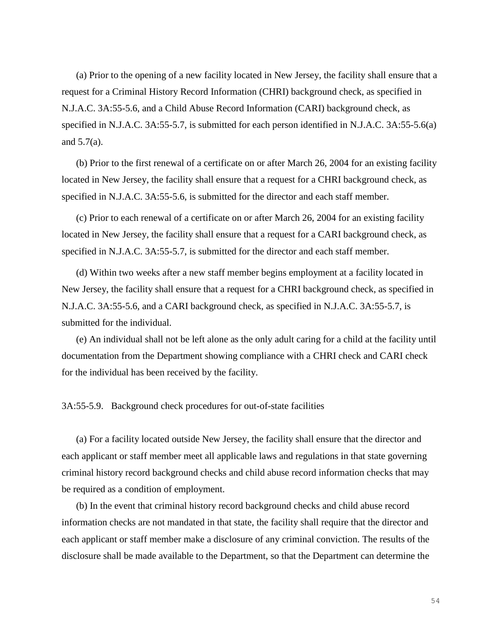(a) Prior to the opening of a new facility located in New Jersey, the facility shall ensure that a request for a Criminal History Record Information (CHRI) background check, as specified in N.J.A.C. 3A:55-5.6, and a Child Abuse Record Information (CARI) background check, as specified in N.J.A.C. 3A:55-5.7, is submitted for each person identified in N.J.A.C. 3A:55-5.6(a) and 5.7(a).

(b) Prior to the first renewal of a certificate on or after March 26, 2004 for an existing facility located in New Jersey, the facility shall ensure that a request for a CHRI background check, as specified in N.J.A.C. 3A:55-5.6, is submitted for the director and each staff member.

(c) Prior to each renewal of a certificate on or after March 26, 2004 for an existing facility located in New Jersey, the facility shall ensure that a request for a CARI background check, as specified in N.J.A.C. 3A:55-5.7, is submitted for the director and each staff member.

(d) Within two weeks after a new staff member begins employment at a facility located in New Jersey, the facility shall ensure that a request for a CHRI background check, as specified in N.J.A.C. 3A:55-5.6, and a CARI background check, as specified in N.J.A.C. 3A:55-5.7, is submitted for the individual.

(e) An individual shall not be left alone as the only adult caring for a child at the facility until documentation from the Department showing compliance with a CHRI check and CARI check for the individual has been received by the facility.

3A:55-5.9. Background check procedures for out-of-state facilities

(a) For a facility located outside New Jersey, the facility shall ensure that the director and each applicant or staff member meet all applicable laws and regulations in that state governing criminal history record background checks and child abuse record information checks that may be required as a condition of employment.

(b) In the event that criminal history record background checks and child abuse record information checks are not mandated in that state, the facility shall require that the director and each applicant or staff member make a disclosure of any criminal conviction. The results of the disclosure shall be made available to the Department, so that the Department can determine the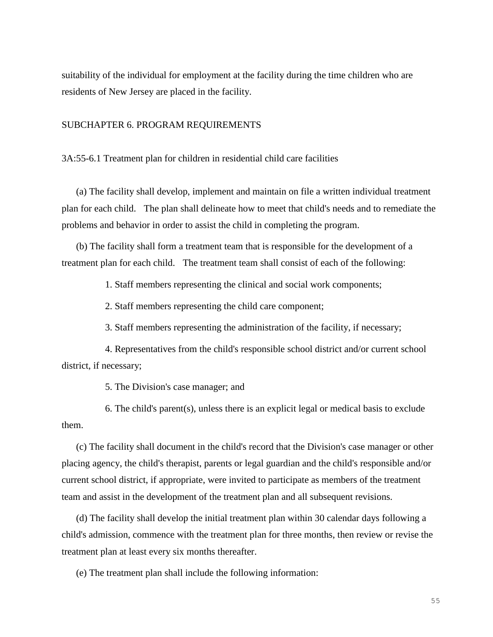suitability of the individual for employment at the facility during the time children who are residents of New Jersey are placed in the facility.

# SUBCHAPTER 6. PROGRAM REQUIREMENTS

3A:55-6.1 Treatment plan for children in residential child care facilities

(a) The facility shall develop, implement and maintain on file a written individual treatment plan for each child. The plan shall delineate how to meet that child's needs and to remediate the problems and behavior in order to assist the child in completing the program.

(b) The facility shall form a treatment team that is responsible for the development of a treatment plan for each child. The treatment team shall consist of each of the following:

1. Staff members representing the clinical and social work components;

2. Staff members representing the child care component;

3. Staff members representing the administration of the facility, if necessary;

4. Representatives from the child's responsible school district and/or current school district, if necessary;

5. The Division's case manager; and

6. The child's parent(s), unless there is an explicit legal or medical basis to exclude them.

(c) The facility shall document in the child's record that the Division's case manager or other placing agency, the child's therapist, parents or legal guardian and the child's responsible and/or current school district, if appropriate, were invited to participate as members of the treatment team and assist in the development of the treatment plan and all subsequent revisions.

(d) The facility shall develop the initial treatment plan within 30 calendar days following a child's admission, commence with the treatment plan for three months, then review or revise the treatment plan at least every six months thereafter.

(e) The treatment plan shall include the following information: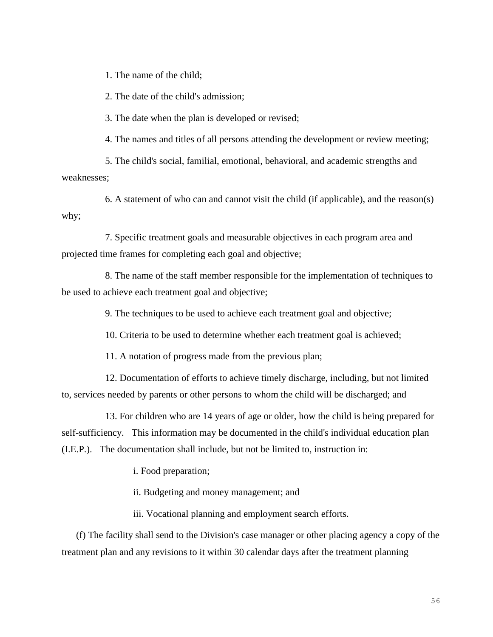1. The name of the child;

2. The date of the child's admission;

3. The date when the plan is developed or revised;

4. The names and titles of all persons attending the development or review meeting;

5. The child's social, familial, emotional, behavioral, and academic strengths and weaknesses;

6. A statement of who can and cannot visit the child (if applicable), and the reason(s) why;

7. Specific treatment goals and measurable objectives in each program area and projected time frames for completing each goal and objective;

8. The name of the staff member responsible for the implementation of techniques to be used to achieve each treatment goal and objective;

9. The techniques to be used to achieve each treatment goal and objective;

10. Criteria to be used to determine whether each treatment goal is achieved;

11. A notation of progress made from the previous plan;

12. Documentation of efforts to achieve timely discharge, including, but not limited to, services needed by parents or other persons to whom the child will be discharged; and

13. For children who are 14 years of age or older, how the child is being prepared for self-sufficiency. This information may be documented in the child's individual education plan (I.E.P.). The documentation shall include, but not be limited to, instruction in:

i. Food preparation;

ii. Budgeting and money management; and

iii. Vocational planning and employment search efforts.

(f) The facility shall send to the Division's case manager or other placing agency a copy of the treatment plan and any revisions to it within 30 calendar days after the treatment planning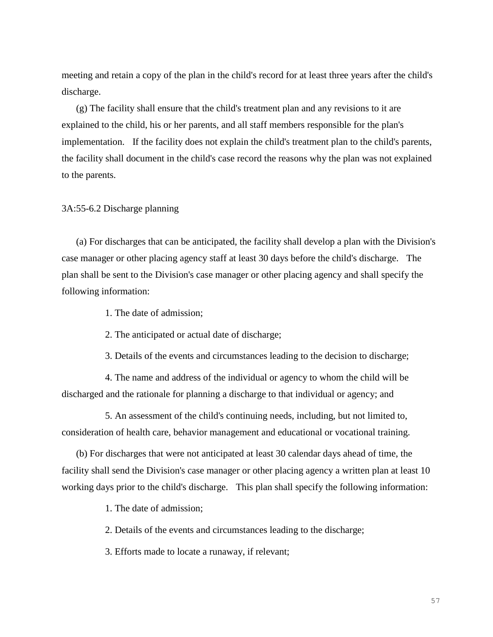meeting and retain a copy of the plan in the child's record for at least three years after the child's discharge.

(g) The facility shall ensure that the child's treatment plan and any revisions to it are explained to the child, his or her parents, and all staff members responsible for the plan's implementation. If the facility does not explain the child's treatment plan to the child's parents, the facility shall document in the child's case record the reasons why the plan was not explained to the parents.

3A:55-6.2 Discharge planning

(a) For discharges that can be anticipated, the facility shall develop a plan with the Division's case manager or other placing agency staff at least 30 days before the child's discharge. The plan shall be sent to the Division's case manager or other placing agency and shall specify the following information:

1. The date of admission;

2. The anticipated or actual date of discharge;

3. Details of the events and circumstances leading to the decision to discharge;

4. The name and address of the individual or agency to whom the child will be discharged and the rationale for planning a discharge to that individual or agency; and

5. An assessment of the child's continuing needs, including, but not limited to, consideration of health care, behavior management and educational or vocational training.

(b) For discharges that were not anticipated at least 30 calendar days ahead of time, the facility shall send the Division's case manager or other placing agency a written plan at least 10 working days prior to the child's discharge. This plan shall specify the following information:

1. The date of admission;

2. Details of the events and circumstances leading to the discharge;

3. Efforts made to locate a runaway, if relevant;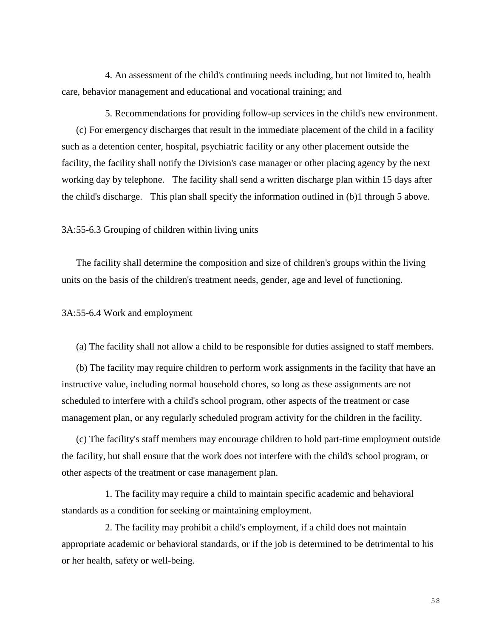4. An assessment of the child's continuing needs including, but not limited to, health care, behavior management and educational and vocational training; and

5. Recommendations for providing follow-up services in the child's new environment. (c) For emergency discharges that result in the immediate placement of the child in a facility such as a detention center, hospital, psychiatric facility or any other placement outside the facility, the facility shall notify the Division's case manager or other placing agency by the next working day by telephone. The facility shall send a written discharge plan within 15 days after the child's discharge. This plan shall specify the information outlined in (b)1 through 5 above.

# 3A:55-6.3 Grouping of children within living units

The facility shall determine the composition and size of children's groups within the living units on the basis of the children's treatment needs, gender, age and level of functioning.

### 3A:55-6.4 Work and employment

(a) The facility shall not allow a child to be responsible for duties assigned to staff members.

(b) The facility may require children to perform work assignments in the facility that have an instructive value, including normal household chores, so long as these assignments are not scheduled to interfere with a child's school program, other aspects of the treatment or case management plan, or any regularly scheduled program activity for the children in the facility.

(c) The facility's staff members may encourage children to hold part-time employment outside the facility, but shall ensure that the work does not interfere with the child's school program, or other aspects of the treatment or case management plan.

1. The facility may require a child to maintain specific academic and behavioral standards as a condition for seeking or maintaining employment.

2. The facility may prohibit a child's employment, if a child does not maintain appropriate academic or behavioral standards, or if the job is determined to be detrimental to his or her health, safety or well-being.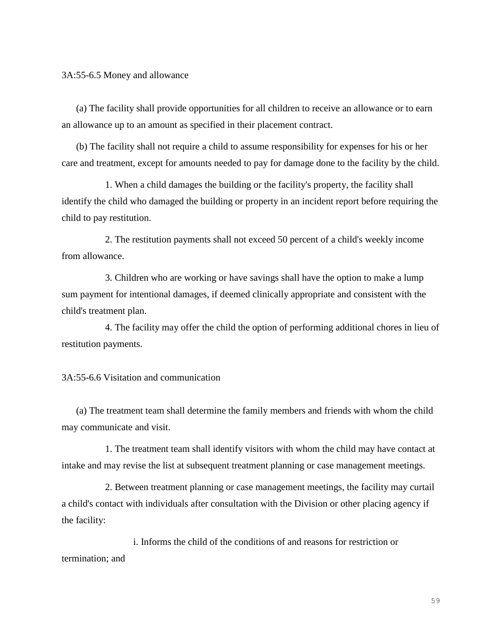3A:55-6.5 Money and allowance

(a) The facility shall provide opportunities for all children to receive an allowance or to earn an allowance up to an amount as specified in their placement contract.

(b) The facility shall not require a child to assume responsibility for expenses for his or her care and treatment, except for amounts needed to pay for damage done to the facility by the child.

1. When a child damages the building or the facility's property, the facility shall identify the child who damaged the building or property in an incident report before requiring the child to pay restitution.

2. The restitution payments shall not exceed 50 percent of a child's weekly income from allowance.

3. Children who are working or have savings shall have the option to make a lump sum payment for intentional damages, if deemed clinically appropriate and consistent with the child's treatment plan.

4. The facility may offer the child the option of performing additional chores in lieu of restitution payments.

3A:55-6.6 Visitation and communication

(a) The treatment team shall determine the family members and friends with whom the child may communicate and visit.

1. The treatment team shall identify visitors with whom the child may have contact at intake and may revise the list at subsequent treatment planning or case management meetings.

2. Between treatment planning or case management meetings, the facility may curtail a child's contact with individuals after consultation with the Division or other placing agency if the facility:

i. Informs the child of the conditions of and reasons for restriction or termination; and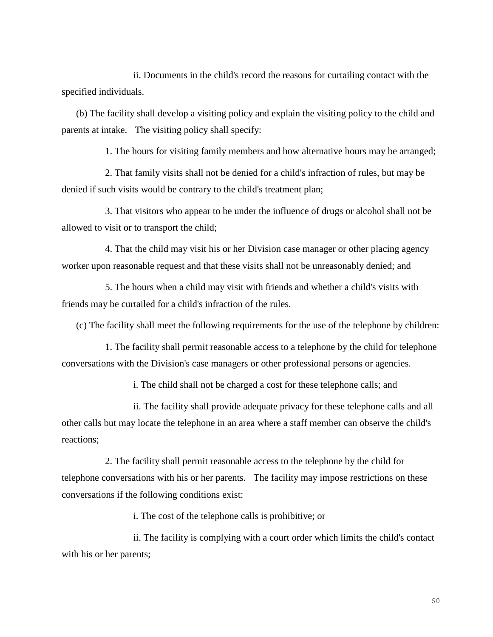ii. Documents in the child's record the reasons for curtailing contact with the specified individuals.

(b) The facility shall develop a visiting policy and explain the visiting policy to the child and parents at intake. The visiting policy shall specify:

1. The hours for visiting family members and how alternative hours may be arranged;

2. That family visits shall not be denied for a child's infraction of rules, but may be denied if such visits would be contrary to the child's treatment plan;

3. That visitors who appear to be under the influence of drugs or alcohol shall not be allowed to visit or to transport the child;

4. That the child may visit his or her Division case manager or other placing agency worker upon reasonable request and that these visits shall not be unreasonably denied; and

5. The hours when a child may visit with friends and whether a child's visits with friends may be curtailed for a child's infraction of the rules.

(c) The facility shall meet the following requirements for the use of the telephone by children:

1. The facility shall permit reasonable access to a telephone by the child for telephone conversations with the Division's case managers or other professional persons or agencies.

i. The child shall not be charged a cost for these telephone calls; and

ii. The facility shall provide adequate privacy for these telephone calls and all other calls but may locate the telephone in an area where a staff member can observe the child's reactions;

2. The facility shall permit reasonable access to the telephone by the child for telephone conversations with his or her parents. The facility may impose restrictions on these conversations if the following conditions exist:

i. The cost of the telephone calls is prohibitive; or

ii. The facility is complying with a court order which limits the child's contact with his or her parents;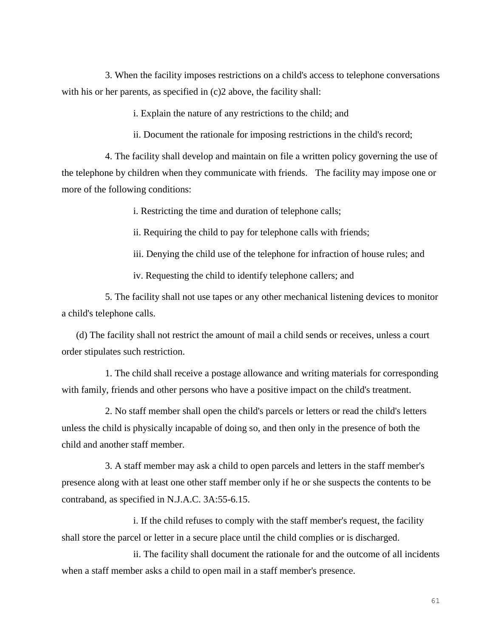3. When the facility imposes restrictions on a child's access to telephone conversations with his or her parents, as specified in (c)2 above, the facility shall:

i. Explain the nature of any restrictions to the child; and

ii. Document the rationale for imposing restrictions in the child's record;

4. The facility shall develop and maintain on file a written policy governing the use of the telephone by children when they communicate with friends. The facility may impose one or more of the following conditions:

i. Restricting the time and duration of telephone calls;

ii. Requiring the child to pay for telephone calls with friends;

iii. Denying the child use of the telephone for infraction of house rules; and

iv. Requesting the child to identify telephone callers; and

5. The facility shall not use tapes or any other mechanical listening devices to monitor a child's telephone calls.

(d) The facility shall not restrict the amount of mail a child sends or receives, unless a court order stipulates such restriction.

1. The child shall receive a postage allowance and writing materials for corresponding with family, friends and other persons who have a positive impact on the child's treatment.

2. No staff member shall open the child's parcels or letters or read the child's letters unless the child is physically incapable of doing so, and then only in the presence of both the child and another staff member.

3. A staff member may ask a child to open parcels and letters in the staff member's presence along with at least one other staff member only if he or she suspects the contents to be contraband, as specified in N.J.A.C. 3A:55-6.15.

i. If the child refuses to comply with the staff member's request, the facility shall store the parcel or letter in a secure place until the child complies or is discharged.

ii. The facility shall document the rationale for and the outcome of all incidents when a staff member asks a child to open mail in a staff member's presence.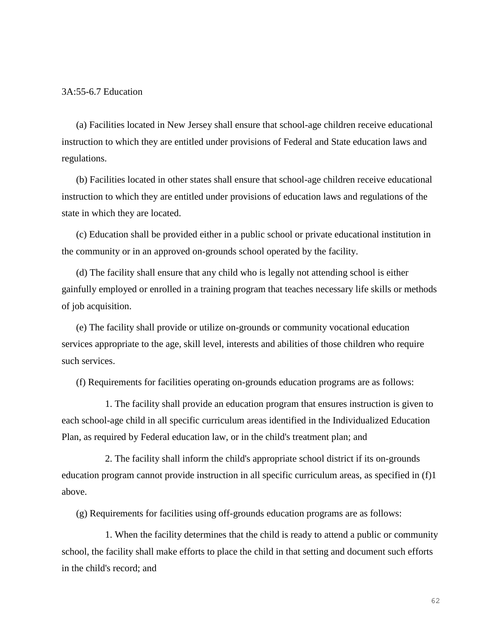#### 3A:55-6.7 Education

(a) Facilities located in New Jersey shall ensure that school-age children receive educational instruction to which they are entitled under provisions of Federal and State education laws and regulations.

(b) Facilities located in other states shall ensure that school-age children receive educational instruction to which they are entitled under provisions of education laws and regulations of the state in which they are located.

(c) Education shall be provided either in a public school or private educational institution in the community or in an approved on-grounds school operated by the facility.

(d) The facility shall ensure that any child who is legally not attending school is either gainfully employed or enrolled in a training program that teaches necessary life skills or methods of job acquisition.

(e) The facility shall provide or utilize on-grounds or community vocational education services appropriate to the age, skill level, interests and abilities of those children who require such services.

(f) Requirements for facilities operating on-grounds education programs are as follows:

1. The facility shall provide an education program that ensures instruction is given to each school-age child in all specific curriculum areas identified in the Individualized Education Plan, as required by Federal education law, or in the child's treatment plan; and

2. The facility shall inform the child's appropriate school district if its on-grounds education program cannot provide instruction in all specific curriculum areas, as specified in (f)1 above.

(g) Requirements for facilities using off-grounds education programs are as follows:

1. When the facility determines that the child is ready to attend a public or community school, the facility shall make efforts to place the child in that setting and document such efforts in the child's record; and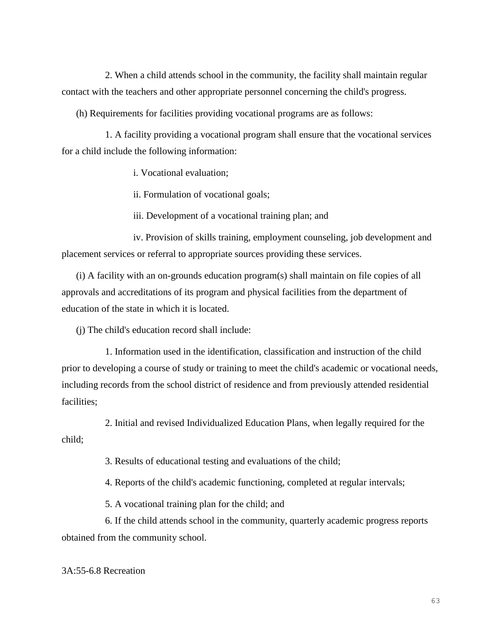2. When a child attends school in the community, the facility shall maintain regular contact with the teachers and other appropriate personnel concerning the child's progress.

(h) Requirements for facilities providing vocational programs are as follows:

1. A facility providing a vocational program shall ensure that the vocational services for a child include the following information:

i. Vocational evaluation;

ii. Formulation of vocational goals;

iii. Development of a vocational training plan; and

iv. Provision of skills training, employment counseling, job development and placement services or referral to appropriate sources providing these services.

(i) A facility with an on-grounds education program(s) shall maintain on file copies of all approvals and accreditations of its program and physical facilities from the department of education of the state in which it is located.

(j) The child's education record shall include:

1. Information used in the identification, classification and instruction of the child prior to developing a course of study or training to meet the child's academic or vocational needs, including records from the school district of residence and from previously attended residential facilities;

2. Initial and revised Individualized Education Plans, when legally required for the child;

3. Results of educational testing and evaluations of the child;

4. Reports of the child's academic functioning, completed at regular intervals;

5. A vocational training plan for the child; and

6. If the child attends school in the community, quarterly academic progress reports obtained from the community school.

# 3A:55-6.8 Recreation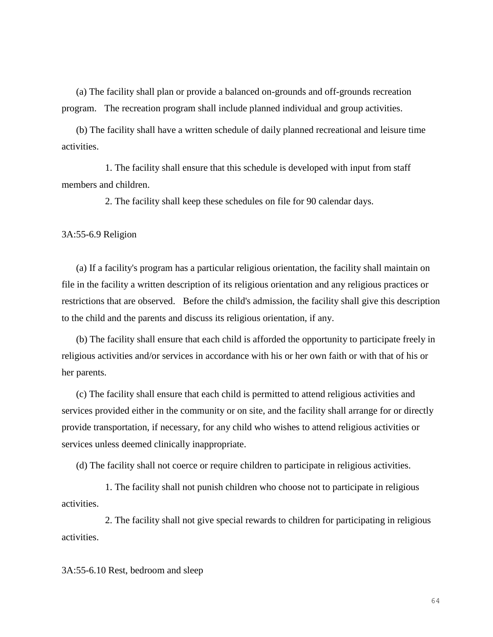(a) The facility shall plan or provide a balanced on-grounds and off-grounds recreation program. The recreation program shall include planned individual and group activities.

(b) The facility shall have a written schedule of daily planned recreational and leisure time activities.

1. The facility shall ensure that this schedule is developed with input from staff members and children.

2. The facility shall keep these schedules on file for 90 calendar days.

3A:55-6.9 Religion

(a) If a facility's program has a particular religious orientation, the facility shall maintain on file in the facility a written description of its religious orientation and any religious practices or restrictions that are observed. Before the child's admission, the facility shall give this description to the child and the parents and discuss its religious orientation, if any.

(b) The facility shall ensure that each child is afforded the opportunity to participate freely in religious activities and/or services in accordance with his or her own faith or with that of his or her parents.

(c) The facility shall ensure that each child is permitted to attend religious activities and services provided either in the community or on site, and the facility shall arrange for or directly provide transportation, if necessary, for any child who wishes to attend religious activities or services unless deemed clinically inappropriate.

(d) The facility shall not coerce or require children to participate in religious activities.

1. The facility shall not punish children who choose not to participate in religious activities.

2. The facility shall not give special rewards to children for participating in religious activities.

3A:55-6.10 Rest, bedroom and sleep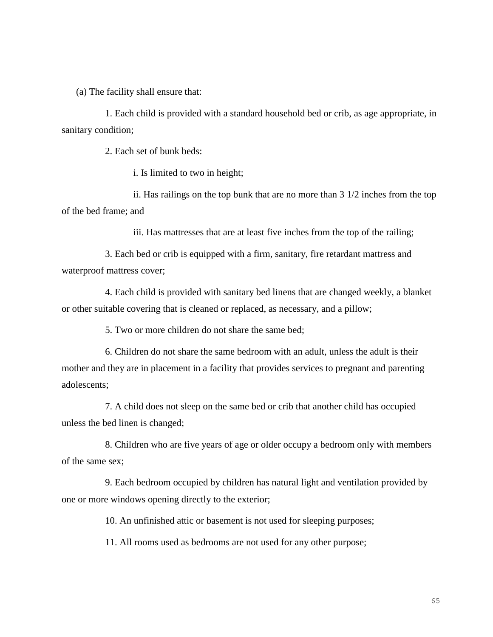(a) The facility shall ensure that:

1. Each child is provided with a standard household bed or crib, as age appropriate, in sanitary condition;

2. Each set of bunk beds:

i. Is limited to two in height;

ii. Has railings on the top bunk that are no more than 3 1/2 inches from the top of the bed frame; and

iii. Has mattresses that are at least five inches from the top of the railing;

3. Each bed or crib is equipped with a firm, sanitary, fire retardant mattress and waterproof mattress cover;

4. Each child is provided with sanitary bed linens that are changed weekly, a blanket or other suitable covering that is cleaned or replaced, as necessary, and a pillow;

5. Two or more children do not share the same bed;

6. Children do not share the same bedroom with an adult, unless the adult is their mother and they are in placement in a facility that provides services to pregnant and parenting adolescents;

7. A child does not sleep on the same bed or crib that another child has occupied unless the bed linen is changed;

8. Children who are five years of age or older occupy a bedroom only with members of the same sex;

9. Each bedroom occupied by children has natural light and ventilation provided by one or more windows opening directly to the exterior;

10. An unfinished attic or basement is not used for sleeping purposes;

11. All rooms used as bedrooms are not used for any other purpose;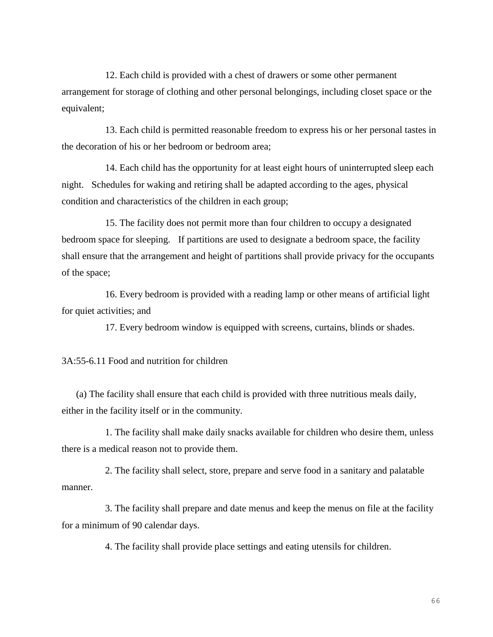12. Each child is provided with a chest of drawers or some other permanent arrangement for storage of clothing and other personal belongings, including closet space or the equivalent;

13. Each child is permitted reasonable freedom to express his or her personal tastes in the decoration of his or her bedroom or bedroom area;

14. Each child has the opportunity for at least eight hours of uninterrupted sleep each night. Schedules for waking and retiring shall be adapted according to the ages, physical condition and characteristics of the children in each group;

15. The facility does not permit more than four children to occupy a designated bedroom space for sleeping. If partitions are used to designate a bedroom space, the facility shall ensure that the arrangement and height of partitions shall provide privacy for the occupants of the space;

16. Every bedroom is provided with a reading lamp or other means of artificial light for quiet activities; and

17. Every bedroom window is equipped with screens, curtains, blinds or shades.

3A:55-6.11 Food and nutrition for children

(a) The facility shall ensure that each child is provided with three nutritious meals daily, either in the facility itself or in the community.

1. The facility shall make daily snacks available for children who desire them, unless there is a medical reason not to provide them.

2. The facility shall select, store, prepare and serve food in a sanitary and palatable manner.

3. The facility shall prepare and date menus and keep the menus on file at the facility for a minimum of 90 calendar days.

4. The facility shall provide place settings and eating utensils for children.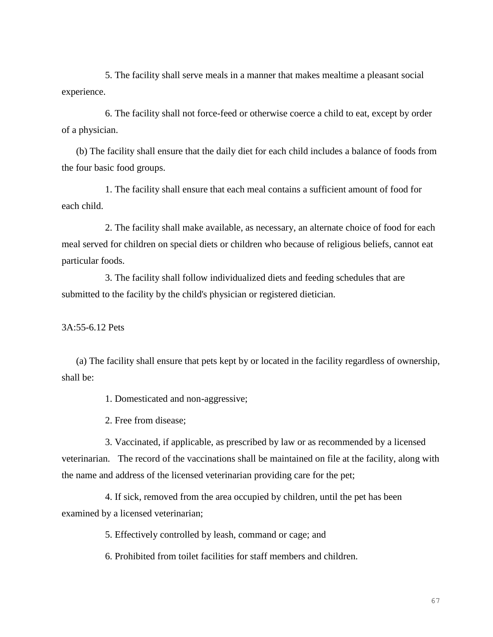5. The facility shall serve meals in a manner that makes mealtime a pleasant social experience.

6. The facility shall not force-feed or otherwise coerce a child to eat, except by order of a physician.

(b) The facility shall ensure that the daily diet for each child includes a balance of foods from the four basic food groups.

1. The facility shall ensure that each meal contains a sufficient amount of food for each child.

2. The facility shall make available, as necessary, an alternate choice of food for each meal served for children on special diets or children who because of religious beliefs, cannot eat particular foods.

3. The facility shall follow individualized diets and feeding schedules that are submitted to the facility by the child's physician or registered dietician.

3A:55-6.12 Pets

(a) The facility shall ensure that pets kept by or located in the facility regardless of ownership, shall be:

1. Domesticated and non-aggressive;

2. Free from disease;

3. Vaccinated, if applicable, as prescribed by law or as recommended by a licensed veterinarian. The record of the vaccinations shall be maintained on file at the facility, along with the name and address of the licensed veterinarian providing care for the pet;

4. If sick, removed from the area occupied by children, until the pet has been examined by a licensed veterinarian;

5. Effectively controlled by leash, command or cage; and

6. Prohibited from toilet facilities for staff members and children.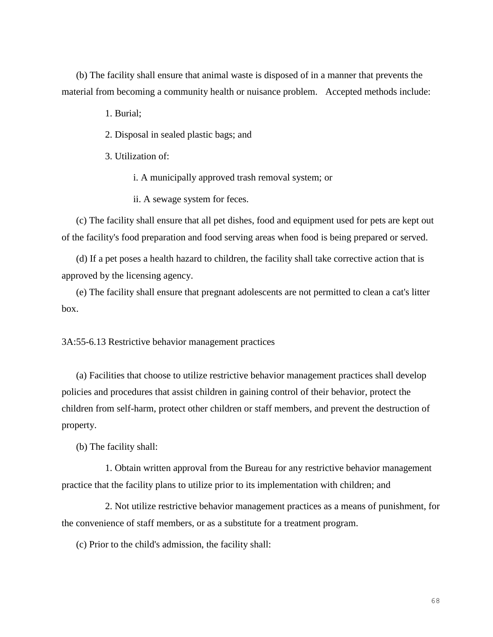(b) The facility shall ensure that animal waste is disposed of in a manner that prevents the material from becoming a community health or nuisance problem. Accepted methods include:

1. Burial;

2. Disposal in sealed plastic bags; and

3. Utilization of:

i. A municipally approved trash removal system; or

ii. A sewage system for feces.

(c) The facility shall ensure that all pet dishes, food and equipment used for pets are kept out of the facility's food preparation and food serving areas when food is being prepared or served.

(d) If a pet poses a health hazard to children, the facility shall take corrective action that is approved by the licensing agency.

(e) The facility shall ensure that pregnant adolescents are not permitted to clean a cat's litter box.

3A:55-6.13 Restrictive behavior management practices

(a) Facilities that choose to utilize restrictive behavior management practices shall develop policies and procedures that assist children in gaining control of their behavior, protect the children from self-harm, protect other children or staff members, and prevent the destruction of property.

(b) The facility shall:

1. Obtain written approval from the Bureau for any restrictive behavior management practice that the facility plans to utilize prior to its implementation with children; and

2. Not utilize restrictive behavior management practices as a means of punishment, for the convenience of staff members, or as a substitute for a treatment program.

(c) Prior to the child's admission, the facility shall: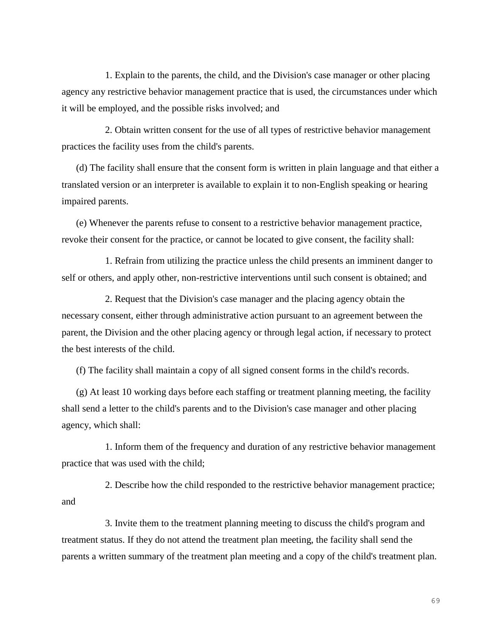1. Explain to the parents, the child, and the Division's case manager or other placing agency any restrictive behavior management practice that is used, the circumstances under which it will be employed, and the possible risks involved; and

2. Obtain written consent for the use of all types of restrictive behavior management practices the facility uses from the child's parents.

(d) The facility shall ensure that the consent form is written in plain language and that either a translated version or an interpreter is available to explain it to non-English speaking or hearing impaired parents.

(e) Whenever the parents refuse to consent to a restrictive behavior management practice, revoke their consent for the practice, or cannot be located to give consent, the facility shall:

1. Refrain from utilizing the practice unless the child presents an imminent danger to self or others, and apply other, non-restrictive interventions until such consent is obtained; and

2. Request that the Division's case manager and the placing agency obtain the necessary consent, either through administrative action pursuant to an agreement between the parent, the Division and the other placing agency or through legal action, if necessary to protect the best interests of the child.

(f) The facility shall maintain a copy of all signed consent forms in the child's records.

(g) At least 10 working days before each staffing or treatment planning meeting, the facility shall send a letter to the child's parents and to the Division's case manager and other placing agency, which shall:

1. Inform them of the frequency and duration of any restrictive behavior management practice that was used with the child;

2. Describe how the child responded to the restrictive behavior management practice; and

3. Invite them to the treatment planning meeting to discuss the child's program and treatment status. If they do not attend the treatment plan meeting, the facility shall send the parents a written summary of the treatment plan meeting and a copy of the child's treatment plan.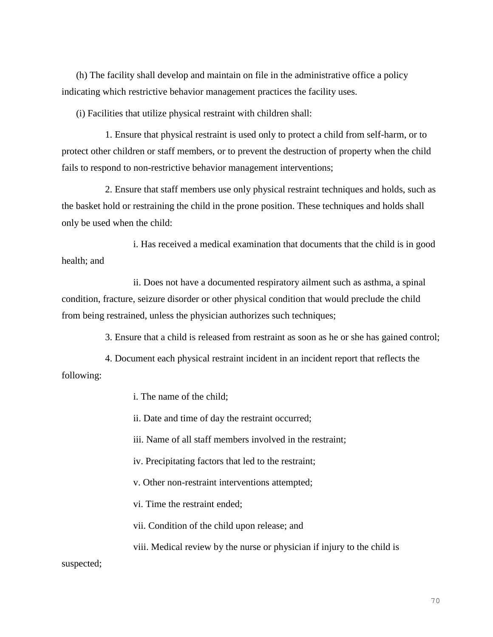(h) The facility shall develop and maintain on file in the administrative office a policy indicating which restrictive behavior management practices the facility uses.

(i) Facilities that utilize physical restraint with children shall:

1. Ensure that physical restraint is used only to protect a child from self-harm, or to protect other children or staff members, or to prevent the destruction of property when the child fails to respond to non-restrictive behavior management interventions;

2. Ensure that staff members use only physical restraint techniques and holds, such as the basket hold or restraining the child in the prone position. These techniques and holds shall only be used when the child:

i. Has received a medical examination that documents that the child is in good health; and

ii. Does not have a documented respiratory ailment such as asthma, a spinal condition, fracture, seizure disorder or other physical condition that would preclude the child from being restrained, unless the physician authorizes such techniques;

3. Ensure that a child is released from restraint as soon as he or she has gained control;

4. Document each physical restraint incident in an incident report that reflects the following:

i. The name of the child;

ii. Date and time of day the restraint occurred;

iii. Name of all staff members involved in the restraint;

iv. Precipitating factors that led to the restraint;

v. Other non-restraint interventions attempted;

vi. Time the restraint ended;

vii. Condition of the child upon release; and

viii. Medical review by the nurse or physician if injury to the child is

suspected;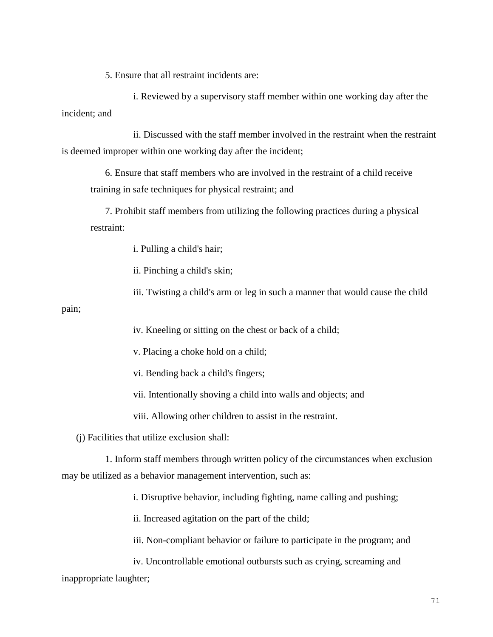5. Ensure that all restraint incidents are:

i. Reviewed by a supervisory staff member within one working day after the incident; and

ii. Discussed with the staff member involved in the restraint when the restraint is deemed improper within one working day after the incident;

6. Ensure that staff members who are involved in the restraint of a child receive training in safe techniques for physical restraint; and

7. Prohibit staff members from utilizing the following practices during a physical restraint:

i. Pulling a child's hair;

ii. Pinching a child's skin;

iii. Twisting a child's arm or leg in such a manner that would cause the child

pain;

iv. Kneeling or sitting on the chest or back of a child;

v. Placing a choke hold on a child;

vi. Bending back a child's fingers;

vii. Intentionally shoving a child into walls and objects; and

viii. Allowing other children to assist in the restraint.

(j) Facilities that utilize exclusion shall:

1. Inform staff members through written policy of the circumstances when exclusion may be utilized as a behavior management intervention, such as:

i. Disruptive behavior, including fighting, name calling and pushing;

ii. Increased agitation on the part of the child;

iii. Non-compliant behavior or failure to participate in the program; and

iv. Uncontrollable emotional outbursts such as crying, screaming and inappropriate laughter;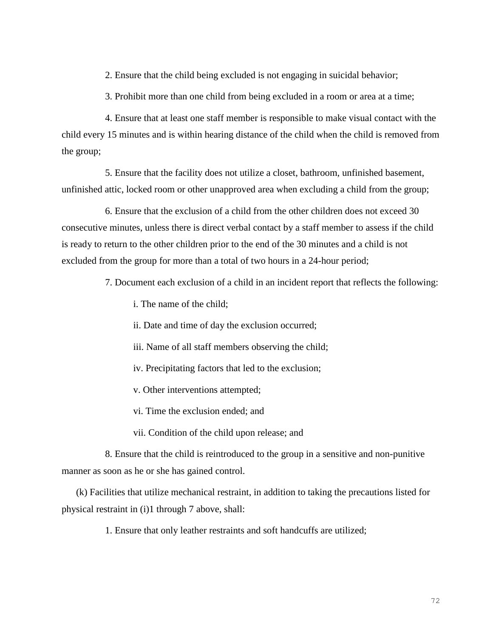2. Ensure that the child being excluded is not engaging in suicidal behavior;

3. Prohibit more than one child from being excluded in a room or area at a time;

4. Ensure that at least one staff member is responsible to make visual contact with the child every 15 minutes and is within hearing distance of the child when the child is removed from the group;

5. Ensure that the facility does not utilize a closet, bathroom, unfinished basement, unfinished attic, locked room or other unapproved area when excluding a child from the group;

6. Ensure that the exclusion of a child from the other children does not exceed 30 consecutive minutes, unless there is direct verbal contact by a staff member to assess if the child is ready to return to the other children prior to the end of the 30 minutes and a child is not excluded from the group for more than a total of two hours in a 24-hour period;

7. Document each exclusion of a child in an incident report that reflects the following:

- i. The name of the child;
- ii. Date and time of day the exclusion occurred;
- iii. Name of all staff members observing the child;
- iv. Precipitating factors that led to the exclusion;
- v. Other interventions attempted;
- vi. Time the exclusion ended; and
- vii. Condition of the child upon release; and

8. Ensure that the child is reintroduced to the group in a sensitive and non-punitive manner as soon as he or she has gained control.

(k) Facilities that utilize mechanical restraint, in addition to taking the precautions listed for physical restraint in (i)1 through 7 above, shall:

1. Ensure that only leather restraints and soft handcuffs are utilized;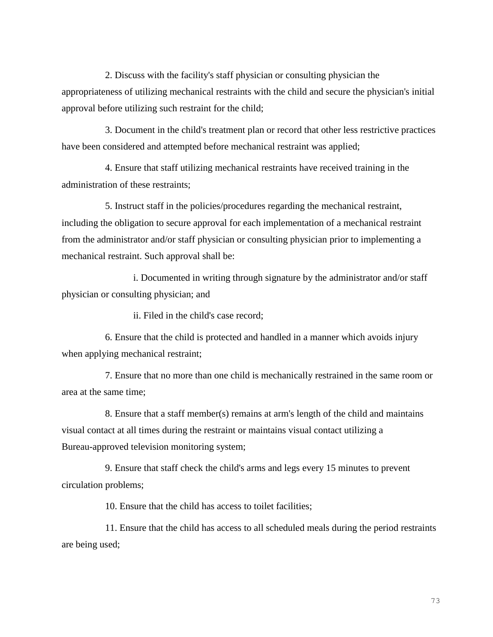2. Discuss with the facility's staff physician or consulting physician the appropriateness of utilizing mechanical restraints with the child and secure the physician's initial approval before utilizing such restraint for the child;

3. Document in the child's treatment plan or record that other less restrictive practices have been considered and attempted before mechanical restraint was applied;

4. Ensure that staff utilizing mechanical restraints have received training in the administration of these restraints;

5. Instruct staff in the policies/procedures regarding the mechanical restraint, including the obligation to secure approval for each implementation of a mechanical restraint from the administrator and/or staff physician or consulting physician prior to implementing a mechanical restraint. Such approval shall be:

i. Documented in writing through signature by the administrator and/or staff physician or consulting physician; and

ii. Filed in the child's case record;

6. Ensure that the child is protected and handled in a manner which avoids injury when applying mechanical restraint;

7. Ensure that no more than one child is mechanically restrained in the same room or area at the same time;

8. Ensure that a staff member(s) remains at arm's length of the child and maintains visual contact at all times during the restraint or maintains visual contact utilizing a Bureau-approved television monitoring system;

9. Ensure that staff check the child's arms and legs every 15 minutes to prevent circulation problems;

10. Ensure that the child has access to toilet facilities;

11. Ensure that the child has access to all scheduled meals during the period restraints are being used;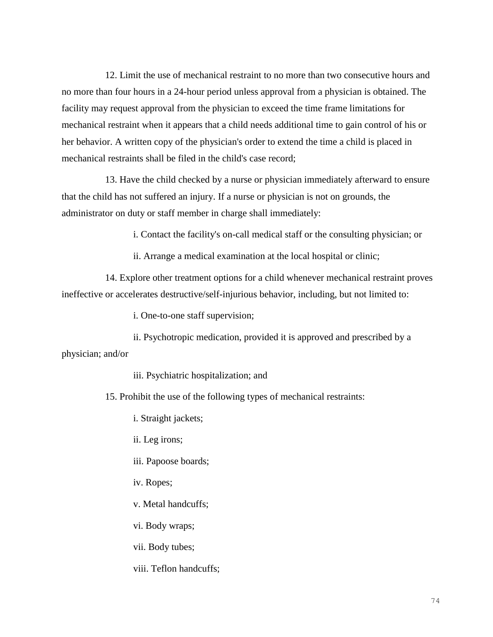12. Limit the use of mechanical restraint to no more than two consecutive hours and no more than four hours in a 24-hour period unless approval from a physician is obtained. The facility may request approval from the physician to exceed the time frame limitations for mechanical restraint when it appears that a child needs additional time to gain control of his or her behavior. A written copy of the physician's order to extend the time a child is placed in mechanical restraints shall be filed in the child's case record;

13. Have the child checked by a nurse or physician immediately afterward to ensure that the child has not suffered an injury. If a nurse or physician is not on grounds, the administrator on duty or staff member in charge shall immediately:

i. Contact the facility's on-call medical staff or the consulting physician; or

ii. Arrange a medical examination at the local hospital or clinic;

14. Explore other treatment options for a child whenever mechanical restraint proves ineffective or accelerates destructive/self-injurious behavior, including, but not limited to:

i. One-to-one staff supervision;

ii. Psychotropic medication, provided it is approved and prescribed by a physician; and/or

iii. Psychiatric hospitalization; and

15. Prohibit the use of the following types of mechanical restraints:

i. Straight jackets;

ii. Leg irons;

iii. Papoose boards;

iv. Ropes;

v. Metal handcuffs;

vi. Body wraps;

vii. Body tubes;

viii. Teflon handcuffs;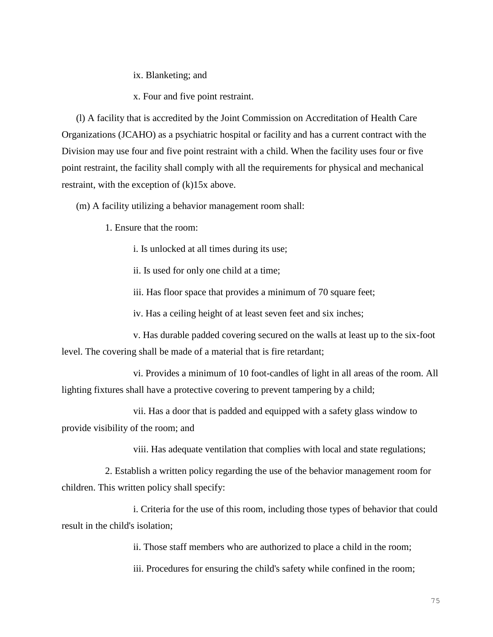ix. Blanketing; and

x. Four and five point restraint.

(l) A facility that is accredited by the Joint Commission on Accreditation of Health Care Organizations (JCAHO) as a psychiatric hospital or facility and has a current contract with the Division may use four and five point restraint with a child. When the facility uses four or five point restraint, the facility shall comply with all the requirements for physical and mechanical restraint, with the exception of (k)15x above.

(m) A facility utilizing a behavior management room shall:

1. Ensure that the room:

i. Is unlocked at all times during its use;

ii. Is used for only one child at a time;

iii. Has floor space that provides a minimum of 70 square feet;

iv. Has a ceiling height of at least seven feet and six inches;

v. Has durable padded covering secured on the walls at least up to the six-foot level. The covering shall be made of a material that is fire retardant;

vi. Provides a minimum of 10 foot-candles of light in all areas of the room. All lighting fixtures shall have a protective covering to prevent tampering by a child;

vii. Has a door that is padded and equipped with a safety glass window to provide visibility of the room; and

viii. Has adequate ventilation that complies with local and state regulations;

2. Establish a written policy regarding the use of the behavior management room for children. This written policy shall specify:

i. Criteria for the use of this room, including those types of behavior that could result in the child's isolation;

ii. Those staff members who are authorized to place a child in the room;

iii. Procedures for ensuring the child's safety while confined in the room;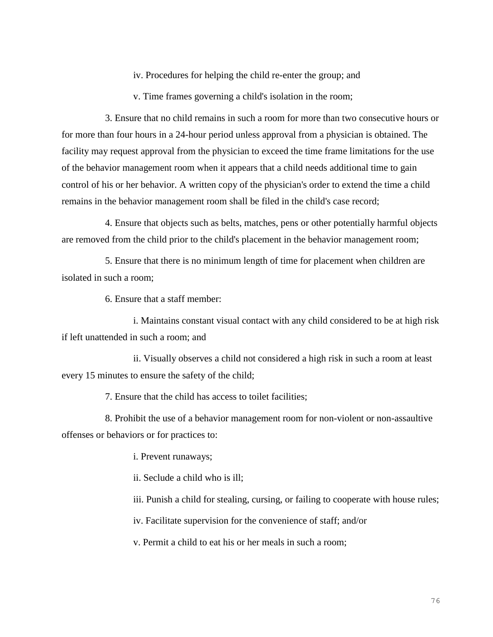iv. Procedures for helping the child re-enter the group; and

v. Time frames governing a child's isolation in the room;

3. Ensure that no child remains in such a room for more than two consecutive hours or for more than four hours in a 24-hour period unless approval from a physician is obtained. The facility may request approval from the physician to exceed the time frame limitations for the use of the behavior management room when it appears that a child needs additional time to gain control of his or her behavior. A written copy of the physician's order to extend the time a child remains in the behavior management room shall be filed in the child's case record;

4. Ensure that objects such as belts, matches, pens or other potentially harmful objects are removed from the child prior to the child's placement in the behavior management room;

5. Ensure that there is no minimum length of time for placement when children are isolated in such a room;

6. Ensure that a staff member:

i. Maintains constant visual contact with any child considered to be at high risk if left unattended in such a room; and

ii. Visually observes a child not considered a high risk in such a room at least every 15 minutes to ensure the safety of the child;

7. Ensure that the child has access to toilet facilities;

8. Prohibit the use of a behavior management room for non-violent or non-assaultive offenses or behaviors or for practices to:

i. Prevent runaways;

ii. Seclude a child who is ill;

iii. Punish a child for stealing, cursing, or failing to cooperate with house rules;

iv. Facilitate supervision for the convenience of staff; and/or

v. Permit a child to eat his or her meals in such a room;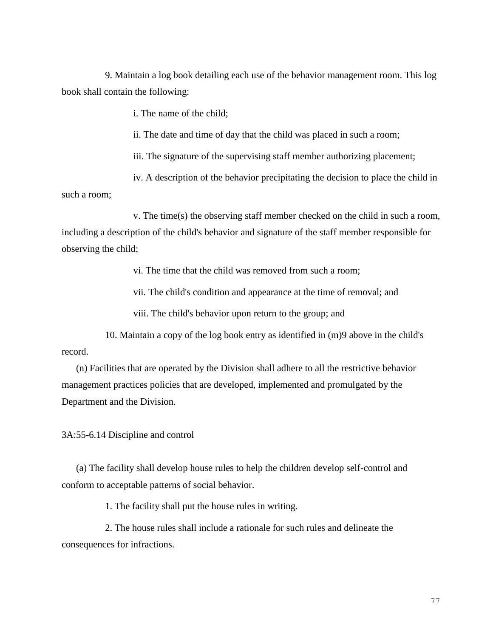9. Maintain a log book detailing each use of the behavior management room. This log book shall contain the following:

i. The name of the child;

ii. The date and time of day that the child was placed in such a room;

iii. The signature of the supervising staff member authorizing placement;

iv. A description of the behavior precipitating the decision to place the child in such a room;

v. The time(s) the observing staff member checked on the child in such a room, including a description of the child's behavior and signature of the staff member responsible for observing the child;

vi. The time that the child was removed from such a room;

vii. The child's condition and appearance at the time of removal; and

viii. The child's behavior upon return to the group; and

10. Maintain a copy of the log book entry as identified in (m)9 above in the child's record.

(n) Facilities that are operated by the Division shall adhere to all the restrictive behavior management practices policies that are developed, implemented and promulgated by the Department and the Division.

3A:55-6.14 Discipline and control

(a) The facility shall develop house rules to help the children develop self-control and conform to acceptable patterns of social behavior.

1. The facility shall put the house rules in writing.

2. The house rules shall include a rationale for such rules and delineate the consequences for infractions.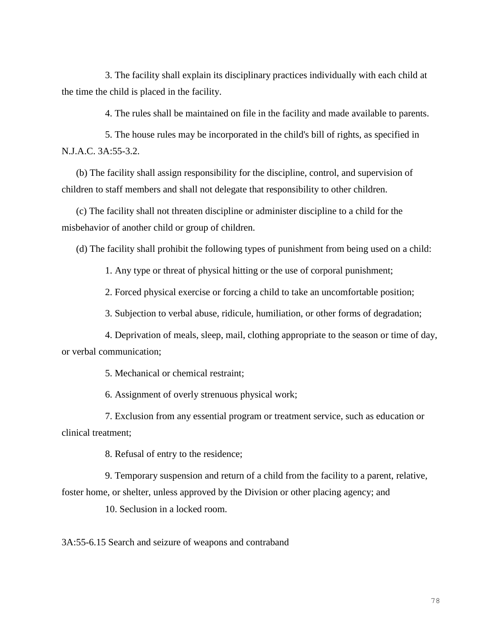3. The facility shall explain its disciplinary practices individually with each child at the time the child is placed in the facility.

4. The rules shall be maintained on file in the facility and made available to parents.

5. The house rules may be incorporated in the child's bill of rights, as specified in N.J.A.C. 3A:55-3.2.

(b) The facility shall assign responsibility for the discipline, control, and supervision of children to staff members and shall not delegate that responsibility to other children.

(c) The facility shall not threaten discipline or administer discipline to a child for the misbehavior of another child or group of children.

(d) The facility shall prohibit the following types of punishment from being used on a child:

1. Any type or threat of physical hitting or the use of corporal punishment;

2. Forced physical exercise or forcing a child to take an uncomfortable position;

3. Subjection to verbal abuse, ridicule, humiliation, or other forms of degradation;

4. Deprivation of meals, sleep, mail, clothing appropriate to the season or time of day, or verbal communication;

5. Mechanical or chemical restraint;

6. Assignment of overly strenuous physical work;

7. Exclusion from any essential program or treatment service, such as education or clinical treatment;

8. Refusal of entry to the residence;

9. Temporary suspension and return of a child from the facility to a parent, relative, foster home, or shelter, unless approved by the Division or other placing agency; and

10. Seclusion in a locked room.

3A:55-6.15 Search and seizure of weapons and contraband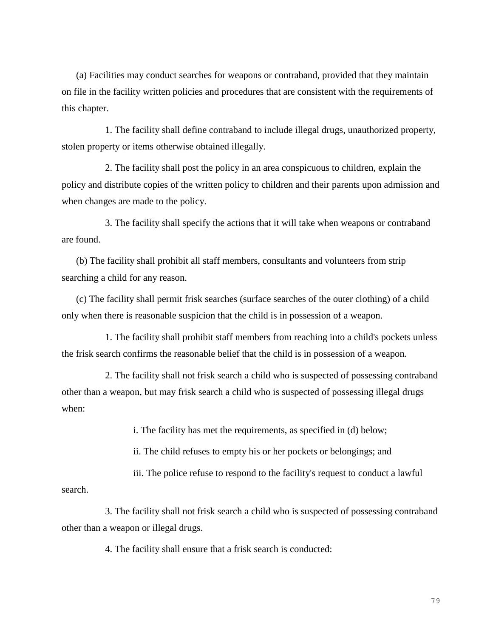(a) Facilities may conduct searches for weapons or contraband, provided that they maintain on file in the facility written policies and procedures that are consistent with the requirements of this chapter.

1. The facility shall define contraband to include illegal drugs, unauthorized property, stolen property or items otherwise obtained illegally.

2. The facility shall post the policy in an area conspicuous to children, explain the policy and distribute copies of the written policy to children and their parents upon admission and when changes are made to the policy.

3. The facility shall specify the actions that it will take when weapons or contraband are found.

(b) The facility shall prohibit all staff members, consultants and volunteers from strip searching a child for any reason.

(c) The facility shall permit frisk searches (surface searches of the outer clothing) of a child only when there is reasonable suspicion that the child is in possession of a weapon.

1. The facility shall prohibit staff members from reaching into a child's pockets unless the frisk search confirms the reasonable belief that the child is in possession of a weapon.

2. The facility shall not frisk search a child who is suspected of possessing contraband other than a weapon, but may frisk search a child who is suspected of possessing illegal drugs when:

i. The facility has met the requirements, as specified in (d) below;

ii. The child refuses to empty his or her pockets or belongings; and

iii. The police refuse to respond to the facility's request to conduct a lawful

search.

3. The facility shall not frisk search a child who is suspected of possessing contraband other than a weapon or illegal drugs.

4. The facility shall ensure that a frisk search is conducted:

79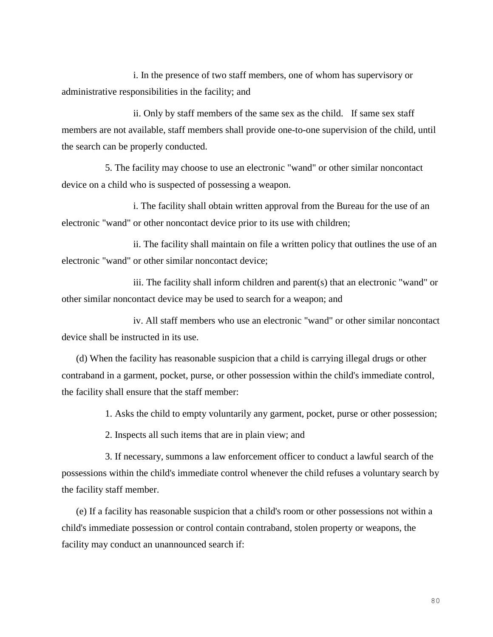i. In the presence of two staff members, one of whom has supervisory or administrative responsibilities in the facility; and

ii. Only by staff members of the same sex as the child. If same sex staff members are not available, staff members shall provide one-to-one supervision of the child, until the search can be properly conducted.

5. The facility may choose to use an electronic "wand" or other similar noncontact device on a child who is suspected of possessing a weapon.

i. The facility shall obtain written approval from the Bureau for the use of an electronic "wand" or other noncontact device prior to its use with children;

ii. The facility shall maintain on file a written policy that outlines the use of an electronic "wand" or other similar noncontact device;

iii. The facility shall inform children and parent(s) that an electronic "wand" or other similar noncontact device may be used to search for a weapon; and

iv. All staff members who use an electronic "wand" or other similar noncontact device shall be instructed in its use.

(d) When the facility has reasonable suspicion that a child is carrying illegal drugs or other contraband in a garment, pocket, purse, or other possession within the child's immediate control, the facility shall ensure that the staff member:

1. Asks the child to empty voluntarily any garment, pocket, purse or other possession;

2. Inspects all such items that are in plain view; and

3. If necessary, summons a law enforcement officer to conduct a lawful search of the possessions within the child's immediate control whenever the child refuses a voluntary search by the facility staff member.

(e) If a facility has reasonable suspicion that a child's room or other possessions not within a child's immediate possession or control contain contraband, stolen property or weapons, the facility may conduct an unannounced search if: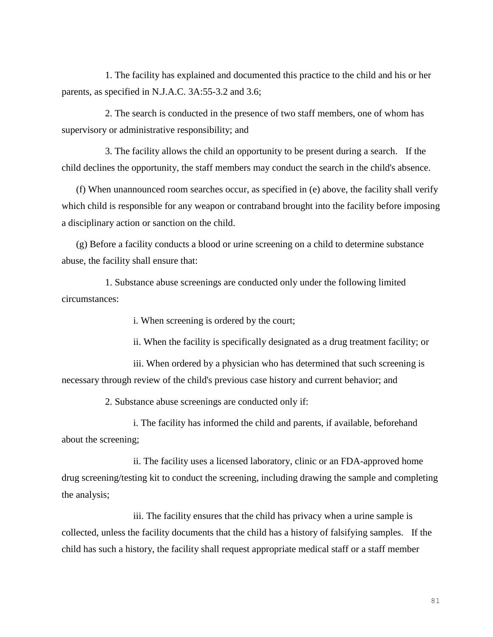1. The facility has explained and documented this practice to the child and his or her parents, as specified in N.J.A.C. 3A:55-3.2 and 3.6;

2. The search is conducted in the presence of two staff members, one of whom has supervisory or administrative responsibility; and

3. The facility allows the child an opportunity to be present during a search. If the child declines the opportunity, the staff members may conduct the search in the child's absence.

(f) When unannounced room searches occur, as specified in (e) above, the facility shall verify which child is responsible for any weapon or contraband brought into the facility before imposing a disciplinary action or sanction on the child.

(g) Before a facility conducts a blood or urine screening on a child to determine substance abuse, the facility shall ensure that:

1. Substance abuse screenings are conducted only under the following limited circumstances:

i. When screening is ordered by the court;

ii. When the facility is specifically designated as a drug treatment facility; or

iii. When ordered by a physician who has determined that such screening is necessary through review of the child's previous case history and current behavior; and

2. Substance abuse screenings are conducted only if:

i. The facility has informed the child and parents, if available, beforehand about the screening;

ii. The facility uses a licensed laboratory, clinic or an FDA-approved home drug screening/testing kit to conduct the screening, including drawing the sample and completing the analysis;

iii. The facility ensures that the child has privacy when a urine sample is collected, unless the facility documents that the child has a history of falsifying samples. If the child has such a history, the facility shall request appropriate medical staff or a staff member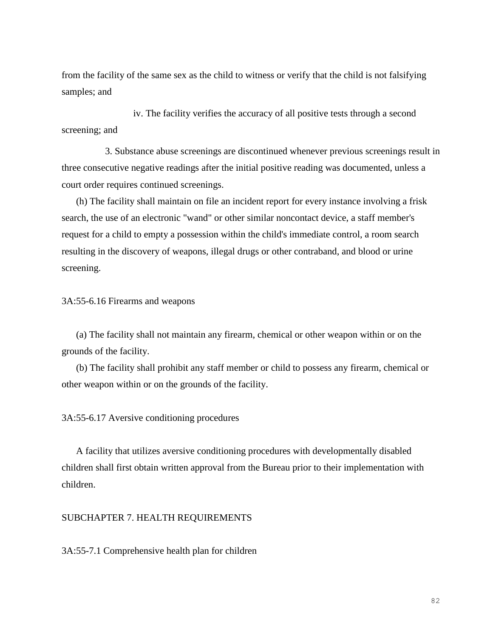from the facility of the same sex as the child to witness or verify that the child is not falsifying samples; and

iv. The facility verifies the accuracy of all positive tests through a second screening; and

3. Substance abuse screenings are discontinued whenever previous screenings result in three consecutive negative readings after the initial positive reading was documented, unless a court order requires continued screenings.

(h) The facility shall maintain on file an incident report for every instance involving a frisk search, the use of an electronic "wand" or other similar noncontact device, a staff member's request for a child to empty a possession within the child's immediate control, a room search resulting in the discovery of weapons, illegal drugs or other contraband, and blood or urine screening.

3A:55-6.16 Firearms and weapons

(a) The facility shall not maintain any firearm, chemical or other weapon within or on the grounds of the facility.

(b) The facility shall prohibit any staff member or child to possess any firearm, chemical or other weapon within or on the grounds of the facility.

3A:55-6.17 Aversive conditioning procedures

A facility that utilizes aversive conditioning procedures with developmentally disabled children shall first obtain written approval from the Bureau prior to their implementation with children.

### SUBCHAPTER 7. HEALTH REQUIREMENTS

3A:55-7.1 Comprehensive health plan for children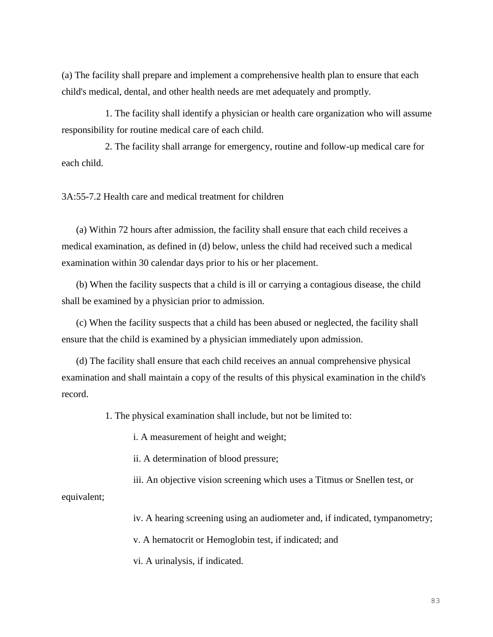(a) The facility shall prepare and implement a comprehensive health plan to ensure that each child's medical, dental, and other health needs are met adequately and promptly.

1. The facility shall identify a physician or health care organization who will assume responsibility for routine medical care of each child.

2. The facility shall arrange for emergency, routine and follow-up medical care for each child.

3A:55-7.2 Health care and medical treatment for children

(a) Within 72 hours after admission, the facility shall ensure that each child receives a medical examination, as defined in (d) below, unless the child had received such a medical examination within 30 calendar days prior to his or her placement.

(b) When the facility suspects that a child is ill or carrying a contagious disease, the child shall be examined by a physician prior to admission.

(c) When the facility suspects that a child has been abused or neglected, the facility shall ensure that the child is examined by a physician immediately upon admission.

(d) The facility shall ensure that each child receives an annual comprehensive physical examination and shall maintain a copy of the results of this physical examination in the child's record.

1. The physical examination shall include, but not be limited to:

i. A measurement of height and weight;

ii. A determination of blood pressure;

iii. An objective vision screening which uses a Titmus or Snellen test, or

equivalent;

iv. A hearing screening using an audiometer and, if indicated, tympanometry;

v. A hematocrit or Hemoglobin test, if indicated; and

vi. A urinalysis, if indicated.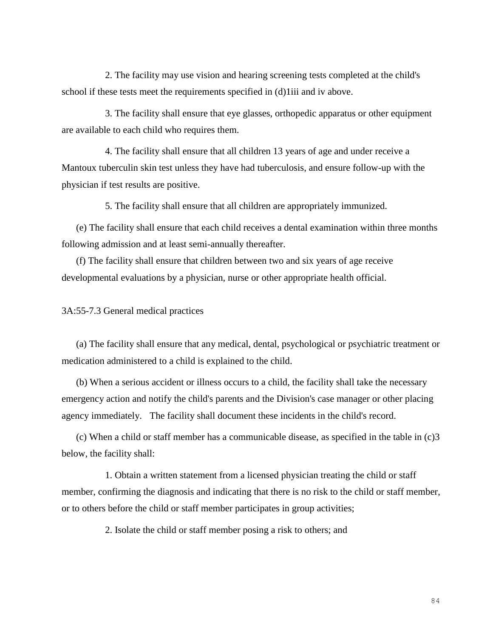2. The facility may use vision and hearing screening tests completed at the child's school if these tests meet the requirements specified in (d)1iii and iv above.

3. The facility shall ensure that eye glasses, orthopedic apparatus or other equipment are available to each child who requires them.

4. The facility shall ensure that all children 13 years of age and under receive a Mantoux tuberculin skin test unless they have had tuberculosis, and ensure follow-up with the physician if test results are positive.

5. The facility shall ensure that all children are appropriately immunized.

(e) The facility shall ensure that each child receives a dental examination within three months following admission and at least semi-annually thereafter.

(f) The facility shall ensure that children between two and six years of age receive developmental evaluations by a physician, nurse or other appropriate health official.

3A:55-7.3 General medical practices

(a) The facility shall ensure that any medical, dental, psychological or psychiatric treatment or medication administered to a child is explained to the child.

(b) When a serious accident or illness occurs to a child, the facility shall take the necessary emergency action and notify the child's parents and the Division's case manager or other placing agency immediately. The facility shall document these incidents in the child's record.

(c) When a child or staff member has a communicable disease, as specified in the table in (c)3 below, the facility shall:

1. Obtain a written statement from a licensed physician treating the child or staff member, confirming the diagnosis and indicating that there is no risk to the child or staff member, or to others before the child or staff member participates in group activities;

2. Isolate the child or staff member posing a risk to others; and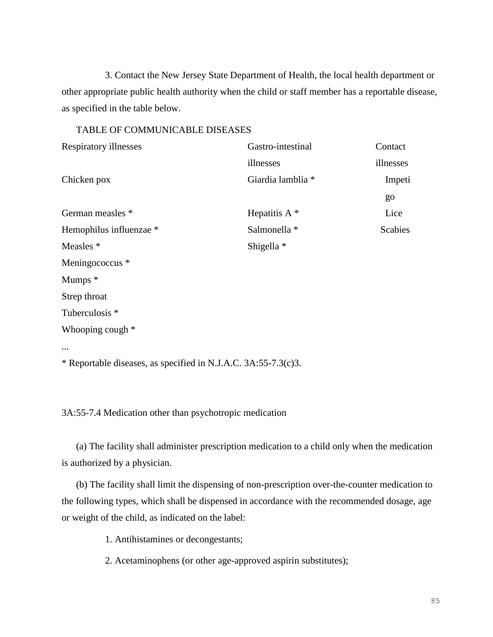3. Contact the New Jersey State Department of Health, the local health department or other appropriate public health authority when the child or staff member has a reportable disease, as specified in the table below.

#### TABLE OF COMMUNICABLE DISEASES

| Respiratory illnesses                                          | Gastro-intestinal | Contact        |
|----------------------------------------------------------------|-------------------|----------------|
|                                                                | illnesses         | illnesses      |
| Chicken pox                                                    | Giardia lamblia * | Impeti         |
|                                                                |                   | go             |
| German measles *                                               | Hepatitis $A^*$   | Lice           |
| Hemophilus influenzae *                                        | Salmonella *      | <b>Scabies</b> |
| Measles *                                                      | Shigella *        |                |
| Meningococcus *                                                |                   |                |
| Mumps *                                                        |                   |                |
| Strep throat                                                   |                   |                |
| Tuberculosis *                                                 |                   |                |
| Whooping cough *                                               |                   |                |
|                                                                |                   |                |
| * Reportable diseases, as specified in N.J.A.C. 3A:55-7.3(c)3. |                   |                |

3A:55-7.4 Medication other than psychotropic medication

(a) The facility shall administer prescription medication to a child only when the medication is authorized by a physician.

(b) The facility shall limit the dispensing of non-prescription over-the-counter medication to the following types, which shall be dispensed in accordance with the recommended dosage, age or weight of the child, as indicated on the label:

1. Antihistamines or decongestants;

2. Acetaminophens (or other age-approved aspirin substitutes);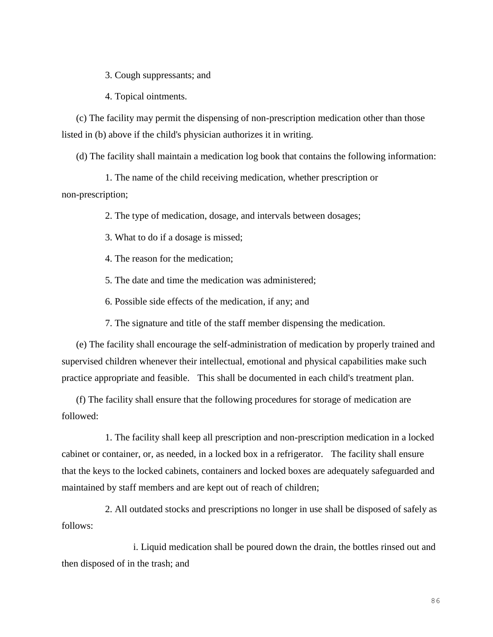3. Cough suppressants; and

4. Topical ointments.

(c) The facility may permit the dispensing of non-prescription medication other than those listed in (b) above if the child's physician authorizes it in writing.

(d) The facility shall maintain a medication log book that contains the following information:

1. The name of the child receiving medication, whether prescription or non-prescription;

2. The type of medication, dosage, and intervals between dosages;

3. What to do if a dosage is missed;

4. The reason for the medication;

5. The date and time the medication was administered;

6. Possible side effects of the medication, if any; and

7. The signature and title of the staff member dispensing the medication.

(e) The facility shall encourage the self-administration of medication by properly trained and supervised children whenever their intellectual, emotional and physical capabilities make such practice appropriate and feasible. This shall be documented in each child's treatment plan.

(f) The facility shall ensure that the following procedures for storage of medication are followed:

1. The facility shall keep all prescription and non-prescription medication in a locked cabinet or container, or, as needed, in a locked box in a refrigerator. The facility shall ensure that the keys to the locked cabinets, containers and locked boxes are adequately safeguarded and maintained by staff members and are kept out of reach of children;

2. All outdated stocks and prescriptions no longer in use shall be disposed of safely as follows:

i. Liquid medication shall be poured down the drain, the bottles rinsed out and then disposed of in the trash; and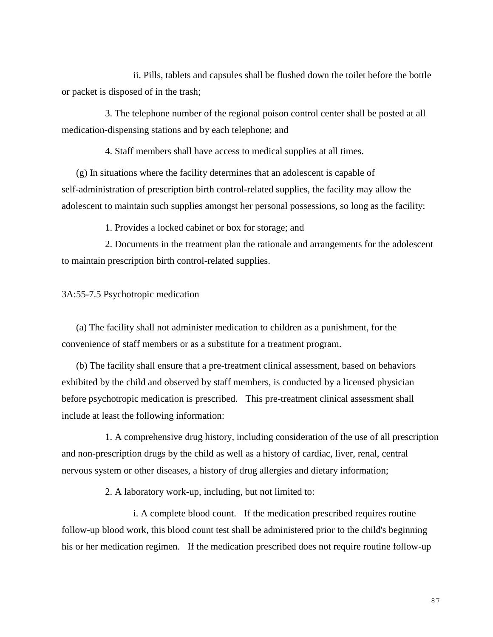ii. Pills, tablets and capsules shall be flushed down the toilet before the bottle or packet is disposed of in the trash;

3. The telephone number of the regional poison control center shall be posted at all medication-dispensing stations and by each telephone; and

4. Staff members shall have access to medical supplies at all times.

(g) In situations where the facility determines that an adolescent is capable of self-administration of prescription birth control-related supplies, the facility may allow the adolescent to maintain such supplies amongst her personal possessions, so long as the facility:

1. Provides a locked cabinet or box for storage; and

2. Documents in the treatment plan the rationale and arrangements for the adolescent to maintain prescription birth control-related supplies.

#### 3A:55-7.5 Psychotropic medication

(a) The facility shall not administer medication to children as a punishment, for the convenience of staff members or as a substitute for a treatment program.

(b) The facility shall ensure that a pre-treatment clinical assessment, based on behaviors exhibited by the child and observed by staff members, is conducted by a licensed physician before psychotropic medication is prescribed. This pre-treatment clinical assessment shall include at least the following information:

1. A comprehensive drug history, including consideration of the use of all prescription and non-prescription drugs by the child as well as a history of cardiac, liver, renal, central nervous system or other diseases, a history of drug allergies and dietary information;

2. A laboratory work-up, including, but not limited to:

i. A complete blood count. If the medication prescribed requires routine follow-up blood work, this blood count test shall be administered prior to the child's beginning his or her medication regimen. If the medication prescribed does not require routine follow-up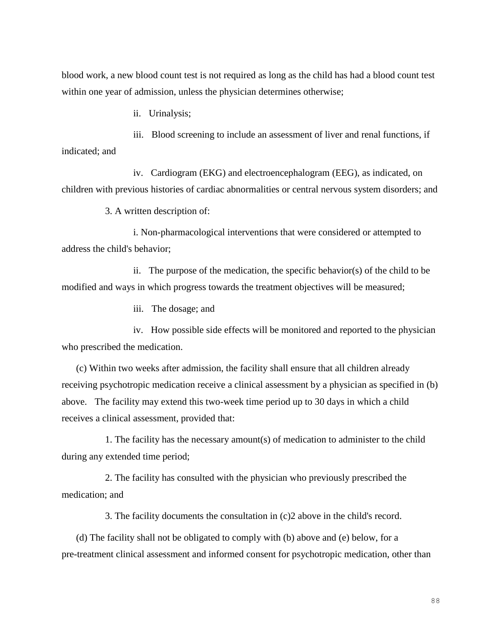blood work, a new blood count test is not required as long as the child has had a blood count test within one year of admission, unless the physician determines otherwise;

ii. Urinalysis;

iii. Blood screening to include an assessment of liver and renal functions, if indicated; and

iv. Cardiogram (EKG) and electroencephalogram (EEG), as indicated, on children with previous histories of cardiac abnormalities or central nervous system disorders; and

3. A written description of:

i. Non-pharmacological interventions that were considered or attempted to address the child's behavior;

ii. The purpose of the medication, the specific behavior(s) of the child to be modified and ways in which progress towards the treatment objectives will be measured;

iii. The dosage; and

iv. How possible side effects will be monitored and reported to the physician who prescribed the medication.

(c) Within two weeks after admission, the facility shall ensure that all children already receiving psychotropic medication receive a clinical assessment by a physician as specified in (b) above. The facility may extend this two-week time period up to 30 days in which a child receives a clinical assessment, provided that:

1. The facility has the necessary amount(s) of medication to administer to the child during any extended time period;

2. The facility has consulted with the physician who previously prescribed the medication; and

3. The facility documents the consultation in (c)2 above in the child's record.

(d) The facility shall not be obligated to comply with (b) above and (e) below, for a pre-treatment clinical assessment and informed consent for psychotropic medication, other than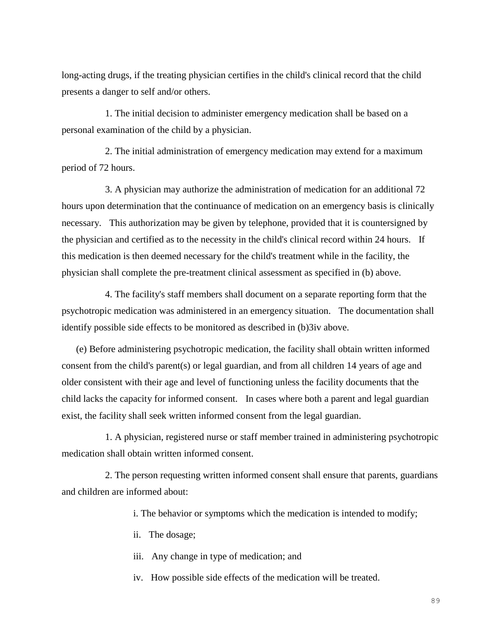long-acting drugs, if the treating physician certifies in the child's clinical record that the child presents a danger to self and/or others.

1. The initial decision to administer emergency medication shall be based on a personal examination of the child by a physician.

2. The initial administration of emergency medication may extend for a maximum period of 72 hours.

3. A physician may authorize the administration of medication for an additional 72 hours upon determination that the continuance of medication on an emergency basis is clinically necessary. This authorization may be given by telephone, provided that it is countersigned by the physician and certified as to the necessity in the child's clinical record within 24 hours. If this medication is then deemed necessary for the child's treatment while in the facility, the physician shall complete the pre-treatment clinical assessment as specified in (b) above.

4. The facility's staff members shall document on a separate reporting form that the psychotropic medication was administered in an emergency situation. The documentation shall identify possible side effects to be monitored as described in (b)3iv above.

(e) Before administering psychotropic medication, the facility shall obtain written informed consent from the child's parent(s) or legal guardian, and from all children 14 years of age and older consistent with their age and level of functioning unless the facility documents that the child lacks the capacity for informed consent. In cases where both a parent and legal guardian exist, the facility shall seek written informed consent from the legal guardian.

1. A physician, registered nurse or staff member trained in administering psychotropic medication shall obtain written informed consent.

2. The person requesting written informed consent shall ensure that parents, guardians and children are informed about:

i. The behavior or symptoms which the medication is intended to modify;

ii. The dosage;

iii. Any change in type of medication; and

iv. How possible side effects of the medication will be treated.

89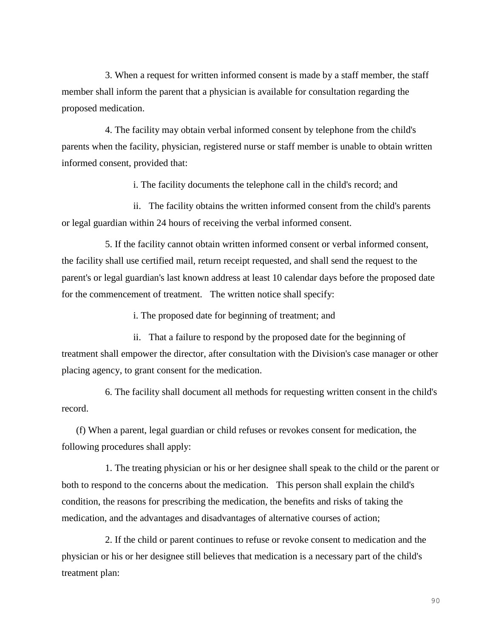3. When a request for written informed consent is made by a staff member, the staff member shall inform the parent that a physician is available for consultation regarding the proposed medication.

4. The facility may obtain verbal informed consent by telephone from the child's parents when the facility, physician, registered nurse or staff member is unable to obtain written informed consent, provided that:

i. The facility documents the telephone call in the child's record; and

ii. The facility obtains the written informed consent from the child's parents or legal guardian within 24 hours of receiving the verbal informed consent.

5. If the facility cannot obtain written informed consent or verbal informed consent, the facility shall use certified mail, return receipt requested, and shall send the request to the parent's or legal guardian's last known address at least 10 calendar days before the proposed date for the commencement of treatment. The written notice shall specify:

i. The proposed date for beginning of treatment; and

ii. That a failure to respond by the proposed date for the beginning of treatment shall empower the director, after consultation with the Division's case manager or other placing agency, to grant consent for the medication.

6. The facility shall document all methods for requesting written consent in the child's record.

(f) When a parent, legal guardian or child refuses or revokes consent for medication, the following procedures shall apply:

1. The treating physician or his or her designee shall speak to the child or the parent or both to respond to the concerns about the medication. This person shall explain the child's condition, the reasons for prescribing the medication, the benefits and risks of taking the medication, and the advantages and disadvantages of alternative courses of action;

2. If the child or parent continues to refuse or revoke consent to medication and the physician or his or her designee still believes that medication is a necessary part of the child's treatment plan: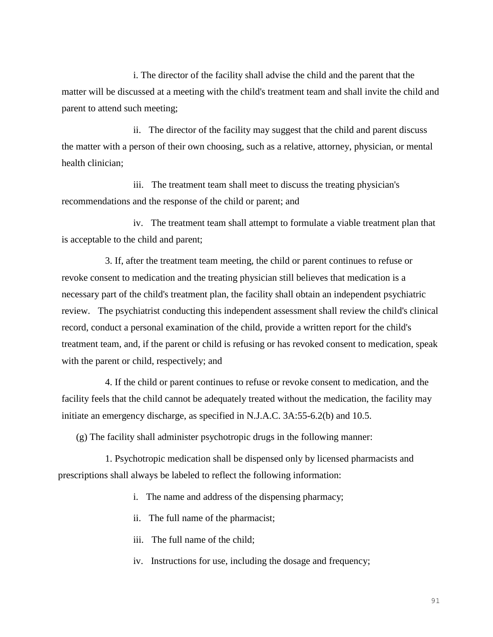i. The director of the facility shall advise the child and the parent that the matter will be discussed at a meeting with the child's treatment team and shall invite the child and parent to attend such meeting;

ii. The director of the facility may suggest that the child and parent discuss the matter with a person of their own choosing, such as a relative, attorney, physician, or mental health clinician;

iii. The treatment team shall meet to discuss the treating physician's recommendations and the response of the child or parent; and

iv. The treatment team shall attempt to formulate a viable treatment plan that is acceptable to the child and parent;

3. If, after the treatment team meeting, the child or parent continues to refuse or revoke consent to medication and the treating physician still believes that medication is a necessary part of the child's treatment plan, the facility shall obtain an independent psychiatric review. The psychiatrist conducting this independent assessment shall review the child's clinical record, conduct a personal examination of the child, provide a written report for the child's treatment team, and, if the parent or child is refusing or has revoked consent to medication, speak with the parent or child, respectively; and

4. If the child or parent continues to refuse or revoke consent to medication, and the facility feels that the child cannot be adequately treated without the medication, the facility may initiate an emergency discharge, as specified in N.J.A.C. 3A:55-6.2(b) and 10.5.

(g) The facility shall administer psychotropic drugs in the following manner:

1. Psychotropic medication shall be dispensed only by licensed pharmacists and prescriptions shall always be labeled to reflect the following information:

- i. The name and address of the dispensing pharmacy;
- ii. The full name of the pharmacist;
- iii. The full name of the child;
- iv. Instructions for use, including the dosage and frequency;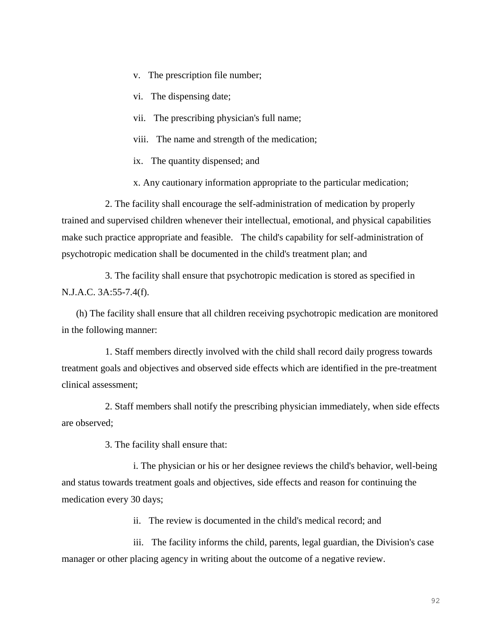- v. The prescription file number;
- vi. The dispensing date;
- vii. The prescribing physician's full name;
- viii. The name and strength of the medication;
- ix. The quantity dispensed; and

x. Any cautionary information appropriate to the particular medication;

2. The facility shall encourage the self-administration of medication by properly trained and supervised children whenever their intellectual, emotional, and physical capabilities make such practice appropriate and feasible. The child's capability for self-administration of psychotropic medication shall be documented in the child's treatment plan; and

3. The facility shall ensure that psychotropic medication is stored as specified in N.J.A.C. 3A:55-7.4(f).

(h) The facility shall ensure that all children receiving psychotropic medication are monitored in the following manner:

1. Staff members directly involved with the child shall record daily progress towards treatment goals and objectives and observed side effects which are identified in the pre-treatment clinical assessment;

2. Staff members shall notify the prescribing physician immediately, when side effects are observed;

3. The facility shall ensure that:

i. The physician or his or her designee reviews the child's behavior, well-being and status towards treatment goals and objectives, side effects and reason for continuing the medication every 30 days;

ii. The review is documented in the child's medical record; and

iii. The facility informs the child, parents, legal guardian, the Division's case manager or other placing agency in writing about the outcome of a negative review.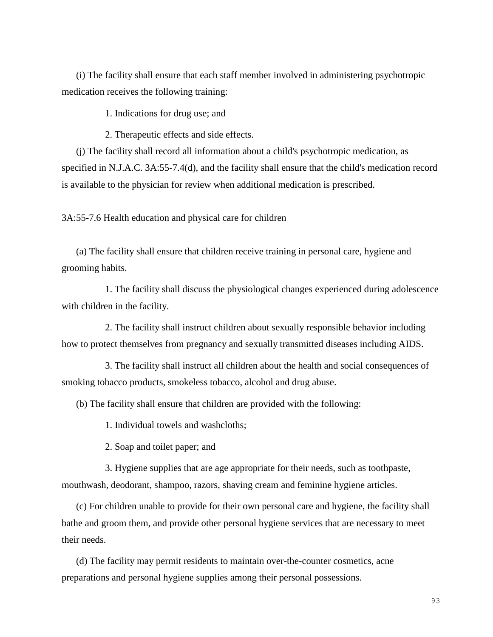(i) The facility shall ensure that each staff member involved in administering psychotropic medication receives the following training:

1. Indications for drug use; and

2. Therapeutic effects and side effects.

(j) The facility shall record all information about a child's psychotropic medication, as specified in N.J.A.C. 3A:55-7.4(d), and the facility shall ensure that the child's medication record is available to the physician for review when additional medication is prescribed.

3A:55-7.6 Health education and physical care for children

(a) The facility shall ensure that children receive training in personal care, hygiene and grooming habits.

1. The facility shall discuss the physiological changes experienced during adolescence with children in the facility.

2. The facility shall instruct children about sexually responsible behavior including how to protect themselves from pregnancy and sexually transmitted diseases including AIDS.

3. The facility shall instruct all children about the health and social consequences of smoking tobacco products, smokeless tobacco, alcohol and drug abuse.

(b) The facility shall ensure that children are provided with the following:

1. Individual towels and washcloths;

2. Soap and toilet paper; and

3. Hygiene supplies that are age appropriate for their needs, such as toothpaste, mouthwash, deodorant, shampoo, razors, shaving cream and feminine hygiene articles.

(c) For children unable to provide for their own personal care and hygiene, the facility shall bathe and groom them, and provide other personal hygiene services that are necessary to meet their needs.

(d) The facility may permit residents to maintain over-the-counter cosmetics, acne preparations and personal hygiene supplies among their personal possessions.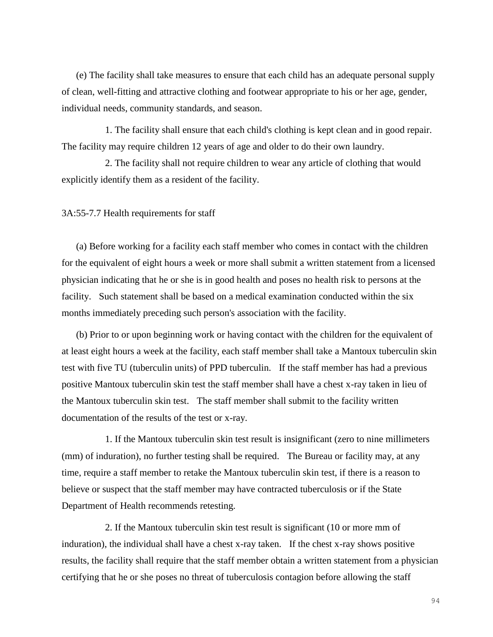(e) The facility shall take measures to ensure that each child has an adequate personal supply of clean, well-fitting and attractive clothing and footwear appropriate to his or her age, gender, individual needs, community standards, and season.

1. The facility shall ensure that each child's clothing is kept clean and in good repair. The facility may require children 12 years of age and older to do their own laundry.

2. The facility shall not require children to wear any article of clothing that would explicitly identify them as a resident of the facility.

3A:55-7.7 Health requirements for staff

(a) Before working for a facility each staff member who comes in contact with the children for the equivalent of eight hours a week or more shall submit a written statement from a licensed physician indicating that he or she is in good health and poses no health risk to persons at the facility. Such statement shall be based on a medical examination conducted within the six months immediately preceding such person's association with the facility.

(b) Prior to or upon beginning work or having contact with the children for the equivalent of at least eight hours a week at the facility, each staff member shall take a Mantoux tuberculin skin test with five TU (tuberculin units) of PPD tuberculin. If the staff member has had a previous positive Mantoux tuberculin skin test the staff member shall have a chest x-ray taken in lieu of the Mantoux tuberculin skin test. The staff member shall submit to the facility written documentation of the results of the test or x-ray.

1. If the Mantoux tuberculin skin test result is insignificant (zero to nine millimeters (mm) of induration), no further testing shall be required. The Bureau or facility may, at any time, require a staff member to retake the Mantoux tuberculin skin test, if there is a reason to believe or suspect that the staff member may have contracted tuberculosis or if the State Department of Health recommends retesting.

2. If the Mantoux tuberculin skin test result is significant (10 or more mm of induration), the individual shall have a chest x-ray taken. If the chest x-ray shows positive results, the facility shall require that the staff member obtain a written statement from a physician certifying that he or she poses no threat of tuberculosis contagion before allowing the staff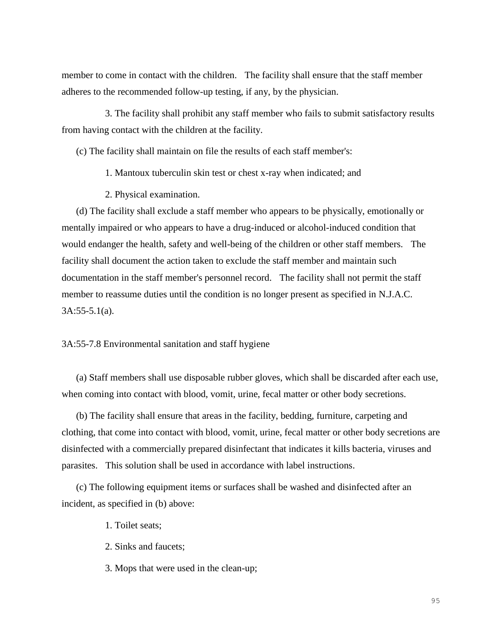member to come in contact with the children. The facility shall ensure that the staff member adheres to the recommended follow-up testing, if any, by the physician.

3. The facility shall prohibit any staff member who fails to submit satisfactory results from having contact with the children at the facility.

(c) The facility shall maintain on file the results of each staff member's:

1. Mantoux tuberculin skin test or chest x-ray when indicated; and

2. Physical examination.

(d) The facility shall exclude a staff member who appears to be physically, emotionally or mentally impaired or who appears to have a drug-induced or alcohol-induced condition that would endanger the health, safety and well-being of the children or other staff members. The facility shall document the action taken to exclude the staff member and maintain such documentation in the staff member's personnel record. The facility shall not permit the staff member to reassume duties until the condition is no longer present as specified in N.J.A.C. 3A:55-5.1(a).

3A:55-7.8 Environmental sanitation and staff hygiene

(a) Staff members shall use disposable rubber gloves, which shall be discarded after each use, when coming into contact with blood, vomit, urine, fecal matter or other body secretions.

(b) The facility shall ensure that areas in the facility, bedding, furniture, carpeting and clothing, that come into contact with blood, vomit, urine, fecal matter or other body secretions are disinfected with a commercially prepared disinfectant that indicates it kills bacteria, viruses and parasites. This solution shall be used in accordance with label instructions.

(c) The following equipment items or surfaces shall be washed and disinfected after an incident, as specified in (b) above:

1. Toilet seats;

2. Sinks and faucets;

3. Mops that were used in the clean-up;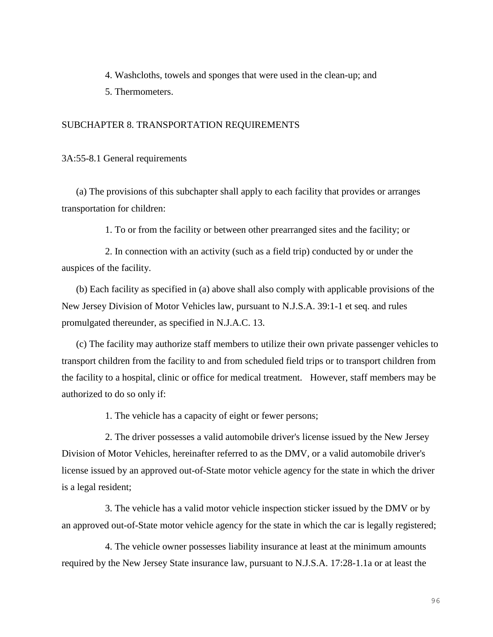4. Washcloths, towels and sponges that were used in the clean-up; and

5. Thermometers.

#### SUBCHAPTER 8. TRANSPORTATION REQUIREMENTS

3A:55-8.1 General requirements

(a) The provisions of this subchapter shall apply to each facility that provides or arranges transportation for children:

1. To or from the facility or between other prearranged sites and the facility; or

2. In connection with an activity (such as a field trip) conducted by or under the auspices of the facility.

(b) Each facility as specified in (a) above shall also comply with applicable provisions of the New Jersey Division of Motor Vehicles law, pursuant to N.J.S.A. 39:1-1 et seq. and rules promulgated thereunder, as specified in N.J.A.C. 13.

(c) The facility may authorize staff members to utilize their own private passenger vehicles to transport children from the facility to and from scheduled field trips or to transport children from the facility to a hospital, clinic or office for medical treatment. However, staff members may be authorized to do so only if:

1. The vehicle has a capacity of eight or fewer persons;

2. The driver possesses a valid automobile driver's license issued by the New Jersey Division of Motor Vehicles, hereinafter referred to as the DMV, or a valid automobile driver's license issued by an approved out-of-State motor vehicle agency for the state in which the driver is a legal resident;

3. The vehicle has a valid motor vehicle inspection sticker issued by the DMV or by an approved out-of-State motor vehicle agency for the state in which the car is legally registered;

4. The vehicle owner possesses liability insurance at least at the minimum amounts required by the New Jersey State insurance law, pursuant to N.J.S.A. 17:28-1.1a or at least the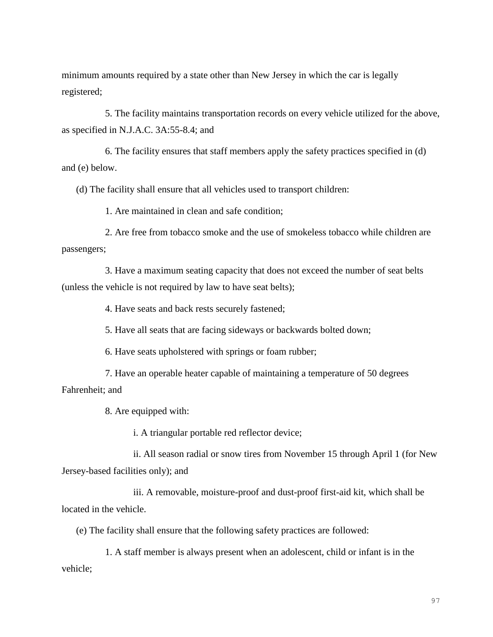minimum amounts required by a state other than New Jersey in which the car is legally registered;

5. The facility maintains transportation records on every vehicle utilized for the above, as specified in N.J.A.C. 3A:55-8.4; and

6. The facility ensures that staff members apply the safety practices specified in (d) and (e) below.

(d) The facility shall ensure that all vehicles used to transport children:

1. Are maintained in clean and safe condition;

2. Are free from tobacco smoke and the use of smokeless tobacco while children are passengers;

3. Have a maximum seating capacity that does not exceed the number of seat belts (unless the vehicle is not required by law to have seat belts);

4. Have seats and back rests securely fastened;

5. Have all seats that are facing sideways or backwards bolted down;

6. Have seats upholstered with springs or foam rubber;

7. Have an operable heater capable of maintaining a temperature of 50 degrees Fahrenheit; and

8. Are equipped with:

i. A triangular portable red reflector device;

ii. All season radial or snow tires from November 15 through April 1 (for New Jersey-based facilities only); and

iii. A removable, moisture-proof and dust-proof first-aid kit, which shall be located in the vehicle.

(e) The facility shall ensure that the following safety practices are followed:

1. A staff member is always present when an adolescent, child or infant is in the vehicle;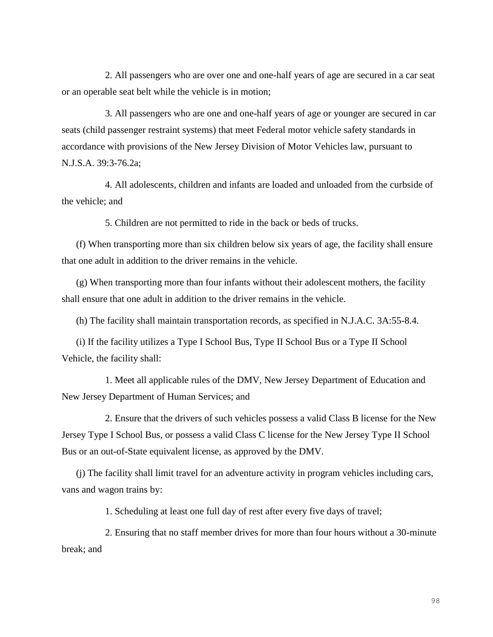2. All passengers who are over one and one-half years of age are secured in a car seat or an operable seat belt while the vehicle is in motion;

3. All passengers who are one and one-half years of age or younger are secured in car seats (child passenger restraint systems) that meet Federal motor vehicle safety standards in accordance with provisions of the New Jersey Division of Motor Vehicles law, pursuant to N.J.S.A. 39:3-76.2a;

4. All adolescents, children and infants are loaded and unloaded from the curbside of the vehicle; and

5. Children are not permitted to ride in the back or beds of trucks.

(f) When transporting more than six children below six years of age, the facility shall ensure that one adult in addition to the driver remains in the vehicle.

(g) When transporting more than four infants without their adolescent mothers, the facility shall ensure that one adult in addition to the driver remains in the vehicle.

(h) The facility shall maintain transportation records, as specified in N.J.A.C. 3A:55-8.4.

(i) If the facility utilizes a Type I School Bus, Type II School Bus or a Type II School Vehicle, the facility shall:

1. Meet all applicable rules of the DMV, New Jersey Department of Education and New Jersey Department of Human Services; and

2. Ensure that the drivers of such vehicles possess a valid Class B license for the New Jersey Type I School Bus, or possess a valid Class C license for the New Jersey Type II School Bus or an out-of-State equivalent license, as approved by the DMV.

(j) The facility shall limit travel for an adventure activity in program vehicles including cars, vans and wagon trains by:

1. Scheduling at least one full day of rest after every five days of travel;

2. Ensuring that no staff member drives for more than four hours without a 30-minute break; and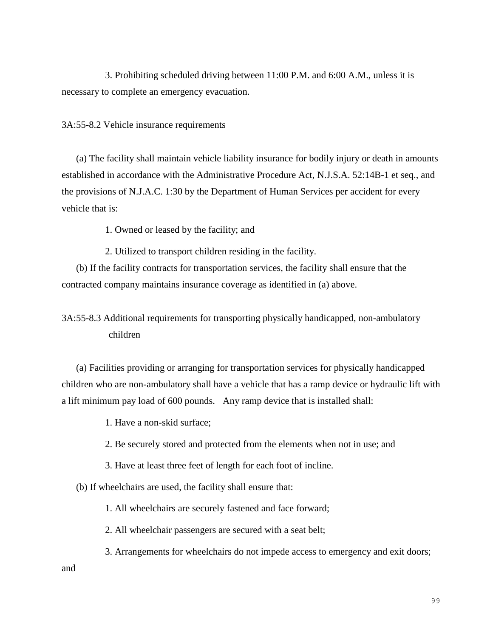3. Prohibiting scheduled driving between 11:00 P.M. and 6:00 A.M., unless it is necessary to complete an emergency evacuation.

#### 3A:55-8.2 Vehicle insurance requirements

(a) The facility shall maintain vehicle liability insurance for bodily injury or death in amounts established in accordance with the Administrative Procedure Act, N.J.S.A. 52:14B-1 et seq., and the provisions of N.J.A.C. 1:30 by the Department of Human Services per accident for every vehicle that is:

1. Owned or leased by the facility; and

2. Utilized to transport children residing in the facility.

(b) If the facility contracts for transportation services, the facility shall ensure that the contracted company maintains insurance coverage as identified in (a) above.

# 3A:55-8.3 Additional requirements for transporting physically handicapped, non-ambulatory children

(a) Facilities providing or arranging for transportation services for physically handicapped children who are non-ambulatory shall have a vehicle that has a ramp device or hydraulic lift with a lift minimum pay load of 600 pounds. Any ramp device that is installed shall:

1. Have a non-skid surface;

2. Be securely stored and protected from the elements when not in use; and

3. Have at least three feet of length for each foot of incline.

(b) If wheelchairs are used, the facility shall ensure that:

1. All wheelchairs are securely fastened and face forward;

2. All wheelchair passengers are secured with a seat belt;

3. Arrangements for wheelchairs do not impede access to emergency and exit doors;

and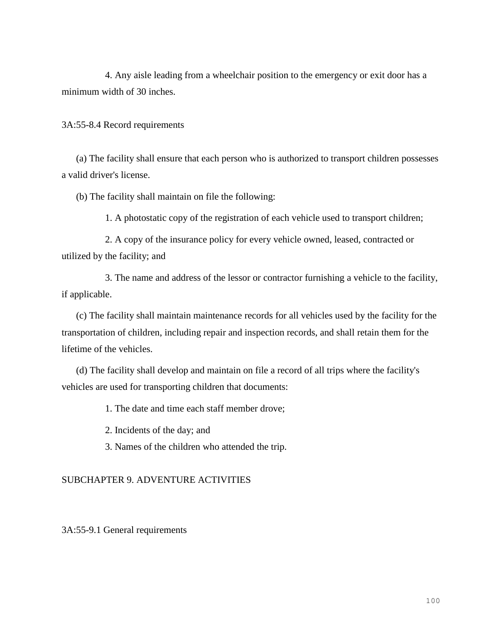4. Any aisle leading from a wheelchair position to the emergency or exit door has a minimum width of 30 inches.

3A:55-8.4 Record requirements

(a) The facility shall ensure that each person who is authorized to transport children possesses a valid driver's license.

(b) The facility shall maintain on file the following:

1. A photostatic copy of the registration of each vehicle used to transport children;

2. A copy of the insurance policy for every vehicle owned, leased, contracted or utilized by the facility; and

3. The name and address of the lessor or contractor furnishing a vehicle to the facility, if applicable.

(c) The facility shall maintain maintenance records for all vehicles used by the facility for the transportation of children, including repair and inspection records, and shall retain them for the lifetime of the vehicles.

(d) The facility shall develop and maintain on file a record of all trips where the facility's vehicles are used for transporting children that documents:

1. The date and time each staff member drove;

2. Incidents of the day; and

3. Names of the children who attended the trip.

## SUBCHAPTER 9. ADVENTURE ACTIVITIES

3A:55-9.1 General requirements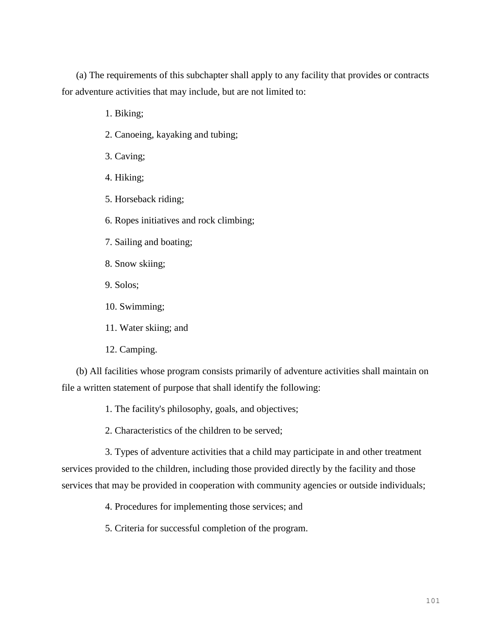(a) The requirements of this subchapter shall apply to any facility that provides or contracts for adventure activities that may include, but are not limited to:

1. Biking;

- 2. Canoeing, kayaking and tubing;
- 3. Caving;
- 4. Hiking;
- 5. Horseback riding;
- 6. Ropes initiatives and rock climbing;
- 7. Sailing and boating;
- 8. Snow skiing;
- 9. Solos;
- 10. Swimming;
- 11. Water skiing; and
- 12. Camping.

(b) All facilities whose program consists primarily of adventure activities shall maintain on file a written statement of purpose that shall identify the following:

- 1. The facility's philosophy, goals, and objectives;
- 2. Characteristics of the children to be served;

3. Types of adventure activities that a child may participate in and other treatment services provided to the children, including those provided directly by the facility and those services that may be provided in cooperation with community agencies or outside individuals;

- 4. Procedures for implementing those services; and
- 5. Criteria for successful completion of the program.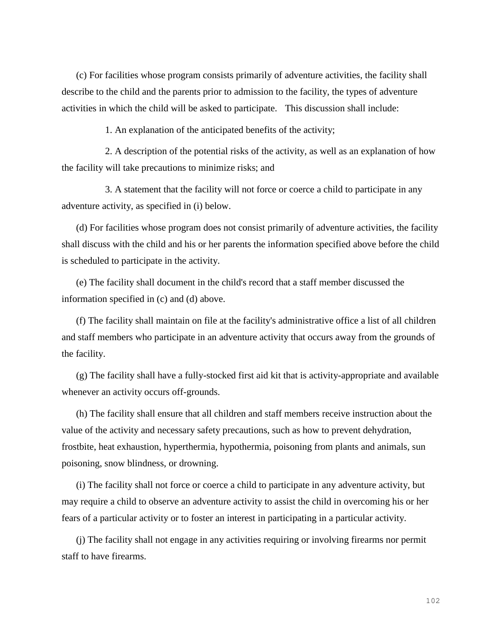(c) For facilities whose program consists primarily of adventure activities, the facility shall describe to the child and the parents prior to admission to the facility, the types of adventure activities in which the child will be asked to participate. This discussion shall include:

1. An explanation of the anticipated benefits of the activity;

2. A description of the potential risks of the activity, as well as an explanation of how the facility will take precautions to minimize risks; and

3. A statement that the facility will not force or coerce a child to participate in any adventure activity, as specified in (i) below.

(d) For facilities whose program does not consist primarily of adventure activities, the facility shall discuss with the child and his or her parents the information specified above before the child is scheduled to participate in the activity.

(e) The facility shall document in the child's record that a staff member discussed the information specified in (c) and (d) above.

(f) The facility shall maintain on file at the facility's administrative office a list of all children and staff members who participate in an adventure activity that occurs away from the grounds of the facility.

(g) The facility shall have a fully-stocked first aid kit that is activity-appropriate and available whenever an activity occurs off-grounds.

(h) The facility shall ensure that all children and staff members receive instruction about the value of the activity and necessary safety precautions, such as how to prevent dehydration, frostbite, heat exhaustion, hyperthermia, hypothermia, poisoning from plants and animals, sun poisoning, snow blindness, or drowning.

(i) The facility shall not force or coerce a child to participate in any adventure activity, but may require a child to observe an adventure activity to assist the child in overcoming his or her fears of a particular activity or to foster an interest in participating in a particular activity.

(j) The facility shall not engage in any activities requiring or involving firearms nor permit staff to have firearms.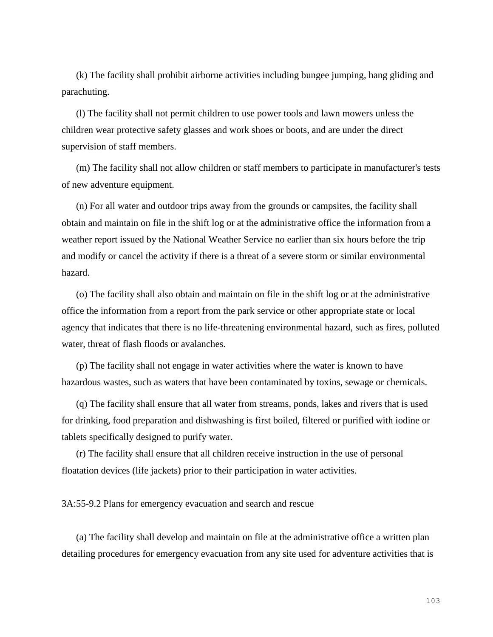(k) The facility shall prohibit airborne activities including bungee jumping, hang gliding and parachuting.

(l) The facility shall not permit children to use power tools and lawn mowers unless the children wear protective safety glasses and work shoes or boots, and are under the direct supervision of staff members.

(m) The facility shall not allow children or staff members to participate in manufacturer's tests of new adventure equipment.

(n) For all water and outdoor trips away from the grounds or campsites, the facility shall obtain and maintain on file in the shift log or at the administrative office the information from a weather report issued by the National Weather Service no earlier than six hours before the trip and modify or cancel the activity if there is a threat of a severe storm or similar environmental hazard.

(o) The facility shall also obtain and maintain on file in the shift log or at the administrative office the information from a report from the park service or other appropriate state or local agency that indicates that there is no life-threatening environmental hazard, such as fires, polluted water, threat of flash floods or avalanches.

(p) The facility shall not engage in water activities where the water is known to have hazardous wastes, such as waters that have been contaminated by toxins, sewage or chemicals.

(q) The facility shall ensure that all water from streams, ponds, lakes and rivers that is used for drinking, food preparation and dishwashing is first boiled, filtered or purified with iodine or tablets specifically designed to purify water.

(r) The facility shall ensure that all children receive instruction in the use of personal floatation devices (life jackets) prior to their participation in water activities.

3A:55-9.2 Plans for emergency evacuation and search and rescue

(a) The facility shall develop and maintain on file at the administrative office a written plan detailing procedures for emergency evacuation from any site used for adventure activities that is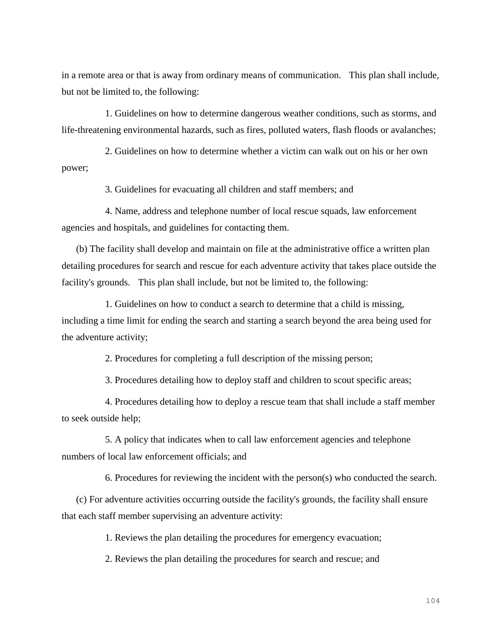in a remote area or that is away from ordinary means of communication. This plan shall include, but not be limited to, the following:

1. Guidelines on how to determine dangerous weather conditions, such as storms, and life-threatening environmental hazards, such as fires, polluted waters, flash floods or avalanches;

2. Guidelines on how to determine whether a victim can walk out on his or her own power;

3. Guidelines for evacuating all children and staff members; and

4. Name, address and telephone number of local rescue squads, law enforcement agencies and hospitals, and guidelines for contacting them.

(b) The facility shall develop and maintain on file at the administrative office a written plan detailing procedures for search and rescue for each adventure activity that takes place outside the facility's grounds. This plan shall include, but not be limited to, the following:

1. Guidelines on how to conduct a search to determine that a child is missing, including a time limit for ending the search and starting a search beyond the area being used for the adventure activity;

2. Procedures for completing a full description of the missing person;

3. Procedures detailing how to deploy staff and children to scout specific areas;

4. Procedures detailing how to deploy a rescue team that shall include a staff member to seek outside help;

5. A policy that indicates when to call law enforcement agencies and telephone numbers of local law enforcement officials; and

6. Procedures for reviewing the incident with the person(s) who conducted the search.

(c) For adventure activities occurring outside the facility's grounds, the facility shall ensure that each staff member supervising an adventure activity:

1. Reviews the plan detailing the procedures for emergency evacuation;

2. Reviews the plan detailing the procedures for search and rescue; and

104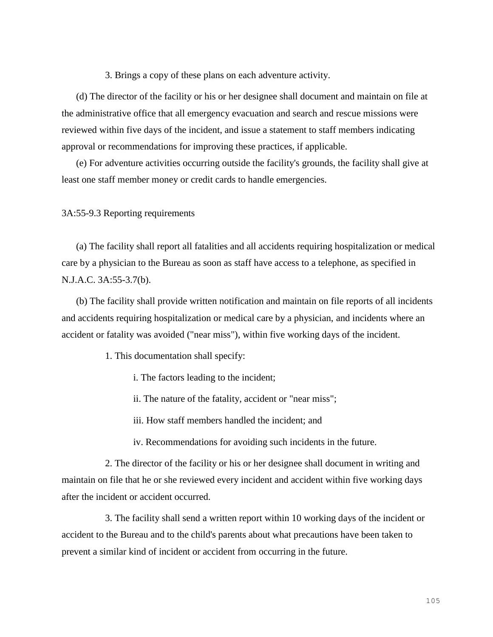3. Brings a copy of these plans on each adventure activity.

(d) The director of the facility or his or her designee shall document and maintain on file at the administrative office that all emergency evacuation and search and rescue missions were reviewed within five days of the incident, and issue a statement to staff members indicating approval or recommendations for improving these practices, if applicable.

(e) For adventure activities occurring outside the facility's grounds, the facility shall give at least one staff member money or credit cards to handle emergencies.

3A:55-9.3 Reporting requirements

(a) The facility shall report all fatalities and all accidents requiring hospitalization or medical care by a physician to the Bureau as soon as staff have access to a telephone, as specified in N.J.A.C. 3A:55-3.7(b).

(b) The facility shall provide written notification and maintain on file reports of all incidents and accidents requiring hospitalization or medical care by a physician, and incidents where an accident or fatality was avoided ("near miss"), within five working days of the incident.

1. This documentation shall specify:

i. The factors leading to the incident;

ii. The nature of the fatality, accident or "near miss";

iii. How staff members handled the incident; and

iv. Recommendations for avoiding such incidents in the future.

2. The director of the facility or his or her designee shall document in writing and maintain on file that he or she reviewed every incident and accident within five working days after the incident or accident occurred.

3. The facility shall send a written report within 10 working days of the incident or accident to the Bureau and to the child's parents about what precautions have been taken to prevent a similar kind of incident or accident from occurring in the future.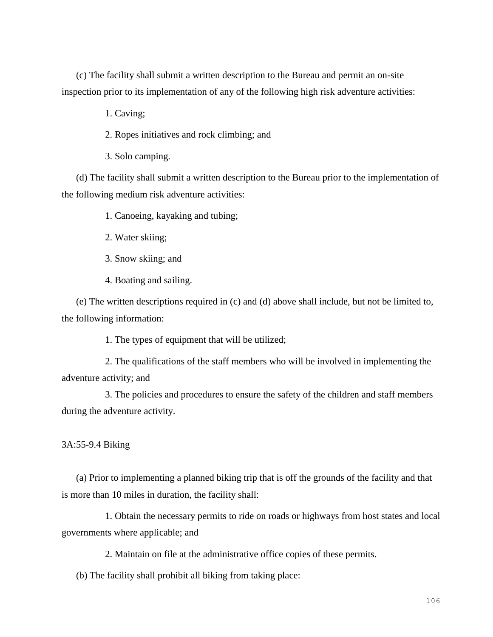(c) The facility shall submit a written description to the Bureau and permit an on-site inspection prior to its implementation of any of the following high risk adventure activities:

1. Caving;

2. Ropes initiatives and rock climbing; and

3. Solo camping.

(d) The facility shall submit a written description to the Bureau prior to the implementation of the following medium risk adventure activities:

1. Canoeing, kayaking and tubing;

2. Water skiing;

3. Snow skiing; and

4. Boating and sailing.

(e) The written descriptions required in (c) and (d) above shall include, but not be limited to, the following information:

1. The types of equipment that will be utilized;

2. The qualifications of the staff members who will be involved in implementing the adventure activity; and

3. The policies and procedures to ensure the safety of the children and staff members during the adventure activity.

3A:55-9.4 Biking

(a) Prior to implementing a planned biking trip that is off the grounds of the facility and that is more than 10 miles in duration, the facility shall:

1. Obtain the necessary permits to ride on roads or highways from host states and local governments where applicable; and

2. Maintain on file at the administrative office copies of these permits.

(b) The facility shall prohibit all biking from taking place: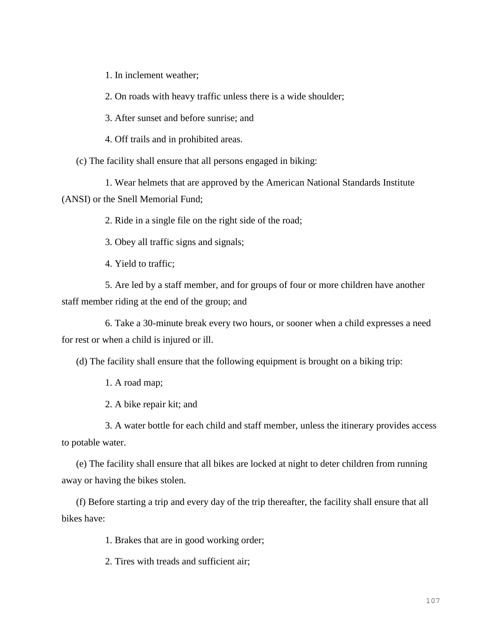1. In inclement weather;

2. On roads with heavy traffic unless there is a wide shoulder;

3. After sunset and before sunrise; and

4. Off trails and in prohibited areas.

(c) The facility shall ensure that all persons engaged in biking:

1. Wear helmets that are approved by the American National Standards Institute (ANSI) or the Snell Memorial Fund;

2. Ride in a single file on the right side of the road;

3. Obey all traffic signs and signals;

4. Yield to traffic;

5. Are led by a staff member, and for groups of four or more children have another staff member riding at the end of the group; and

6. Take a 30-minute break every two hours, or sooner when a child expresses a need for rest or when a child is injured or ill.

(d) The facility shall ensure that the following equipment is brought on a biking trip:

1. A road map;

2. A bike repair kit; and

3. A water bottle for each child and staff member, unless the itinerary provides access to potable water.

(e) The facility shall ensure that all bikes are locked at night to deter children from running away or having the bikes stolen.

(f) Before starting a trip and every day of the trip thereafter, the facility shall ensure that all bikes have:

1. Brakes that are in good working order;

2. Tires with treads and sufficient air;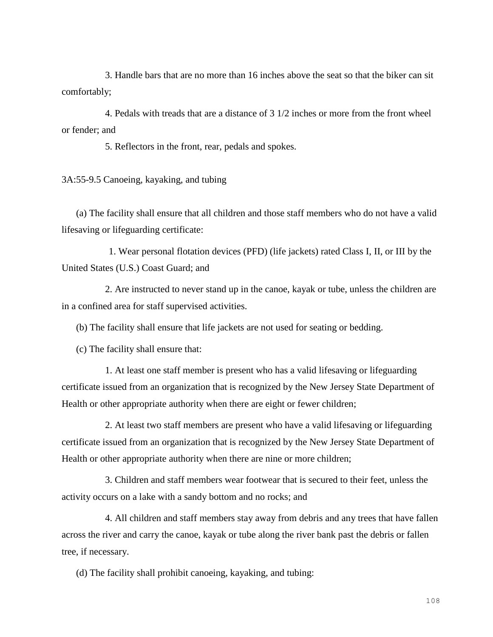3. Handle bars that are no more than 16 inches above the seat so that the biker can sit comfortably;

4. Pedals with treads that are a distance of 3 1/2 inches or more from the front wheel or fender; and

5. Reflectors in the front, rear, pedals and spokes.

3A:55-9.5 Canoeing, kayaking, and tubing

(a) The facility shall ensure that all children and those staff members who do not have a valid lifesaving or lifeguarding certificate:

1. Wear personal flotation devices (PFD) (life jackets) rated Class I, II, or III by the United States (U.S.) Coast Guard; and

2. Are instructed to never stand up in the canoe, kayak or tube, unless the children are in a confined area for staff supervised activities.

(b) The facility shall ensure that life jackets are not used for seating or bedding.

(c) The facility shall ensure that:

1. At least one staff member is present who has a valid lifesaving or lifeguarding certificate issued from an organization that is recognized by the New Jersey State Department of Health or other appropriate authority when there are eight or fewer children;

2. At least two staff members are present who have a valid lifesaving or lifeguarding certificate issued from an organization that is recognized by the New Jersey State Department of Health or other appropriate authority when there are nine or more children;

3. Children and staff members wear footwear that is secured to their feet, unless the activity occurs on a lake with a sandy bottom and no rocks; and

4. All children and staff members stay away from debris and any trees that have fallen across the river and carry the canoe, kayak or tube along the river bank past the debris or fallen tree, if necessary.

(d) The facility shall prohibit canoeing, kayaking, and tubing: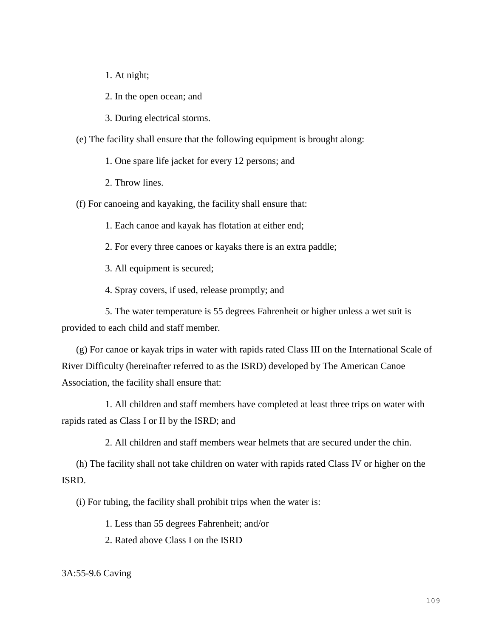1. At night;

2. In the open ocean; and

3. During electrical storms.

(e) The facility shall ensure that the following equipment is brought along:

1. One spare life jacket for every 12 persons; and

2. Throw lines.

(f) For canoeing and kayaking, the facility shall ensure that:

1. Each canoe and kayak has flotation at either end;

2. For every three canoes or kayaks there is an extra paddle;

3. All equipment is secured;

4. Spray covers, if used, release promptly; and

5. The water temperature is 55 degrees Fahrenheit or higher unless a wet suit is provided to each child and staff member.

(g) For canoe or kayak trips in water with rapids rated Class III on the International Scale of River Difficulty (hereinafter referred to as the ISRD) developed by The American Canoe Association, the facility shall ensure that:

1. All children and staff members have completed at least three trips on water with rapids rated as Class I or II by the ISRD; and

2. All children and staff members wear helmets that are secured under the chin.

(h) The facility shall not take children on water with rapids rated Class IV or higher on the ISRD.

(i) For tubing, the facility shall prohibit trips when the water is:

1. Less than 55 degrees Fahrenheit; and/or

2. Rated above Class I on the ISRD

3A:55-9.6 Caving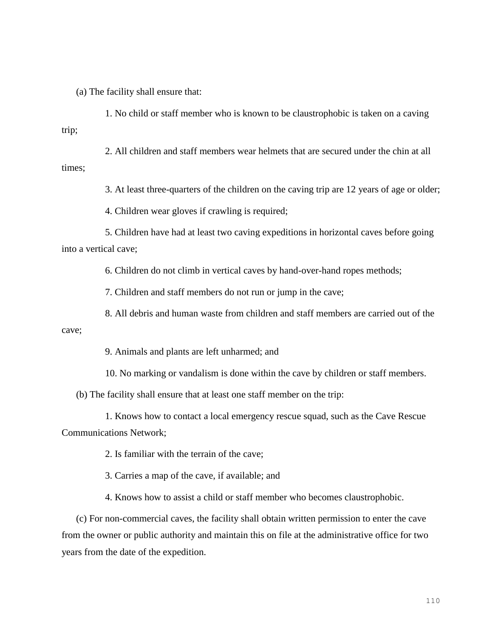(a) The facility shall ensure that:

1. No child or staff member who is known to be claustrophobic is taken on a caving trip;

2. All children and staff members wear helmets that are secured under the chin at all times;

3. At least three-quarters of the children on the caving trip are 12 years of age or older;

4. Children wear gloves if crawling is required;

5. Children have had at least two caving expeditions in horizontal caves before going into a vertical cave;

6. Children do not climb in vertical caves by hand-over-hand ropes methods;

7. Children and staff members do not run or jump in the cave;

8. All debris and human waste from children and staff members are carried out of the cave;

9. Animals and plants are left unharmed; and

10. No marking or vandalism is done within the cave by children or staff members.

(b) The facility shall ensure that at least one staff member on the trip:

1. Knows how to contact a local emergency rescue squad, such as the Cave Rescue Communications Network;

2. Is familiar with the terrain of the cave;

3. Carries a map of the cave, if available; and

4. Knows how to assist a child or staff member who becomes claustrophobic.

(c) For non-commercial caves, the facility shall obtain written permission to enter the cave from the owner or public authority and maintain this on file at the administrative office for two years from the date of the expedition.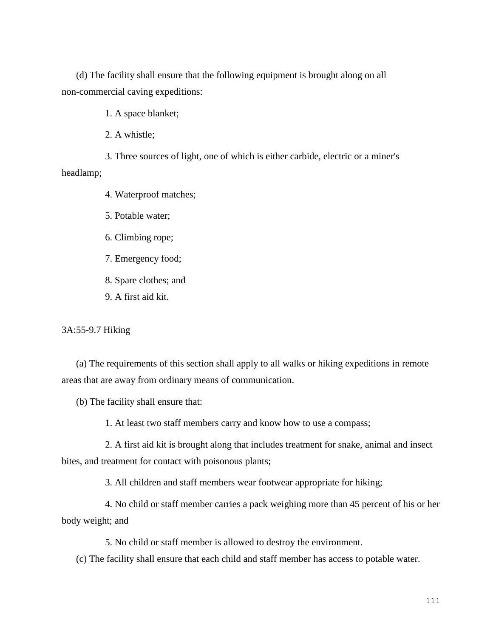(d) The facility shall ensure that the following equipment is brought along on all non-commercial caving expeditions:

1. A space blanket;

2. A whistle;

3. Three sources of light, one of which is either carbide, electric or a miner's headlamp;

4. Waterproof matches;

5. Potable water;

6. Climbing rope;

7. Emergency food;

8. Spare clothes; and

9. A first aid kit.

3A:55-9.7 Hiking

(a) The requirements of this section shall apply to all walks or hiking expeditions in remote areas that are away from ordinary means of communication.

(b) The facility shall ensure that:

1. At least two staff members carry and know how to use a compass;

2. A first aid kit is brought along that includes treatment for snake, animal and insect bites, and treatment for contact with poisonous plants;

3. All children and staff members wear footwear appropriate for hiking;

4. No child or staff member carries a pack weighing more than 45 percent of his or her body weight; and

5. No child or staff member is allowed to destroy the environment.

(c) The facility shall ensure that each child and staff member has access to potable water.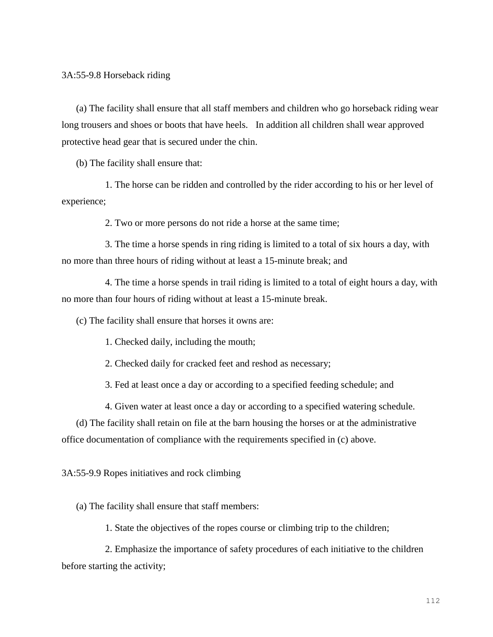(a) The facility shall ensure that all staff members and children who go horseback riding wear long trousers and shoes or boots that have heels. In addition all children shall wear approved protective head gear that is secured under the chin.

(b) The facility shall ensure that:

1. The horse can be ridden and controlled by the rider according to his or her level of experience;

2. Two or more persons do not ride a horse at the same time;

3. The time a horse spends in ring riding is limited to a total of six hours a day, with no more than three hours of riding without at least a 15-minute break; and

4. The time a horse spends in trail riding is limited to a total of eight hours a day, with no more than four hours of riding without at least a 15-minute break.

(c) The facility shall ensure that horses it owns are:

1. Checked daily, including the mouth;

2. Checked daily for cracked feet and reshod as necessary;

3. Fed at least once a day or according to a specified feeding schedule; and

4. Given water at least once a day or according to a specified watering schedule.

(d) The facility shall retain on file at the barn housing the horses or at the administrative office documentation of compliance with the requirements specified in (c) above.

3A:55-9.9 Ropes initiatives and rock climbing

(a) The facility shall ensure that staff members:

1. State the objectives of the ropes course or climbing trip to the children;

2. Emphasize the importance of safety procedures of each initiative to the children before starting the activity;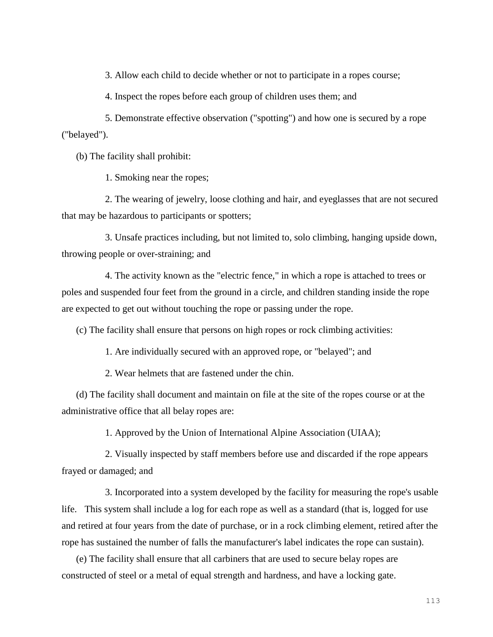3. Allow each child to decide whether or not to participate in a ropes course;

4. Inspect the ropes before each group of children uses them; and

5. Demonstrate effective observation ("spotting") and how one is secured by a rope ("belayed").

(b) The facility shall prohibit:

1. Smoking near the ropes;

2. The wearing of jewelry, loose clothing and hair, and eyeglasses that are not secured that may be hazardous to participants or spotters;

3. Unsafe practices including, but not limited to, solo climbing, hanging upside down, throwing people or over-straining; and

4. The activity known as the "electric fence," in which a rope is attached to trees or poles and suspended four feet from the ground in a circle, and children standing inside the rope are expected to get out without touching the rope or passing under the rope.

(c) The facility shall ensure that persons on high ropes or rock climbing activities:

1. Are individually secured with an approved rope, or "belayed"; and

2. Wear helmets that are fastened under the chin.

(d) The facility shall document and maintain on file at the site of the ropes course or at the administrative office that all belay ropes are:

1. Approved by the Union of International Alpine Association (UIAA);

2. Visually inspected by staff members before use and discarded if the rope appears frayed or damaged; and

3. Incorporated into a system developed by the facility for measuring the rope's usable life. This system shall include a log for each rope as well as a standard (that is, logged for use and retired at four years from the date of purchase, or in a rock climbing element, retired after the rope has sustained the number of falls the manufacturer's label indicates the rope can sustain).

(e) The facility shall ensure that all carbiners that are used to secure belay ropes are constructed of steel or a metal of equal strength and hardness, and have a locking gate.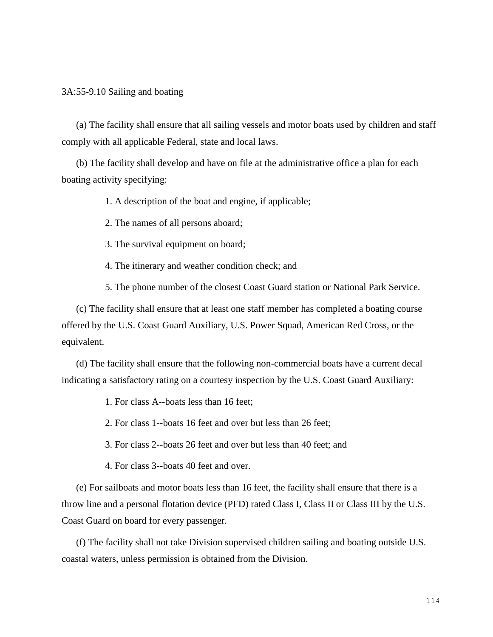3A:55-9.10 Sailing and boating

(a) The facility shall ensure that all sailing vessels and motor boats used by children and staff comply with all applicable Federal, state and local laws.

(b) The facility shall develop and have on file at the administrative office a plan for each boating activity specifying:

1. A description of the boat and engine, if applicable;

2. The names of all persons aboard;

3. The survival equipment on board;

4. The itinerary and weather condition check; and

5. The phone number of the closest Coast Guard station or National Park Service.

(c) The facility shall ensure that at least one staff member has completed a boating course offered by the U.S. Coast Guard Auxiliary, U.S. Power Squad, American Red Cross, or the equivalent.

(d) The facility shall ensure that the following non-commercial boats have a current decal indicating a satisfactory rating on a courtesy inspection by the U.S. Coast Guard Auxiliary:

1. For class A--boats less than 16 feet;

2. For class 1--boats 16 feet and over but less than 26 feet;

3. For class 2--boats 26 feet and over but less than 40 feet; and

4. For class 3--boats 40 feet and over.

(e) For sailboats and motor boats less than 16 feet, the facility shall ensure that there is a throw line and a personal flotation device (PFD) rated Class I, Class II or Class III by the U.S. Coast Guard on board for every passenger.

(f) The facility shall not take Division supervised children sailing and boating outside U.S. coastal waters, unless permission is obtained from the Division.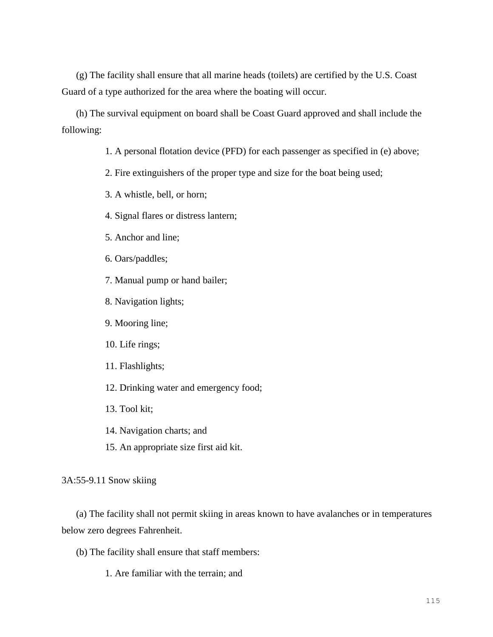(g) The facility shall ensure that all marine heads (toilets) are certified by the U.S. Coast Guard of a type authorized for the area where the boating will occur.

(h) The survival equipment on board shall be Coast Guard approved and shall include the following:

1. A personal flotation device (PFD) for each passenger as specified in (e) above;

2. Fire extinguishers of the proper type and size for the boat being used;

3. A whistle, bell, or horn;

4. Signal flares or distress lantern;

5. Anchor and line;

6. Oars/paddles;

7. Manual pump or hand bailer;

8. Navigation lights;

9. Mooring line;

10. Life rings;

11. Flashlights;

12. Drinking water and emergency food;

13. Tool kit;

14. Navigation charts; and

15. An appropriate size first aid kit.

3A:55-9.11 Snow skiing

(a) The facility shall not permit skiing in areas known to have avalanches or in temperatures below zero degrees Fahrenheit.

(b) The facility shall ensure that staff members:

1. Are familiar with the terrain; and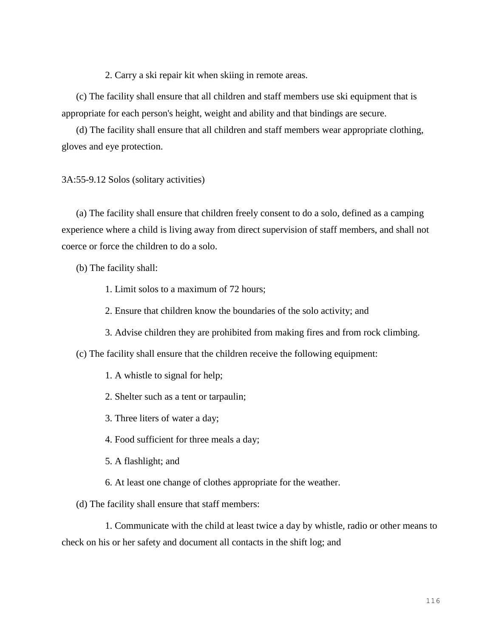2. Carry a ski repair kit when skiing in remote areas.

(c) The facility shall ensure that all children and staff members use ski equipment that is appropriate for each person's height, weight and ability and that bindings are secure.

(d) The facility shall ensure that all children and staff members wear appropriate clothing, gloves and eye protection.

#### 3A:55-9.12 Solos (solitary activities)

(a) The facility shall ensure that children freely consent to do a solo, defined as a camping experience where a child is living away from direct supervision of staff members, and shall not coerce or force the children to do a solo.

(b) The facility shall:

- 1. Limit solos to a maximum of 72 hours;
- 2. Ensure that children know the boundaries of the solo activity; and
- 3. Advise children they are prohibited from making fires and from rock climbing.

(c) The facility shall ensure that the children receive the following equipment:

- 1. A whistle to signal for help;
- 2. Shelter such as a tent or tarpaulin;
- 3. Three liters of water a day;
- 4. Food sufficient for three meals a day;
- 5. A flashlight; and
- 6. At least one change of clothes appropriate for the weather.

(d) The facility shall ensure that staff members:

1. Communicate with the child at least twice a day by whistle, radio or other means to check on his or her safety and document all contacts in the shift log; and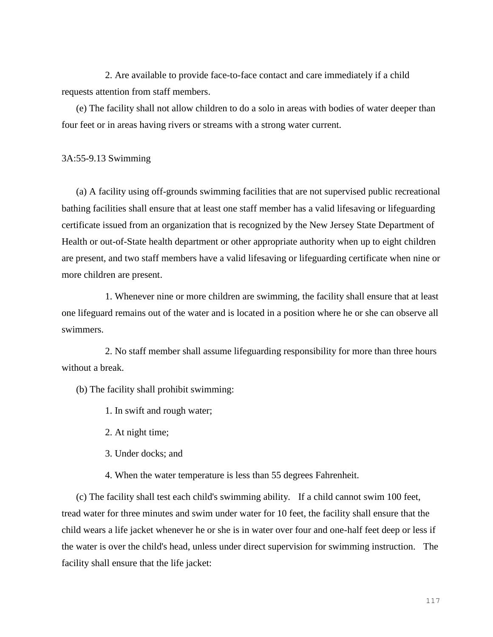2. Are available to provide face-to-face contact and care immediately if a child requests attention from staff members.

(e) The facility shall not allow children to do a solo in areas with bodies of water deeper than four feet or in areas having rivers or streams with a strong water current.

### 3A:55-9.13 Swimming

(a) A facility using off-grounds swimming facilities that are not supervised public recreational bathing facilities shall ensure that at least one staff member has a valid lifesaving or lifeguarding certificate issued from an organization that is recognized by the New Jersey State Department of Health or out-of-State health department or other appropriate authority when up to eight children are present, and two staff members have a valid lifesaving or lifeguarding certificate when nine or more children are present.

1. Whenever nine or more children are swimming, the facility shall ensure that at least one lifeguard remains out of the water and is located in a position where he or she can observe all swimmers.

2. No staff member shall assume lifeguarding responsibility for more than three hours without a break.

(b) The facility shall prohibit swimming:

1. In swift and rough water;

2. At night time;

3. Under docks; and

4. When the water temperature is less than 55 degrees Fahrenheit.

(c) The facility shall test each child's swimming ability. If a child cannot swim 100 feet, tread water for three minutes and swim under water for 10 feet, the facility shall ensure that the child wears a life jacket whenever he or she is in water over four and one-half feet deep or less if the water is over the child's head, unless under direct supervision for swimming instruction. The facility shall ensure that the life jacket: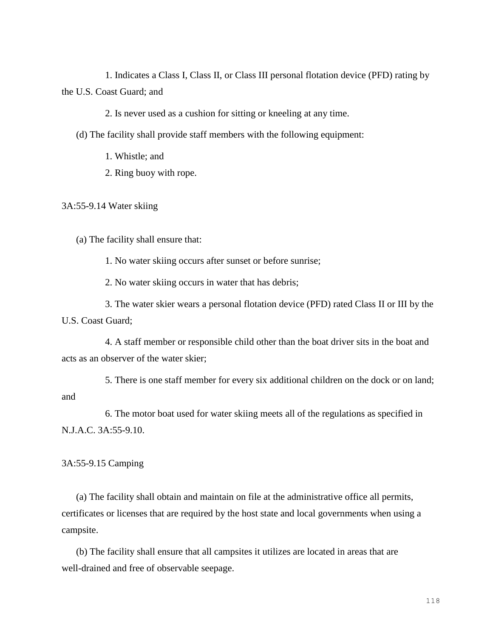1. Indicates a Class I, Class II, or Class III personal flotation device (PFD) rating by the U.S. Coast Guard; and

2. Is never used as a cushion for sitting or kneeling at any time.

(d) The facility shall provide staff members with the following equipment:

1. Whistle; and

2. Ring buoy with rope.

3A:55-9.14 Water skiing

(a) The facility shall ensure that:

1. No water skiing occurs after sunset or before sunrise;

2. No water skiing occurs in water that has debris;

3. The water skier wears a personal flotation device (PFD) rated Class II or III by the U.S. Coast Guard;

4. A staff member or responsible child other than the boat driver sits in the boat and acts as an observer of the water skier;

5. There is one staff member for every six additional children on the dock or on land; and

6. The motor boat used for water skiing meets all of the regulations as specified in N.J.A.C. 3A:55-9.10.

3A:55-9.15 Camping

(a) The facility shall obtain and maintain on file at the administrative office all permits, certificates or licenses that are required by the host state and local governments when using a campsite.

(b) The facility shall ensure that all campsites it utilizes are located in areas that are well-drained and free of observable seepage.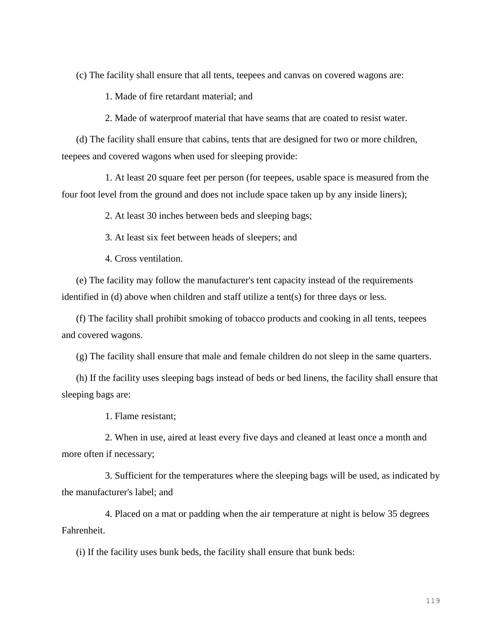(c) The facility shall ensure that all tents, teepees and canvas on covered wagons are:

1. Made of fire retardant material; and

2. Made of waterproof material that have seams that are coated to resist water.

(d) The facility shall ensure that cabins, tents that are designed for two or more children, teepees and covered wagons when used for sleeping provide:

1. At least 20 square feet per person (for teepees, usable space is measured from the four foot level from the ground and does not include space taken up by any inside liners);

2. At least 30 inches between beds and sleeping bags;

3. At least six feet between heads of sleepers; and

4. Cross ventilation.

(e) The facility may follow the manufacturer's tent capacity instead of the requirements identified in (d) above when children and staff utilize a tent(s) for three days or less.

(f) The facility shall prohibit smoking of tobacco products and cooking in all tents, teepees and covered wagons.

(g) The facility shall ensure that male and female children do not sleep in the same quarters.

(h) If the facility uses sleeping bags instead of beds or bed linens, the facility shall ensure that sleeping bags are:

1. Flame resistant;

2. When in use, aired at least every five days and cleaned at least once a month and more often if necessary;

3. Sufficient for the temperatures where the sleeping bags will be used, as indicated by the manufacturer's label; and

4. Placed on a mat or padding when the air temperature at night is below 35 degrees Fahrenheit.

(i) If the facility uses bunk beds, the facility shall ensure that bunk beds: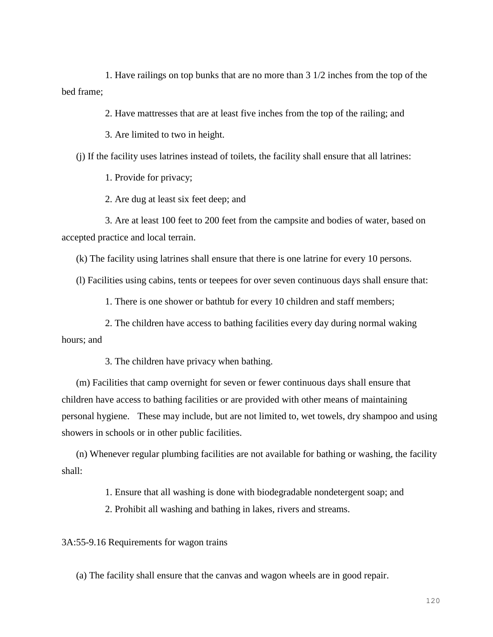1. Have railings on top bunks that are no more than 3 1/2 inches from the top of the bed frame;

2. Have mattresses that are at least five inches from the top of the railing; and

3. Are limited to two in height.

(j) If the facility uses latrines instead of toilets, the facility shall ensure that all latrines:

1. Provide for privacy;

2. Are dug at least six feet deep; and

3. Are at least 100 feet to 200 feet from the campsite and bodies of water, based on accepted practice and local terrain.

(k) The facility using latrines shall ensure that there is one latrine for every 10 persons.

(l) Facilities using cabins, tents or teepees for over seven continuous days shall ensure that:

1. There is one shower or bathtub for every 10 children and staff members;

2. The children have access to bathing facilities every day during normal waking hours; and

3. The children have privacy when bathing.

(m) Facilities that camp overnight for seven or fewer continuous days shall ensure that children have access to bathing facilities or are provided with other means of maintaining personal hygiene. These may include, but are not limited to, wet towels, dry shampoo and using showers in schools or in other public facilities.

(n) Whenever regular plumbing facilities are not available for bathing or washing, the facility shall:

1. Ensure that all washing is done with biodegradable nondetergent soap; and

2. Prohibit all washing and bathing in lakes, rivers and streams.

3A:55-9.16 Requirements for wagon trains

(a) The facility shall ensure that the canvas and wagon wheels are in good repair.

120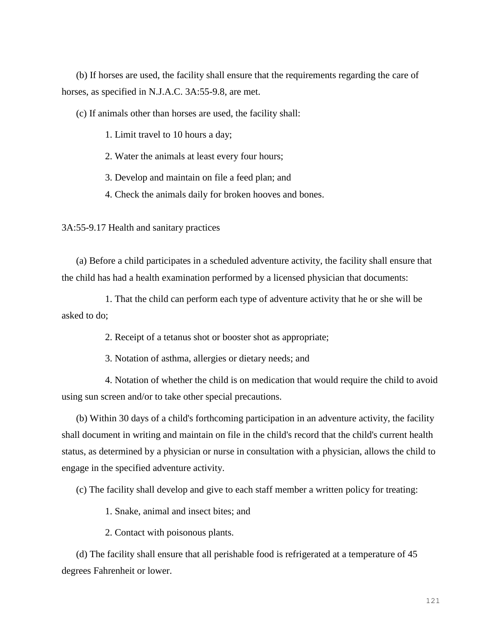(b) If horses are used, the facility shall ensure that the requirements regarding the care of horses, as specified in N.J.A.C. 3A:55-9.8, are met.

(c) If animals other than horses are used, the facility shall:

1. Limit travel to 10 hours a day;

2. Water the animals at least every four hours;

3. Develop and maintain on file a feed plan; and

4. Check the animals daily for broken hooves and bones.

3A:55-9.17 Health and sanitary practices

(a) Before a child participates in a scheduled adventure activity, the facility shall ensure that the child has had a health examination performed by a licensed physician that documents:

1. That the child can perform each type of adventure activity that he or she will be asked to do;

2. Receipt of a tetanus shot or booster shot as appropriate;

3. Notation of asthma, allergies or dietary needs; and

4. Notation of whether the child is on medication that would require the child to avoid using sun screen and/or to take other special precautions.

(b) Within 30 days of a child's forthcoming participation in an adventure activity, the facility shall document in writing and maintain on file in the child's record that the child's current health status, as determined by a physician or nurse in consultation with a physician, allows the child to engage in the specified adventure activity.

(c) The facility shall develop and give to each staff member a written policy for treating:

1. Snake, animal and insect bites; and

2. Contact with poisonous plants.

(d) The facility shall ensure that all perishable food is refrigerated at a temperature of 45 degrees Fahrenheit or lower.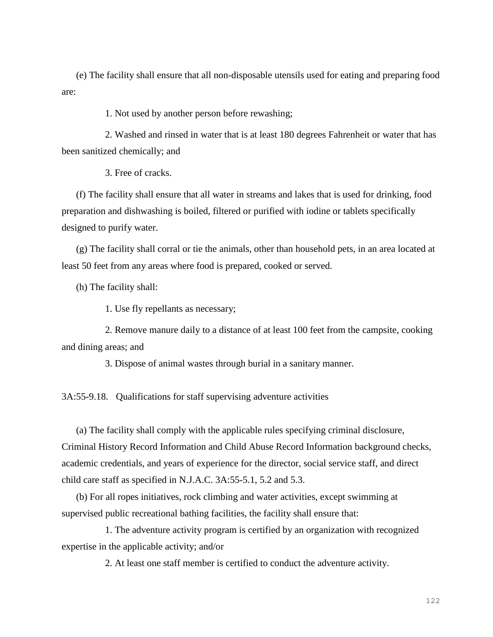(e) The facility shall ensure that all non-disposable utensils used for eating and preparing food are:

1. Not used by another person before rewashing;

2. Washed and rinsed in water that is at least 180 degrees Fahrenheit or water that has been sanitized chemically; and

3. Free of cracks.

(f) The facility shall ensure that all water in streams and lakes that is used for drinking, food preparation and dishwashing is boiled, filtered or purified with iodine or tablets specifically designed to purify water.

(g) The facility shall corral or tie the animals, other than household pets, in an area located at least 50 feet from any areas where food is prepared, cooked or served.

(h) The facility shall:

1. Use fly repellants as necessary;

2. Remove manure daily to a distance of at least 100 feet from the campsite, cooking and dining areas; and

3. Dispose of animal wastes through burial in a sanitary manner.

3A:55-9.18. Qualifications for staff supervising adventure activities

(a) The facility shall comply with the applicable rules specifying criminal disclosure, Criminal History Record Information and Child Abuse Record Information background checks, academic credentials, and years of experience for the director, social service staff, and direct child care staff as specified in N.J.A.C. 3A:55-5.1, 5.2 and 5.3.

(b) For all ropes initiatives, rock climbing and water activities, except swimming at supervised public recreational bathing facilities, the facility shall ensure that:

1. The adventure activity program is certified by an organization with recognized expertise in the applicable activity; and/or

2. At least one staff member is certified to conduct the adventure activity.

122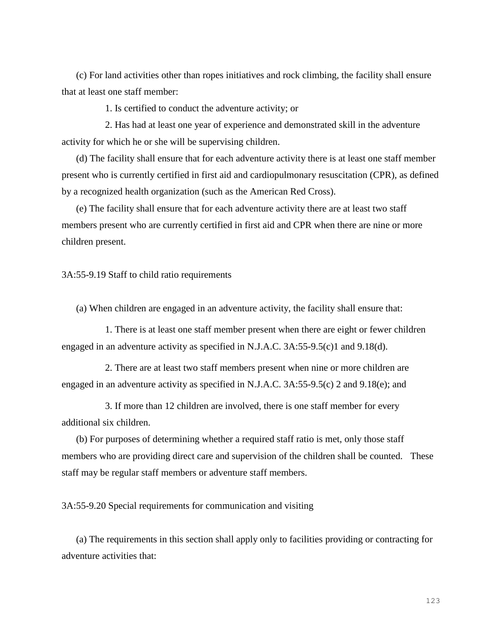(c) For land activities other than ropes initiatives and rock climbing, the facility shall ensure that at least one staff member:

1. Is certified to conduct the adventure activity; or

2. Has had at least one year of experience and demonstrated skill in the adventure activity for which he or she will be supervising children.

(d) The facility shall ensure that for each adventure activity there is at least one staff member present who is currently certified in first aid and cardiopulmonary resuscitation (CPR), as defined by a recognized health organization (such as the American Red Cross).

(e) The facility shall ensure that for each adventure activity there are at least two staff members present who are currently certified in first aid and CPR when there are nine or more children present.

### 3A:55-9.19 Staff to child ratio requirements

(a) When children are engaged in an adventure activity, the facility shall ensure that:

1. There is at least one staff member present when there are eight or fewer children engaged in an adventure activity as specified in N.J.A.C. 3A:55-9.5(c)1 and 9.18(d).

2. There are at least two staff members present when nine or more children are engaged in an adventure activity as specified in N.J.A.C. 3A:55-9.5(c) 2 and 9.18(e); and

3. If more than 12 children are involved, there is one staff member for every additional six children.

(b) For purposes of determining whether a required staff ratio is met, only those staff members who are providing direct care and supervision of the children shall be counted. These staff may be regular staff members or adventure staff members.

3A:55-9.20 Special requirements for communication and visiting

(a) The requirements in this section shall apply only to facilities providing or contracting for adventure activities that: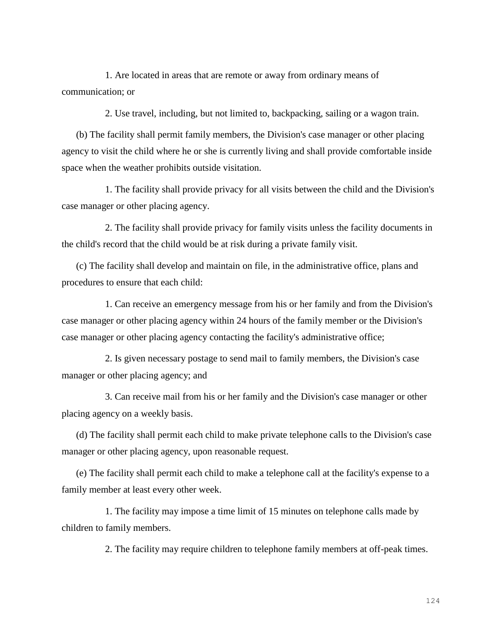1. Are located in areas that are remote or away from ordinary means of communication; or

2. Use travel, including, but not limited to, backpacking, sailing or a wagon train.

(b) The facility shall permit family members, the Division's case manager or other placing agency to visit the child where he or she is currently living and shall provide comfortable inside space when the weather prohibits outside visitation.

1. The facility shall provide privacy for all visits between the child and the Division's case manager or other placing agency.

2. The facility shall provide privacy for family visits unless the facility documents in the child's record that the child would be at risk during a private family visit.

(c) The facility shall develop and maintain on file, in the administrative office, plans and procedures to ensure that each child:

1. Can receive an emergency message from his or her family and from the Division's case manager or other placing agency within 24 hours of the family member or the Division's case manager or other placing agency contacting the facility's administrative office;

2. Is given necessary postage to send mail to family members, the Division's case manager or other placing agency; and

3. Can receive mail from his or her family and the Division's case manager or other placing agency on a weekly basis.

(d) The facility shall permit each child to make private telephone calls to the Division's case manager or other placing agency, upon reasonable request.

(e) The facility shall permit each child to make a telephone call at the facility's expense to a family member at least every other week.

1. The facility may impose a time limit of 15 minutes on telephone calls made by children to family members.

2. The facility may require children to telephone family members at off-peak times.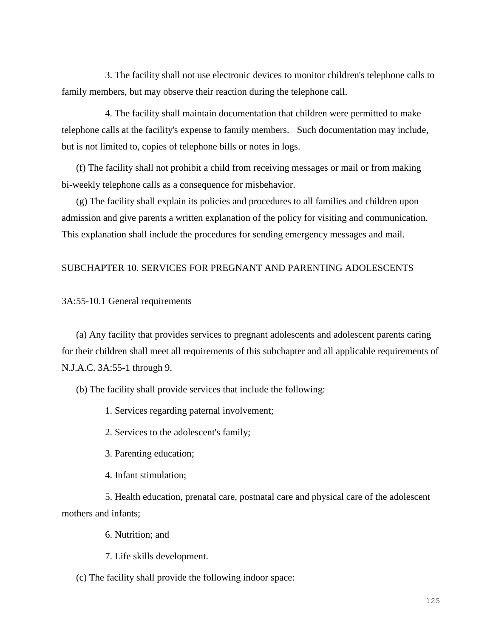3. The facility shall not use electronic devices to monitor children's telephone calls to family members, but may observe their reaction during the telephone call.

4. The facility shall maintain documentation that children were permitted to make telephone calls at the facility's expense to family members. Such documentation may include, but is not limited to, copies of telephone bills or notes in logs.

(f) The facility shall not prohibit a child from receiving messages or mail or from making bi-weekly telephone calls as a consequence for misbehavior.

(g) The facility shall explain its policies and procedures to all families and children upon admission and give parents a written explanation of the policy for visiting and communication. This explanation shall include the procedures for sending emergency messages and mail.

## SUBCHAPTER 10. SERVICES FOR PREGNANT AND PARENTING ADOLESCENTS

3A:55-10.1 General requirements

(a) Any facility that provides services to pregnant adolescents and adolescent parents caring for their children shall meet all requirements of this subchapter and all applicable requirements of N.J.A.C. 3A:55-1 through 9.

(b) The facility shall provide services that include the following:

1. Services regarding paternal involvement;

2. Services to the adolescent's family;

- 3. Parenting education;
- 4. Infant stimulation;

5. Health education, prenatal care, postnatal care and physical care of the adolescent mothers and infants;

6. Nutrition; and

7. Life skills development.

(c) The facility shall provide the following indoor space: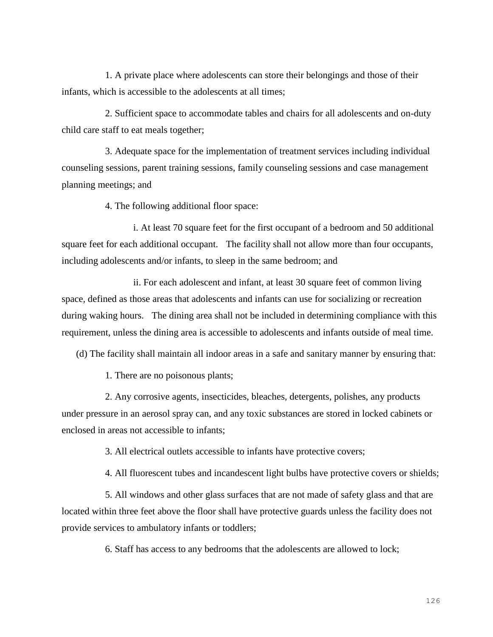1. A private place where adolescents can store their belongings and those of their infants, which is accessible to the adolescents at all times;

2. Sufficient space to accommodate tables and chairs for all adolescents and on-duty child care staff to eat meals together;

3. Adequate space for the implementation of treatment services including individual counseling sessions, parent training sessions, family counseling sessions and case management planning meetings; and

4. The following additional floor space:

i. At least 70 square feet for the first occupant of a bedroom and 50 additional square feet for each additional occupant. The facility shall not allow more than four occupants, including adolescents and/or infants, to sleep in the same bedroom; and

ii. For each adolescent and infant, at least 30 square feet of common living space, defined as those areas that adolescents and infants can use for socializing or recreation during waking hours. The dining area shall not be included in determining compliance with this requirement, unless the dining area is accessible to adolescents and infants outside of meal time.

(d) The facility shall maintain all indoor areas in a safe and sanitary manner by ensuring that:

1. There are no poisonous plants;

2. Any corrosive agents, insecticides, bleaches, detergents, polishes, any products under pressure in an aerosol spray can, and any toxic substances are stored in locked cabinets or enclosed in areas not accessible to infants;

3. All electrical outlets accessible to infants have protective covers;

4. All fluorescent tubes and incandescent light bulbs have protective covers or shields;

5. All windows and other glass surfaces that are not made of safety glass and that are located within three feet above the floor shall have protective guards unless the facility does not provide services to ambulatory infants or toddlers;

6. Staff has access to any bedrooms that the adolescents are allowed to lock;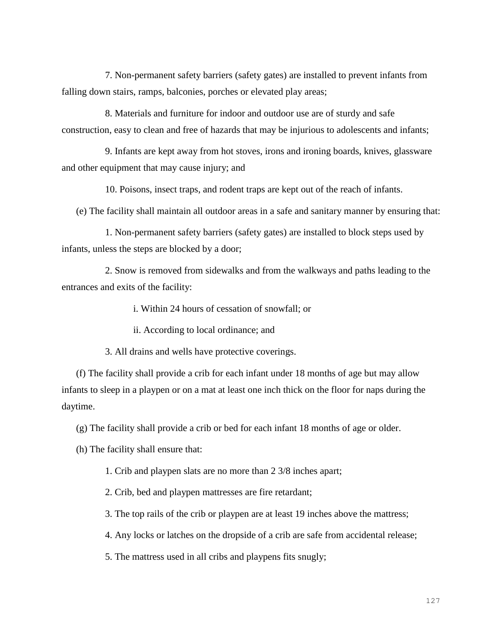7. Non-permanent safety barriers (safety gates) are installed to prevent infants from falling down stairs, ramps, balconies, porches or elevated play areas;

8. Materials and furniture for indoor and outdoor use are of sturdy and safe construction, easy to clean and free of hazards that may be injurious to adolescents and infants;

9. Infants are kept away from hot stoves, irons and ironing boards, knives, glassware and other equipment that may cause injury; and

10. Poisons, insect traps, and rodent traps are kept out of the reach of infants.

(e) The facility shall maintain all outdoor areas in a safe and sanitary manner by ensuring that:

1. Non-permanent safety barriers (safety gates) are installed to block steps used by infants, unless the steps are blocked by a door;

2. Snow is removed from sidewalks and from the walkways and paths leading to the entrances and exits of the facility:

i. Within 24 hours of cessation of snowfall; or

ii. According to local ordinance; and

3. All drains and wells have protective coverings.

(f) The facility shall provide a crib for each infant under 18 months of age but may allow infants to sleep in a playpen or on a mat at least one inch thick on the floor for naps during the daytime.

(g) The facility shall provide a crib or bed for each infant 18 months of age or older.

(h) The facility shall ensure that:

1. Crib and playpen slats are no more than 2 3/8 inches apart;

2. Crib, bed and playpen mattresses are fire retardant;

3. The top rails of the crib or playpen are at least 19 inches above the mattress;

4. Any locks or latches on the dropside of a crib are safe from accidental release;

5. The mattress used in all cribs and playpens fits snugly;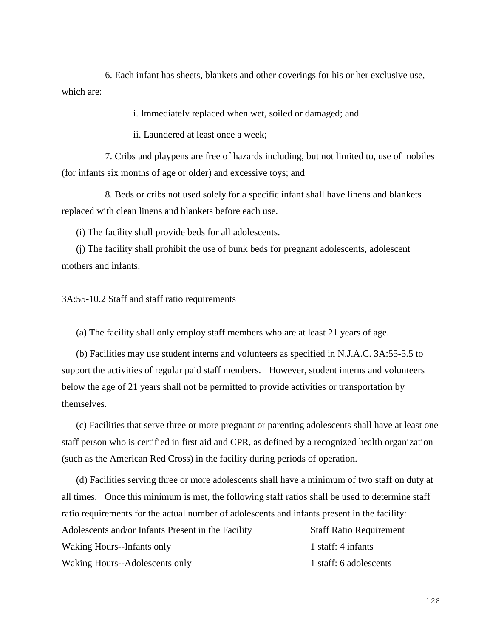6. Each infant has sheets, blankets and other coverings for his or her exclusive use, which are:

i. Immediately replaced when wet, soiled or damaged; and

ii. Laundered at least once a week;

7. Cribs and playpens are free of hazards including, but not limited to, use of mobiles (for infants six months of age or older) and excessive toys; and

8. Beds or cribs not used solely for a specific infant shall have linens and blankets replaced with clean linens and blankets before each use.

(i) The facility shall provide beds for all adolescents.

(j) The facility shall prohibit the use of bunk beds for pregnant adolescents, adolescent mothers and infants.

3A:55-10.2 Staff and staff ratio requirements

(a) The facility shall only employ staff members who are at least 21 years of age.

(b) Facilities may use student interns and volunteers as specified in N.J.A.C. 3A:55-5.5 to support the activities of regular paid staff members. However, student interns and volunteers below the age of 21 years shall not be permitted to provide activities or transportation by themselves.

(c) Facilities that serve three or more pregnant or parenting adolescents shall have at least one staff person who is certified in first aid and CPR, as defined by a recognized health organization (such as the American Red Cross) in the facility during periods of operation.

(d) Facilities serving three or more adolescents shall have a minimum of two staff on duty at all times. Once this minimum is met, the following staff ratios shall be used to determine staff ratio requirements for the actual number of adolescents and infants present in the facility:

| Adolescents and/or Infants Present in the Facility | <b>Staff Ratio Requirement</b> |
|----------------------------------------------------|--------------------------------|
| Waking Hours--Infants only                         | 1 staff: 4 infants             |
| Waking Hours--Adolescents only                     | 1 staff: 6 adolescents         |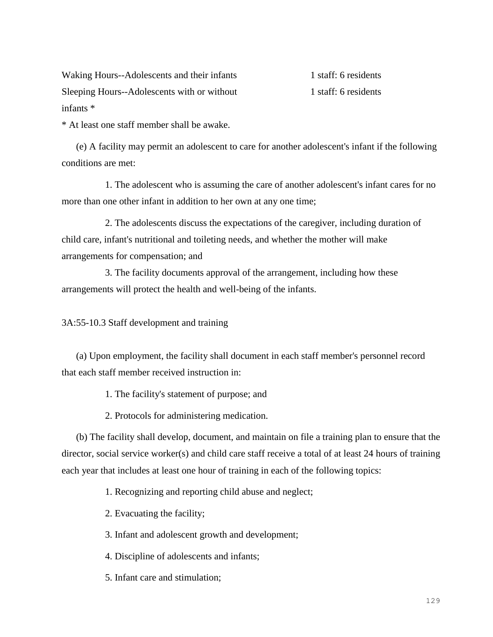Waking Hours--Adolescents and their infants 1 staff: 6 residents Sleeping Hours--Adolescents with or without 1 staff: 6 residents infants \*

\* At least one staff member shall be awake.

(e) A facility may permit an adolescent to care for another adolescent's infant if the following conditions are met:

1. The adolescent who is assuming the care of another adolescent's infant cares for no more than one other infant in addition to her own at any one time;

2. The adolescents discuss the expectations of the caregiver, including duration of child care, infant's nutritional and toileting needs, and whether the mother will make arrangements for compensation; and

3. The facility documents approval of the arrangement, including how these arrangements will protect the health and well-being of the infants.

3A:55-10.3 Staff development and training

(a) Upon employment, the facility shall document in each staff member's personnel record that each staff member received instruction in:

1. The facility's statement of purpose; and

2. Protocols for administering medication.

(b) The facility shall develop, document, and maintain on file a training plan to ensure that the director, social service worker(s) and child care staff receive a total of at least 24 hours of training each year that includes at least one hour of training in each of the following topics:

1. Recognizing and reporting child abuse and neglect;

2. Evacuating the facility;

3. Infant and adolescent growth and development;

4. Discipline of adolescents and infants;

5. Infant care and stimulation;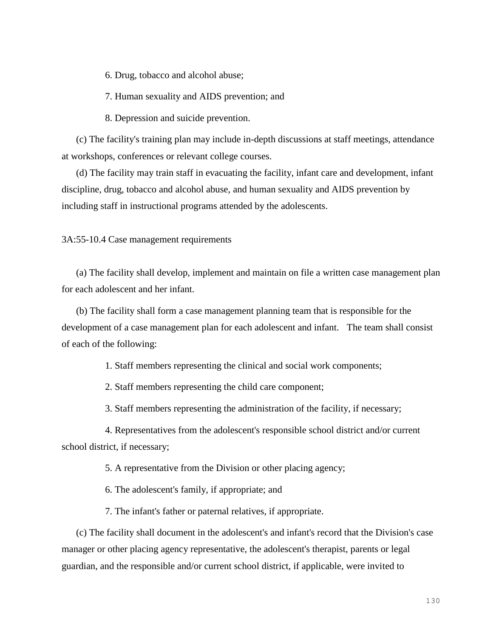6. Drug, tobacco and alcohol abuse;

7. Human sexuality and AIDS prevention; and

8. Depression and suicide prevention.

(c) The facility's training plan may include in-depth discussions at staff meetings, attendance at workshops, conferences or relevant college courses.

(d) The facility may train staff in evacuating the facility, infant care and development, infant discipline, drug, tobacco and alcohol abuse, and human sexuality and AIDS prevention by including staff in instructional programs attended by the adolescents.

3A:55-10.4 Case management requirements

(a) The facility shall develop, implement and maintain on file a written case management plan for each adolescent and her infant.

(b) The facility shall form a case management planning team that is responsible for the development of a case management plan for each adolescent and infant. The team shall consist of each of the following:

1. Staff members representing the clinical and social work components;

2. Staff members representing the child care component;

3. Staff members representing the administration of the facility, if necessary;

4. Representatives from the adolescent's responsible school district and/or current school district, if necessary;

5. A representative from the Division or other placing agency;

6. The adolescent's family, if appropriate; and

7. The infant's father or paternal relatives, if appropriate.

(c) The facility shall document in the adolescent's and infant's record that the Division's case manager or other placing agency representative, the adolescent's therapist, parents or legal guardian, and the responsible and/or current school district, if applicable, were invited to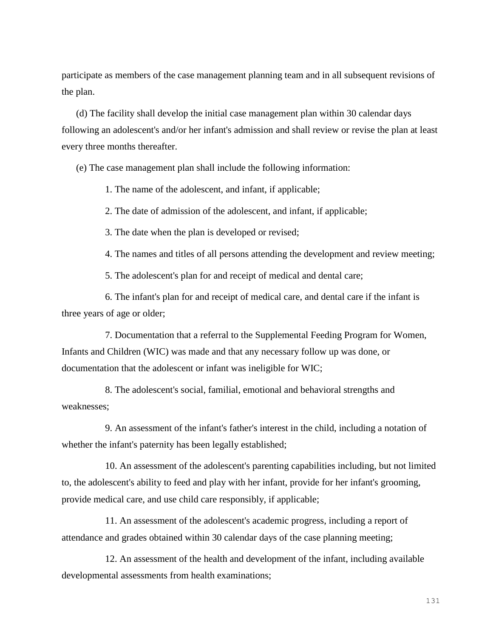participate as members of the case management planning team and in all subsequent revisions of the plan.

(d) The facility shall develop the initial case management plan within 30 calendar days following an adolescent's and/or her infant's admission and shall review or revise the plan at least every three months thereafter.

(e) The case management plan shall include the following information:

1. The name of the adolescent, and infant, if applicable;

2. The date of admission of the adolescent, and infant, if applicable;

3. The date when the plan is developed or revised;

4. The names and titles of all persons attending the development and review meeting;

5. The adolescent's plan for and receipt of medical and dental care;

6. The infant's plan for and receipt of medical care, and dental care if the infant is three years of age or older;

7. Documentation that a referral to the Supplemental Feeding Program for Women, Infants and Children (WIC) was made and that any necessary follow up was done, or documentation that the adolescent or infant was ineligible for WIC;

8. The adolescent's social, familial, emotional and behavioral strengths and weaknesses;

9. An assessment of the infant's father's interest in the child, including a notation of whether the infant's paternity has been legally established;

10. An assessment of the adolescent's parenting capabilities including, but not limited to, the adolescent's ability to feed and play with her infant, provide for her infant's grooming, provide medical care, and use child care responsibly, if applicable;

11. An assessment of the adolescent's academic progress, including a report of attendance and grades obtained within 30 calendar days of the case planning meeting;

12. An assessment of the health and development of the infant, including available developmental assessments from health examinations;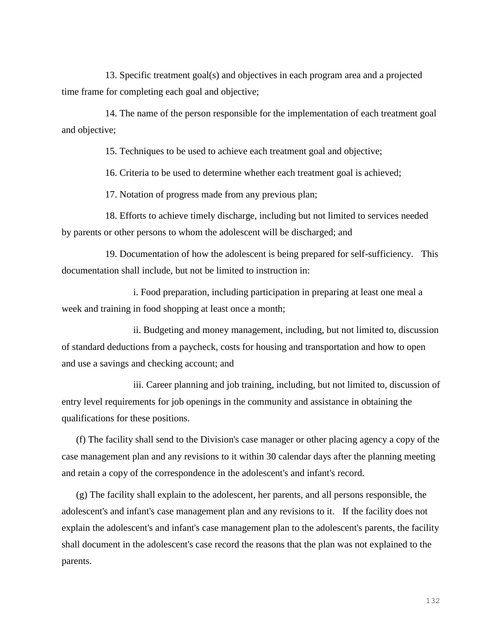13. Specific treatment goal(s) and objectives in each program area and a projected time frame for completing each goal and objective;

14. The name of the person responsible for the implementation of each treatment goal and objective;

15. Techniques to be used to achieve each treatment goal and objective;

16. Criteria to be used to determine whether each treatment goal is achieved;

17. Notation of progress made from any previous plan;

18. Efforts to achieve timely discharge, including but not limited to services needed by parents or other persons to whom the adolescent will be discharged; and

19. Documentation of how the adolescent is being prepared for self-sufficiency. This documentation shall include, but not be limited to instruction in:

i. Food preparation, including participation in preparing at least one meal a week and training in food shopping at least once a month;

ii. Budgeting and money management, including, but not limited to, discussion of standard deductions from a paycheck, costs for housing and transportation and how to open and use a savings and checking account; and

iii. Career planning and job training, including, but not limited to, discussion of entry level requirements for job openings in the community and assistance in obtaining the qualifications for these positions.

(f) The facility shall send to the Division's case manager or other placing agency a copy of the case management plan and any revisions to it within 30 calendar days after the planning meeting and retain a copy of the correspondence in the adolescent's and infant's record.

(g) The facility shall explain to the adolescent, her parents, and all persons responsible, the adolescent's and infant's case management plan and any revisions to it. If the facility does not explain the adolescent's and infant's case management plan to the adolescent's parents, the facility shall document in the adolescent's case record the reasons that the plan was not explained to the parents.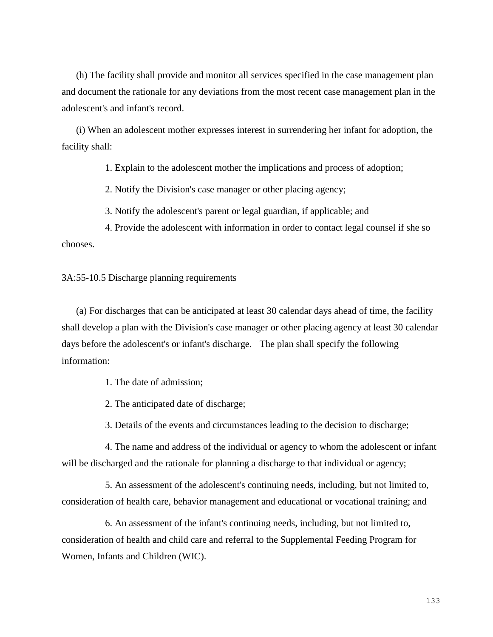(h) The facility shall provide and monitor all services specified in the case management plan and document the rationale for any deviations from the most recent case management plan in the adolescent's and infant's record.

(i) When an adolescent mother expresses interest in surrendering her infant for adoption, the facility shall:

1. Explain to the adolescent mother the implications and process of adoption;

2. Notify the Division's case manager or other placing agency;

3. Notify the adolescent's parent or legal guardian, if applicable; and

4. Provide the adolescent with information in order to contact legal counsel if she so chooses.

3A:55-10.5 Discharge planning requirements

(a) For discharges that can be anticipated at least 30 calendar days ahead of time, the facility shall develop a plan with the Division's case manager or other placing agency at least 30 calendar days before the adolescent's or infant's discharge. The plan shall specify the following information:

1. The date of admission;

2. The anticipated date of discharge;

3. Details of the events and circumstances leading to the decision to discharge;

4. The name and address of the individual or agency to whom the adolescent or infant will be discharged and the rationale for planning a discharge to that individual or agency;

5. An assessment of the adolescent's continuing needs, including, but not limited to, consideration of health care, behavior management and educational or vocational training; and

6. An assessment of the infant's continuing needs, including, but not limited to, consideration of health and child care and referral to the Supplemental Feeding Program for Women, Infants and Children (WIC).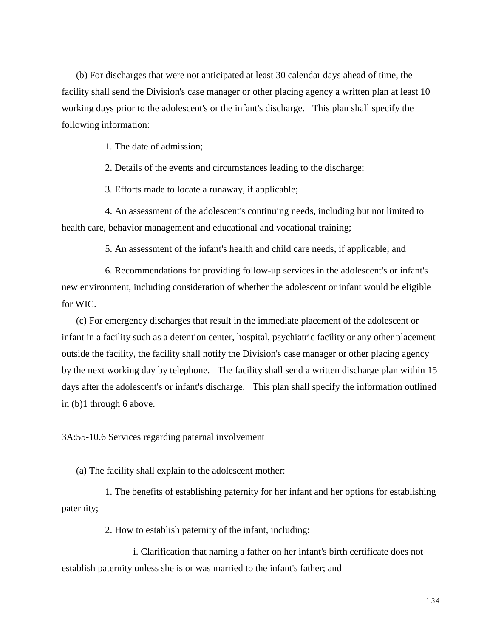(b) For discharges that were not anticipated at least 30 calendar days ahead of time, the facility shall send the Division's case manager or other placing agency a written plan at least 10 working days prior to the adolescent's or the infant's discharge. This plan shall specify the following information:

1. The date of admission;

2. Details of the events and circumstances leading to the discharge;

3. Efforts made to locate a runaway, if applicable;

4. An assessment of the adolescent's continuing needs, including but not limited to health care, behavior management and educational and vocational training;

5. An assessment of the infant's health and child care needs, if applicable; and

6. Recommendations for providing follow-up services in the adolescent's or infant's new environment, including consideration of whether the adolescent or infant would be eligible for WIC.

(c) For emergency discharges that result in the immediate placement of the adolescent or infant in a facility such as a detention center, hospital, psychiatric facility or any other placement outside the facility, the facility shall notify the Division's case manager or other placing agency by the next working day by telephone. The facility shall send a written discharge plan within 15 days after the adolescent's or infant's discharge. This plan shall specify the information outlined in (b)1 through 6 above.

3A:55-10.6 Services regarding paternal involvement

(a) The facility shall explain to the adolescent mother:

1. The benefits of establishing paternity for her infant and her options for establishing paternity;

2. How to establish paternity of the infant, including:

i. Clarification that naming a father on her infant's birth certificate does not establish paternity unless she is or was married to the infant's father; and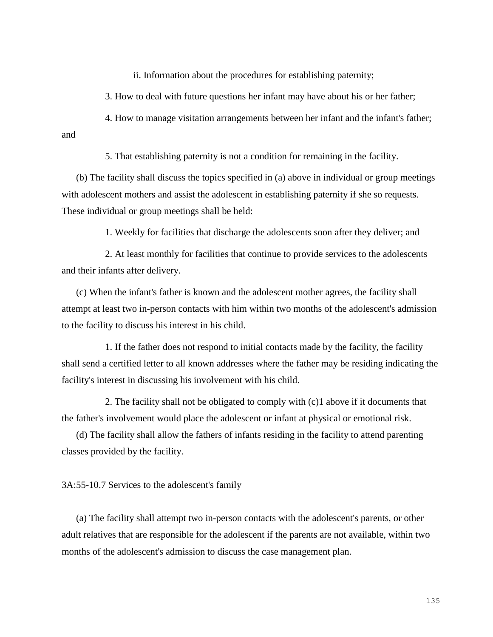ii. Information about the procedures for establishing paternity;

3. How to deal with future questions her infant may have about his or her father;

4. How to manage visitation arrangements between her infant and the infant's father; and

5. That establishing paternity is not a condition for remaining in the facility.

(b) The facility shall discuss the topics specified in (a) above in individual or group meetings with adolescent mothers and assist the adolescent in establishing paternity if she so requests. These individual or group meetings shall be held:

1. Weekly for facilities that discharge the adolescents soon after they deliver; and

2. At least monthly for facilities that continue to provide services to the adolescents and their infants after delivery.

(c) When the infant's father is known and the adolescent mother agrees, the facility shall attempt at least two in-person contacts with him within two months of the adolescent's admission to the facility to discuss his interest in his child.

1. If the father does not respond to initial contacts made by the facility, the facility shall send a certified letter to all known addresses where the father may be residing indicating the facility's interest in discussing his involvement with his child.

2. The facility shall not be obligated to comply with (c)1 above if it documents that the father's involvement would place the adolescent or infant at physical or emotional risk.

(d) The facility shall allow the fathers of infants residing in the facility to attend parenting classes provided by the facility.

3A:55-10.7 Services to the adolescent's family

(a) The facility shall attempt two in-person contacts with the adolescent's parents, or other adult relatives that are responsible for the adolescent if the parents are not available, within two months of the adolescent's admission to discuss the case management plan.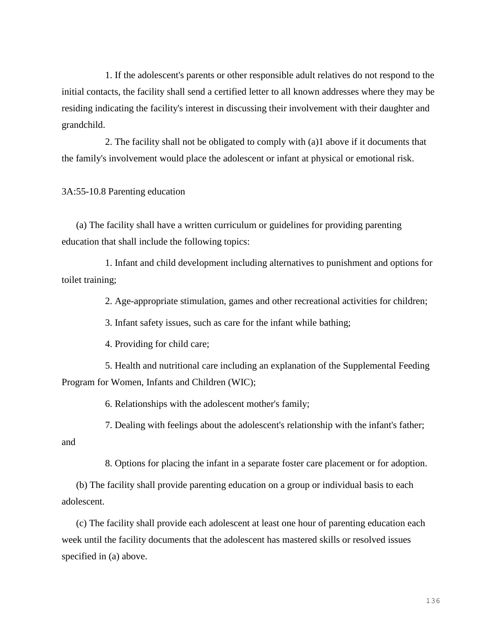1. If the adolescent's parents or other responsible adult relatives do not respond to the initial contacts, the facility shall send a certified letter to all known addresses where they may be residing indicating the facility's interest in discussing their involvement with their daughter and grandchild.

2. The facility shall not be obligated to comply with (a)1 above if it documents that the family's involvement would place the adolescent or infant at physical or emotional risk.

3A:55-10.8 Parenting education

(a) The facility shall have a written curriculum or guidelines for providing parenting education that shall include the following topics:

1. Infant and child development including alternatives to punishment and options for toilet training;

2. Age-appropriate stimulation, games and other recreational activities for children;

3. Infant safety issues, such as care for the infant while bathing;

4. Providing for child care;

5. Health and nutritional care including an explanation of the Supplemental Feeding Program for Women, Infants and Children (WIC);

6. Relationships with the adolescent mother's family;

7. Dealing with feelings about the adolescent's relationship with the infant's father; and

8. Options for placing the infant in a separate foster care placement or for adoption.

(b) The facility shall provide parenting education on a group or individual basis to each adolescent.

(c) The facility shall provide each adolescent at least one hour of parenting education each week until the facility documents that the adolescent has mastered skills or resolved issues specified in (a) above.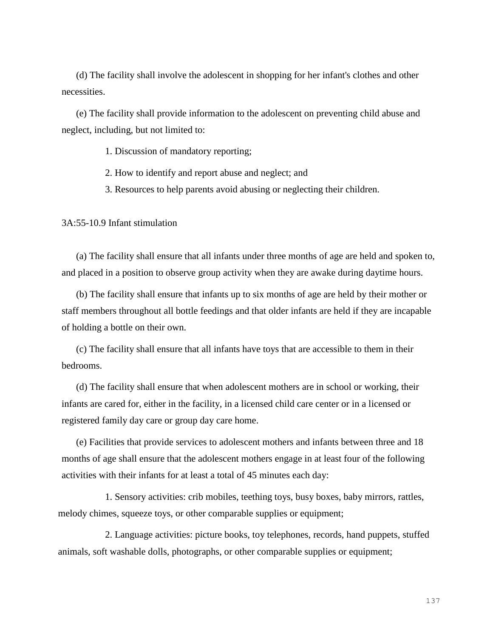(d) The facility shall involve the adolescent in shopping for her infant's clothes and other necessities.

(e) The facility shall provide information to the adolescent on preventing child abuse and neglect, including, but not limited to:

1. Discussion of mandatory reporting;

- 2. How to identify and report abuse and neglect; and
- 3. Resources to help parents avoid abusing or neglecting their children.

3A:55-10.9 Infant stimulation

(a) The facility shall ensure that all infants under three months of age are held and spoken to, and placed in a position to observe group activity when they are awake during daytime hours.

(b) The facility shall ensure that infants up to six months of age are held by their mother or staff members throughout all bottle feedings and that older infants are held if they are incapable of holding a bottle on their own.

(c) The facility shall ensure that all infants have toys that are accessible to them in their bedrooms.

(d) The facility shall ensure that when adolescent mothers are in school or working, their infants are cared for, either in the facility, in a licensed child care center or in a licensed or registered family day care or group day care home.

(e) Facilities that provide services to adolescent mothers and infants between three and 18 months of age shall ensure that the adolescent mothers engage in at least four of the following activities with their infants for at least a total of 45 minutes each day:

1. Sensory activities: crib mobiles, teething toys, busy boxes, baby mirrors, rattles, melody chimes, squeeze toys, or other comparable supplies or equipment;

2. Language activities: picture books, toy telephones, records, hand puppets, stuffed animals, soft washable dolls, photographs, or other comparable supplies or equipment;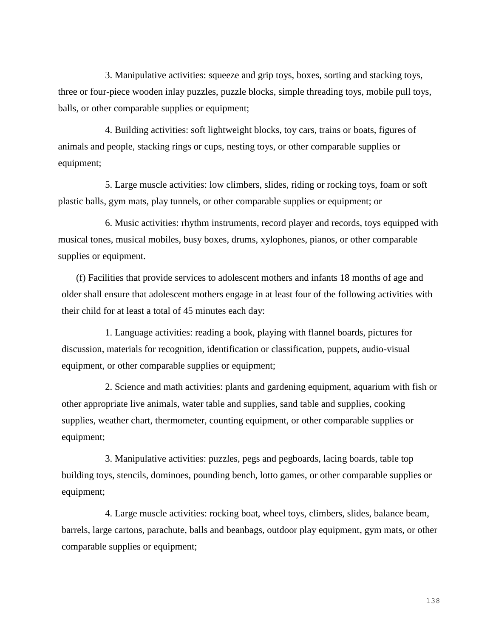3. Manipulative activities: squeeze and grip toys, boxes, sorting and stacking toys, three or four-piece wooden inlay puzzles, puzzle blocks, simple threading toys, mobile pull toys, balls, or other comparable supplies or equipment;

4. Building activities: soft lightweight blocks, toy cars, trains or boats, figures of animals and people, stacking rings or cups, nesting toys, or other comparable supplies or equipment;

5. Large muscle activities: low climbers, slides, riding or rocking toys, foam or soft plastic balls, gym mats, play tunnels, or other comparable supplies or equipment; or

6. Music activities: rhythm instruments, record player and records, toys equipped with musical tones, musical mobiles, busy boxes, drums, xylophones, pianos, or other comparable supplies or equipment.

(f) Facilities that provide services to adolescent mothers and infants 18 months of age and older shall ensure that adolescent mothers engage in at least four of the following activities with their child for at least a total of 45 minutes each day:

1. Language activities: reading a book, playing with flannel boards, pictures for discussion, materials for recognition, identification or classification, puppets, audio-visual equipment, or other comparable supplies or equipment;

2. Science and math activities: plants and gardening equipment, aquarium with fish or other appropriate live animals, water table and supplies, sand table and supplies, cooking supplies, weather chart, thermometer, counting equipment, or other comparable supplies or equipment;

3. Manipulative activities: puzzles, pegs and pegboards, lacing boards, table top building toys, stencils, dominoes, pounding bench, lotto games, or other comparable supplies or equipment;

4. Large muscle activities: rocking boat, wheel toys, climbers, slides, balance beam, barrels, large cartons, parachute, balls and beanbags, outdoor play equipment, gym mats, or other comparable supplies or equipment;

138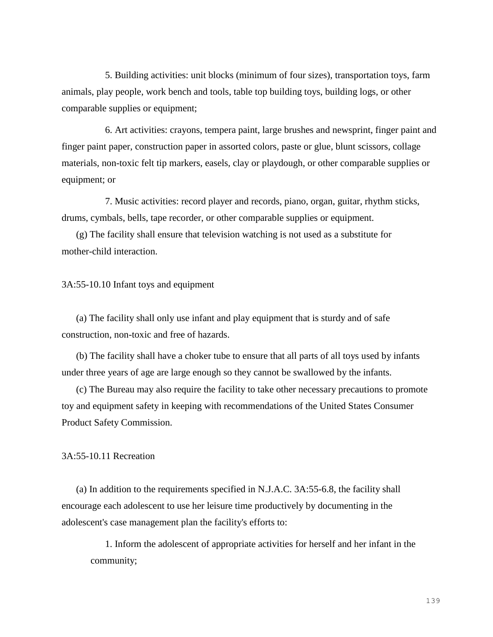5. Building activities: unit blocks (minimum of four sizes), transportation toys, farm animals, play people, work bench and tools, table top building toys, building logs, or other comparable supplies or equipment;

6. Art activities: crayons, tempera paint, large brushes and newsprint, finger paint and finger paint paper, construction paper in assorted colors, paste or glue, blunt scissors, collage materials, non-toxic felt tip markers, easels, clay or playdough, or other comparable supplies or equipment; or

7. Music activities: record player and records, piano, organ, guitar, rhythm sticks, drums, cymbals, bells, tape recorder, or other comparable supplies or equipment.

(g) The facility shall ensure that television watching is not used as a substitute for mother-child interaction.

### 3A:55-10.10 Infant toys and equipment

(a) The facility shall only use infant and play equipment that is sturdy and of safe construction, non-toxic and free of hazards.

(b) The facility shall have a choker tube to ensure that all parts of all toys used by infants under three years of age are large enough so they cannot be swallowed by the infants.

(c) The Bureau may also require the facility to take other necessary precautions to promote toy and equipment safety in keeping with recommendations of the United States Consumer Product Safety Commission.

# 3A:55-10.11 Recreation

(a) In addition to the requirements specified in N.J.A.C. 3A:55-6.8, the facility shall encourage each adolescent to use her leisure time productively by documenting in the adolescent's case management plan the facility's efforts to:

1. Inform the adolescent of appropriate activities for herself and her infant in the community;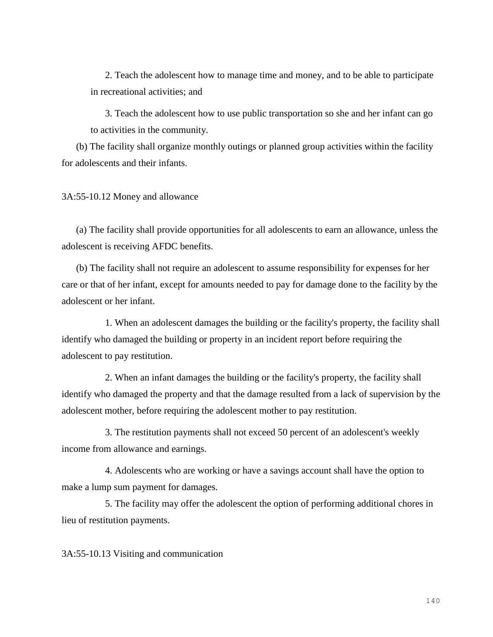2. Teach the adolescent how to manage time and money, and to be able to participate in recreational activities; and

3. Teach the adolescent how to use public transportation so she and her infant can go to activities in the community.

(b) The facility shall organize monthly outings or planned group activities within the facility for adolescents and their infants.

3A:55-10.12 Money and allowance

(a) The facility shall provide opportunities for all adolescents to earn an allowance, unless the adolescent is receiving AFDC benefits.

(b) The facility shall not require an adolescent to assume responsibility for expenses for her care or that of her infant, except for amounts needed to pay for damage done to the facility by the adolescent or her infant.

1. When an adolescent damages the building or the facility's property, the facility shall identify who damaged the building or property in an incident report before requiring the adolescent to pay restitution.

2. When an infant damages the building or the facility's property, the facility shall identify who damaged the property and that the damage resulted from a lack of supervision by the adolescent mother, before requiring the adolescent mother to pay restitution.

3. The restitution payments shall not exceed 50 percent of an adolescent's weekly income from allowance and earnings.

4. Adolescents who are working or have a savings account shall have the option to make a lump sum payment for damages.

5. The facility may offer the adolescent the option of performing additional chores in lieu of restitution payments.

3A:55-10.13 Visiting and communication

140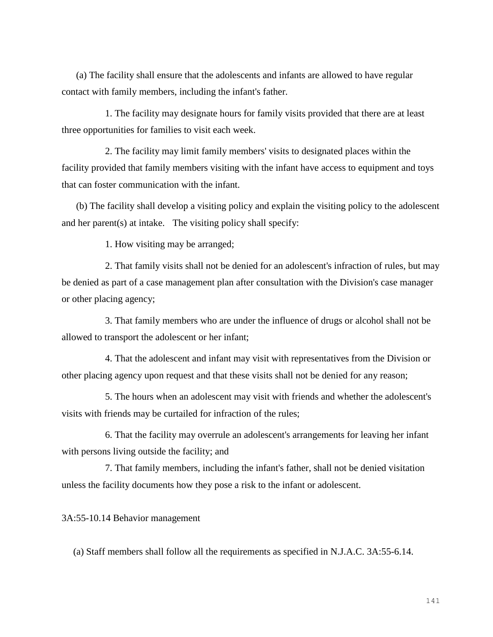(a) The facility shall ensure that the adolescents and infants are allowed to have regular contact with family members, including the infant's father.

1. The facility may designate hours for family visits provided that there are at least three opportunities for families to visit each week.

2. The facility may limit family members' visits to designated places within the facility provided that family members visiting with the infant have access to equipment and toys that can foster communication with the infant.

(b) The facility shall develop a visiting policy and explain the visiting policy to the adolescent and her parent(s) at intake. The visiting policy shall specify:

1. How visiting may be arranged;

2. That family visits shall not be denied for an adolescent's infraction of rules, but may be denied as part of a case management plan after consultation with the Division's case manager or other placing agency;

3. That family members who are under the influence of drugs or alcohol shall not be allowed to transport the adolescent or her infant;

4. That the adolescent and infant may visit with representatives from the Division or other placing agency upon request and that these visits shall not be denied for any reason;

5. The hours when an adolescent may visit with friends and whether the adolescent's visits with friends may be curtailed for infraction of the rules;

6. That the facility may overrule an adolescent's arrangements for leaving her infant with persons living outside the facility; and

7. That family members, including the infant's father, shall not be denied visitation unless the facility documents how they pose a risk to the infant or adolescent.

3A:55-10.14 Behavior management

(a) Staff members shall follow all the requirements as specified in N.J.A.C. 3A:55-6.14.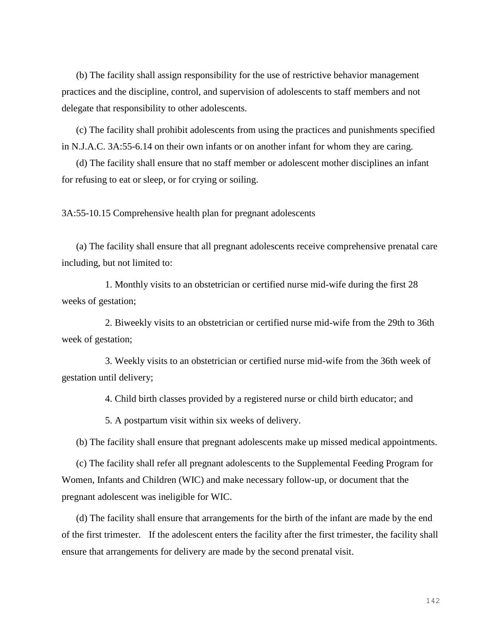(b) The facility shall assign responsibility for the use of restrictive behavior management practices and the discipline, control, and supervision of adolescents to staff members and not delegate that responsibility to other adolescents.

(c) The facility shall prohibit adolescents from using the practices and punishments specified in N.J.A.C. 3A:55-6.14 on their own infants or on another infant for whom they are caring.

(d) The facility shall ensure that no staff member or adolescent mother disciplines an infant for refusing to eat or sleep, or for crying or soiling.

3A:55-10.15 Comprehensive health plan for pregnant adolescents

(a) The facility shall ensure that all pregnant adolescents receive comprehensive prenatal care including, but not limited to:

1. Monthly visits to an obstetrician or certified nurse mid-wife during the first 28 weeks of gestation;

2. Biweekly visits to an obstetrician or certified nurse mid-wife from the 29th to 36th week of gestation;

3. Weekly visits to an obstetrician or certified nurse mid-wife from the 36th week of gestation until delivery;

4. Child birth classes provided by a registered nurse or child birth educator; and

5. A postpartum visit within six weeks of delivery.

(b) The facility shall ensure that pregnant adolescents make up missed medical appointments.

(c) The facility shall refer all pregnant adolescents to the Supplemental Feeding Program for Women, Infants and Children (WIC) and make necessary follow-up, or document that the pregnant adolescent was ineligible for WIC.

(d) The facility shall ensure that arrangements for the birth of the infant are made by the end of the first trimester. If the adolescent enters the facility after the first trimester, the facility shall ensure that arrangements for delivery are made by the second prenatal visit.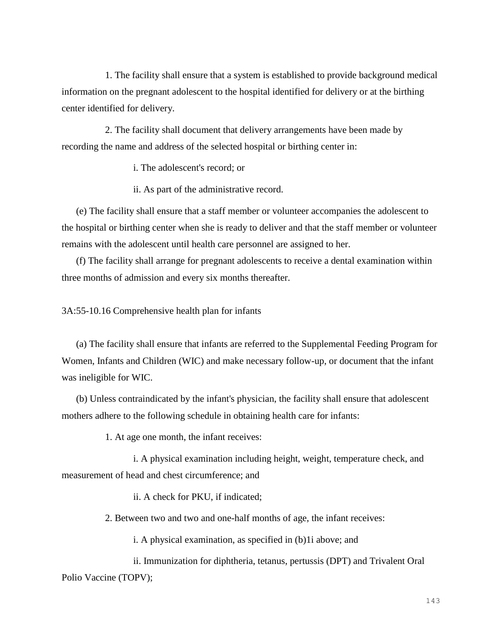1. The facility shall ensure that a system is established to provide background medical information on the pregnant adolescent to the hospital identified for delivery or at the birthing center identified for delivery.

2. The facility shall document that delivery arrangements have been made by recording the name and address of the selected hospital or birthing center in:

i. The adolescent's record; or

ii. As part of the administrative record.

(e) The facility shall ensure that a staff member or volunteer accompanies the adolescent to the hospital or birthing center when she is ready to deliver and that the staff member or volunteer remains with the adolescent until health care personnel are assigned to her.

(f) The facility shall arrange for pregnant adolescents to receive a dental examination within three months of admission and every six months thereafter.

3A:55-10.16 Comprehensive health plan for infants

(a) The facility shall ensure that infants are referred to the Supplemental Feeding Program for Women, Infants and Children (WIC) and make necessary follow-up, or document that the infant was ineligible for WIC.

(b) Unless contraindicated by the infant's physician, the facility shall ensure that adolescent mothers adhere to the following schedule in obtaining health care for infants:

1. At age one month, the infant receives:

i. A physical examination including height, weight, temperature check, and measurement of head and chest circumference; and

ii. A check for PKU, if indicated;

2. Between two and two and one-half months of age, the infant receives:

i. A physical examination, as specified in (b)1i above; and

ii. Immunization for diphtheria, tetanus, pertussis (DPT) and Trivalent Oral Polio Vaccine (TOPV);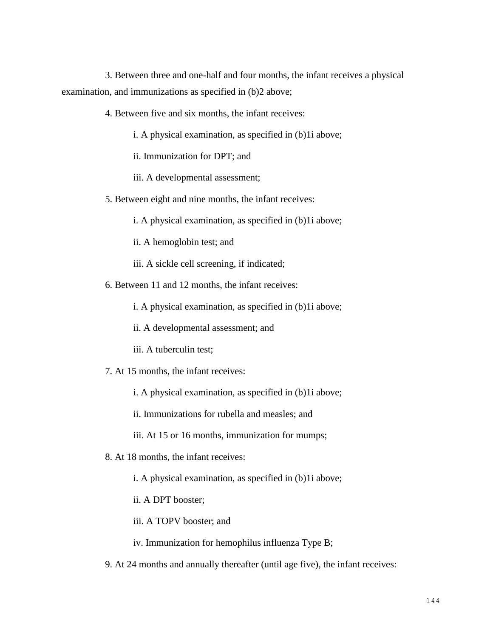3. Between three and one-half and four months, the infant receives a physical examination, and immunizations as specified in (b)2 above;

- 4. Between five and six months, the infant receives:
	- i. A physical examination, as specified in (b)1i above;
	- ii. Immunization for DPT; and
	- iii. A developmental assessment;
- 5. Between eight and nine months, the infant receives:
	- i. A physical examination, as specified in (b)1i above;
	- ii. A hemoglobin test; and
	- iii. A sickle cell screening, if indicated;
- 6. Between 11 and 12 months, the infant receives:
	- i. A physical examination, as specified in (b)1i above;
	- ii. A developmental assessment; and
	- iii. A tuberculin test;
- 7. At 15 months, the infant receives:
	- i. A physical examination, as specified in (b)1i above;
	- ii. Immunizations for rubella and measles; and
	- iii. At 15 or 16 months, immunization for mumps;
- 8. At 18 months, the infant receives:
	- i. A physical examination, as specified in (b)1i above;
	- ii. A DPT booster;
	- iii. A TOPV booster; and
	- iv. Immunization for hemophilus influenza Type B;
- 9. At 24 months and annually thereafter (until age five), the infant receives: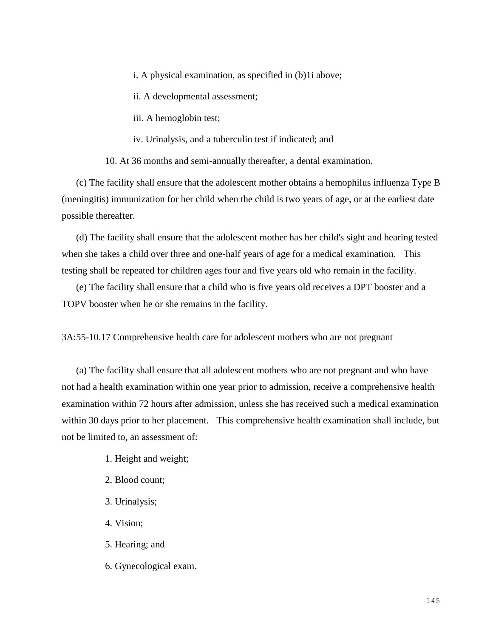i. A physical examination, as specified in (b)1i above;

ii. A developmental assessment;

iii. A hemoglobin test;

iv. Urinalysis, and a tuberculin test if indicated; and

10. At 36 months and semi-annually thereafter, a dental examination.

(c) The facility shall ensure that the adolescent mother obtains a hemophilus influenza Type B (meningitis) immunization for her child when the child is two years of age, or at the earliest date possible thereafter.

(d) The facility shall ensure that the adolescent mother has her child's sight and hearing tested when she takes a child over three and one-half years of age for a medical examination. This testing shall be repeated for children ages four and five years old who remain in the facility.

(e) The facility shall ensure that a child who is five years old receives a DPT booster and a TOPV booster when he or she remains in the facility.

3A:55-10.17 Comprehensive health care for adolescent mothers who are not pregnant

(a) The facility shall ensure that all adolescent mothers who are not pregnant and who have not had a health examination within one year prior to admission, receive a comprehensive health examination within 72 hours after admission, unless she has received such a medical examination within 30 days prior to her placement. This comprehensive health examination shall include, but not be limited to, an assessment of:

- 1. Height and weight;
- 2. Blood count;
- 3. Urinalysis;
- 4. Vision;
- 5. Hearing; and
- 6. Gynecological exam.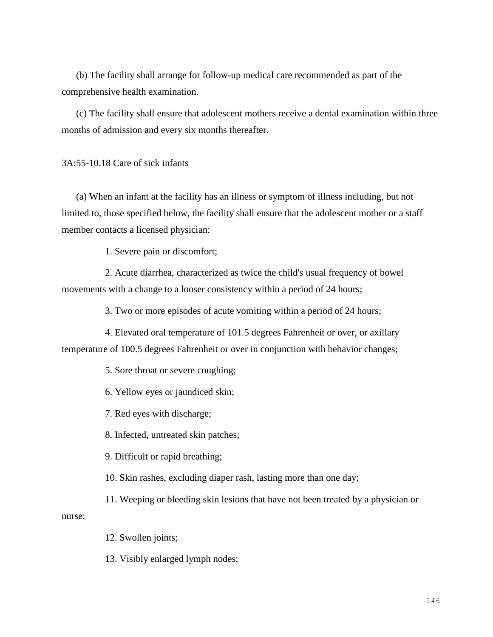(b) The facility shall arrange for follow-up medical care recommended as part of the comprehensive health examination.

(c) The facility shall ensure that adolescent mothers receive a dental examination within three months of admission and every six months thereafter.

3A:55-10.18 Care of sick infants

(a) When an infant at the facility has an illness or symptom of illness including, but not limited to, those specified below, the facility shall ensure that the adolescent mother or a staff member contacts a licensed physician:

1. Severe pain or discomfort;

2. Acute diarrhea, characterized as twice the child's usual frequency of bowel movements with a change to a looser consistency within a period of 24 hours;

3. Two or more episodes of acute vomiting within a period of 24 hours;

4. Elevated oral temperature of 101.5 degrees Fahrenheit or over, or axillary temperature of 100.5 degrees Fahrenheit or over in conjunction with behavior changes;

5. Sore throat or severe coughing;

6. Yellow eyes or jaundiced skin;

7. Red eyes with discharge;

8. Infected, untreated skin patches;

9. Difficult or rapid breathing;

10. Skin rashes, excluding diaper rash, lasting more than one day;

11. Weeping or bleeding skin lesions that have not been treated by a physician or nurse;

12. Swollen joints;

13. Visibly enlarged lymph nodes;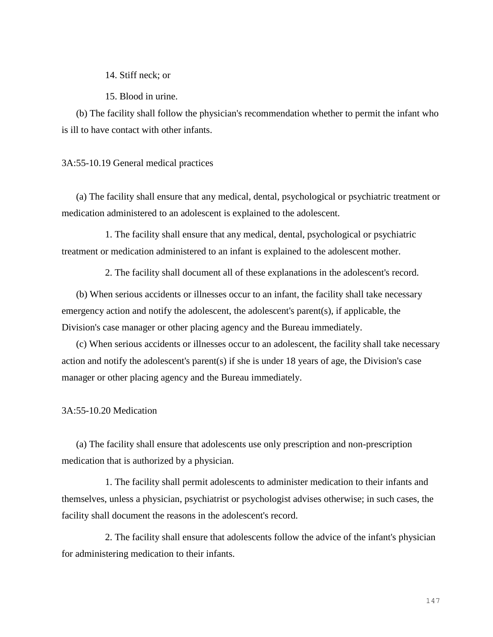14. Stiff neck; or

15. Blood in urine.

(b) The facility shall follow the physician's recommendation whether to permit the infant who is ill to have contact with other infants.

## 3A:55-10.19 General medical practices

(a) The facility shall ensure that any medical, dental, psychological or psychiatric treatment or medication administered to an adolescent is explained to the adolescent.

1. The facility shall ensure that any medical, dental, psychological or psychiatric treatment or medication administered to an infant is explained to the adolescent mother.

2. The facility shall document all of these explanations in the adolescent's record.

(b) When serious accidents or illnesses occur to an infant, the facility shall take necessary emergency action and notify the adolescent, the adolescent's parent(s), if applicable, the Division's case manager or other placing agency and the Bureau immediately.

(c) When serious accidents or illnesses occur to an adolescent, the facility shall take necessary action and notify the adolescent's parent(s) if she is under 18 years of age, the Division's case manager or other placing agency and the Bureau immediately.

3A:55-10.20 Medication

(a) The facility shall ensure that adolescents use only prescription and non-prescription medication that is authorized by a physician.

1. The facility shall permit adolescents to administer medication to their infants and themselves, unless a physician, psychiatrist or psychologist advises otherwise; in such cases, the facility shall document the reasons in the adolescent's record.

2. The facility shall ensure that adolescents follow the advice of the infant's physician for administering medication to their infants.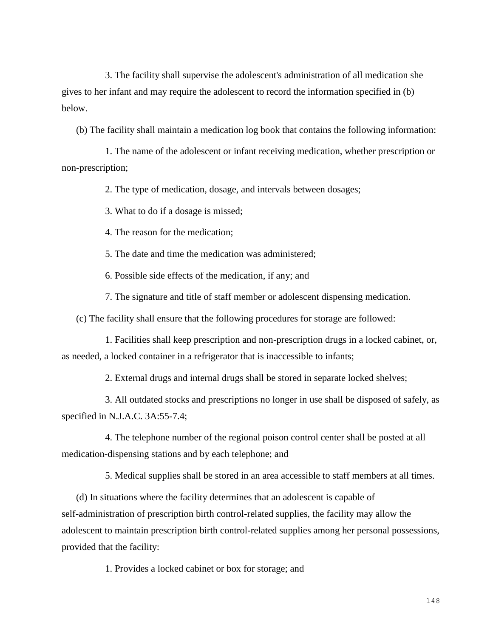3. The facility shall supervise the adolescent's administration of all medication she gives to her infant and may require the adolescent to record the information specified in (b) below.

(b) The facility shall maintain a medication log book that contains the following information:

1. The name of the adolescent or infant receiving medication, whether prescription or non-prescription;

2. The type of medication, dosage, and intervals between dosages;

3. What to do if a dosage is missed;

4. The reason for the medication;

5. The date and time the medication was administered;

6. Possible side effects of the medication, if any; and

7. The signature and title of staff member or adolescent dispensing medication.

(c) The facility shall ensure that the following procedures for storage are followed:

1. Facilities shall keep prescription and non-prescription drugs in a locked cabinet, or, as needed, a locked container in a refrigerator that is inaccessible to infants;

2. External drugs and internal drugs shall be stored in separate locked shelves;

3. All outdated stocks and prescriptions no longer in use shall be disposed of safely, as specified in N.J.A.C. 3A:55-7.4;

4. The telephone number of the regional poison control center shall be posted at all medication-dispensing stations and by each telephone; and

5. Medical supplies shall be stored in an area accessible to staff members at all times.

(d) In situations where the facility determines that an adolescent is capable of self-administration of prescription birth control-related supplies, the facility may allow the adolescent to maintain prescription birth control-related supplies among her personal possessions, provided that the facility:

1. Provides a locked cabinet or box for storage; and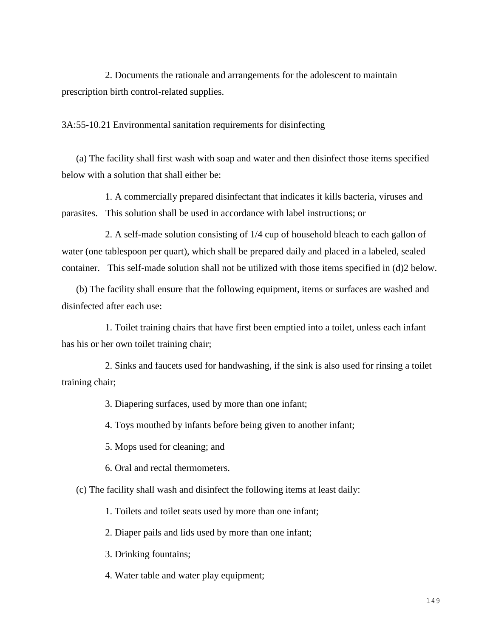2. Documents the rationale and arrangements for the adolescent to maintain prescription birth control-related supplies.

3A:55-10.21 Environmental sanitation requirements for disinfecting

(a) The facility shall first wash with soap and water and then disinfect those items specified below with a solution that shall either be:

1. A commercially prepared disinfectant that indicates it kills bacteria, viruses and parasites. This solution shall be used in accordance with label instructions; or

2. A self-made solution consisting of 1/4 cup of household bleach to each gallon of water (one tablespoon per quart), which shall be prepared daily and placed in a labeled, sealed container. This self-made solution shall not be utilized with those items specified in (d)2 below.

(b) The facility shall ensure that the following equipment, items or surfaces are washed and disinfected after each use:

1. Toilet training chairs that have first been emptied into a toilet, unless each infant has his or her own toilet training chair;

2. Sinks and faucets used for handwashing, if the sink is also used for rinsing a toilet training chair;

3. Diapering surfaces, used by more than one infant;

4. Toys mouthed by infants before being given to another infant;

5. Mops used for cleaning; and

6. Oral and rectal thermometers.

(c) The facility shall wash and disinfect the following items at least daily:

1. Toilets and toilet seats used by more than one infant;

2. Diaper pails and lids used by more than one infant;

3. Drinking fountains;

4. Water table and water play equipment;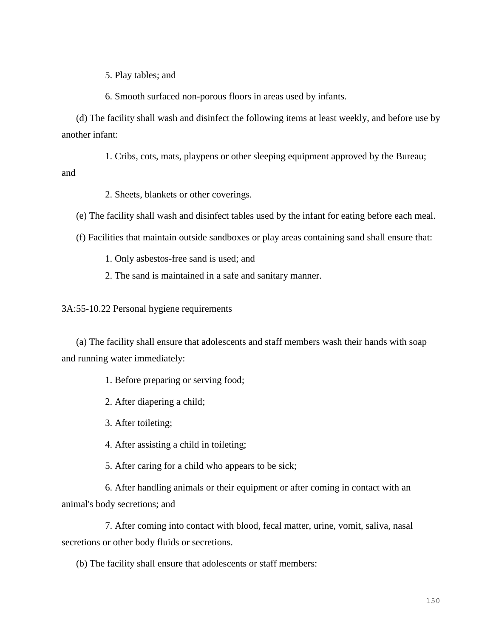5. Play tables; and

6. Smooth surfaced non-porous floors in areas used by infants.

(d) The facility shall wash and disinfect the following items at least weekly, and before use by another infant:

1. Cribs, cots, mats, playpens or other sleeping equipment approved by the Bureau; and

2. Sheets, blankets or other coverings.

(e) The facility shall wash and disinfect tables used by the infant for eating before each meal.

(f) Facilities that maintain outside sandboxes or play areas containing sand shall ensure that:

1. Only asbestos-free sand is used; and

2. The sand is maintained in a safe and sanitary manner.

3A:55-10.22 Personal hygiene requirements

(a) The facility shall ensure that adolescents and staff members wash their hands with soap and running water immediately:

1. Before preparing or serving food;

2. After diapering a child;

3. After toileting;

4. After assisting a child in toileting;

5. After caring for a child who appears to be sick;

6. After handling animals or their equipment or after coming in contact with an animal's body secretions; and

7. After coming into contact with blood, fecal matter, urine, vomit, saliva, nasal secretions or other body fluids or secretions.

(b) The facility shall ensure that adolescents or staff members: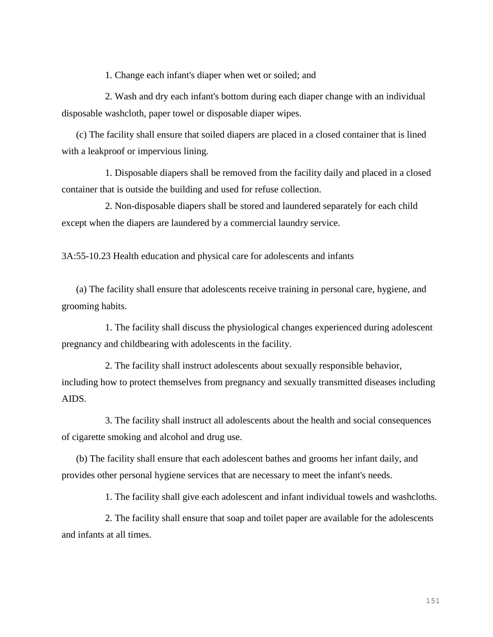1. Change each infant's diaper when wet or soiled; and

2. Wash and dry each infant's bottom during each diaper change with an individual disposable washcloth, paper towel or disposable diaper wipes.

(c) The facility shall ensure that soiled diapers are placed in a closed container that is lined with a leakproof or impervious lining.

1. Disposable diapers shall be removed from the facility daily and placed in a closed container that is outside the building and used for refuse collection.

2. Non-disposable diapers shall be stored and laundered separately for each child except when the diapers are laundered by a commercial laundry service.

3A:55-10.23 Health education and physical care for adolescents and infants

(a) The facility shall ensure that adolescents receive training in personal care, hygiene, and grooming habits.

1. The facility shall discuss the physiological changes experienced during adolescent pregnancy and childbearing with adolescents in the facility.

2. The facility shall instruct adolescents about sexually responsible behavior, including how to protect themselves from pregnancy and sexually transmitted diseases including AIDS.

3. The facility shall instruct all adolescents about the health and social consequences of cigarette smoking and alcohol and drug use.

(b) The facility shall ensure that each adolescent bathes and grooms her infant daily, and provides other personal hygiene services that are necessary to meet the infant's needs.

1. The facility shall give each adolescent and infant individual towels and washcloths.

2. The facility shall ensure that soap and toilet paper are available for the adolescents and infants at all times.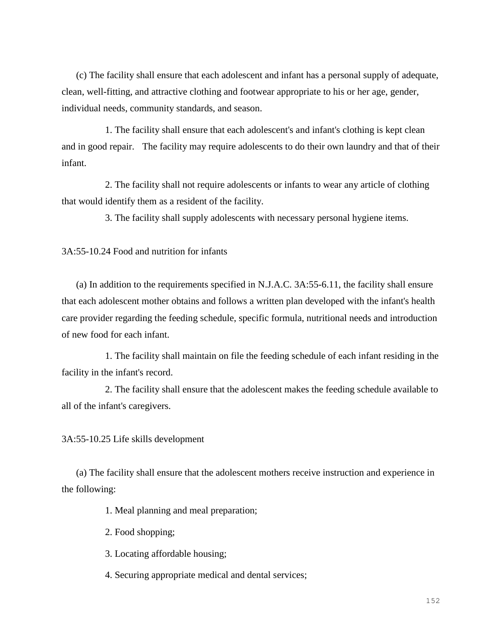(c) The facility shall ensure that each adolescent and infant has a personal supply of adequate, clean, well-fitting, and attractive clothing and footwear appropriate to his or her age, gender, individual needs, community standards, and season.

1. The facility shall ensure that each adolescent's and infant's clothing is kept clean and in good repair. The facility may require adolescents to do their own laundry and that of their infant.

2. The facility shall not require adolescents or infants to wear any article of clothing that would identify them as a resident of the facility.

3. The facility shall supply adolescents with necessary personal hygiene items.

3A:55-10.24 Food and nutrition for infants

(a) In addition to the requirements specified in N.J.A.C. 3A:55-6.11, the facility shall ensure that each adolescent mother obtains and follows a written plan developed with the infant's health care provider regarding the feeding schedule, specific formula, nutritional needs and introduction of new food for each infant.

1. The facility shall maintain on file the feeding schedule of each infant residing in the facility in the infant's record.

2. The facility shall ensure that the adolescent makes the feeding schedule available to all of the infant's caregivers.

3A:55-10.25 Life skills development

(a) The facility shall ensure that the adolescent mothers receive instruction and experience in the following:

1. Meal planning and meal preparation;

2. Food shopping;

3. Locating affordable housing;

4. Securing appropriate medical and dental services;

152